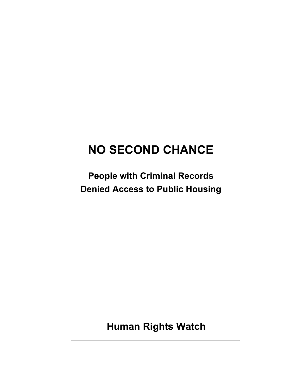# **NO SECOND CHANCE**

**People with Criminal Records Denied Access to Public Housing** 

 **Human Rights Watch**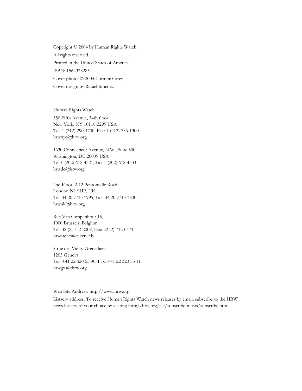Copyright © 2004 by Human Rights Watch. All rights reserved. Printed in the United States of America ISBN: 1564323285 Cover photo: © 2004 Corinne Carey Cover design by Rafael Jimenez

Human Rights Watch

350 Fifth Avenue, 34th floor New York, NY 10118-3299 USA Tel: 1-(212) 290-4700, Fax: 1-(212) 736-1300 hrwnyc@hrw.org

1630 Connecticut Avenue, N.W., Suite 500 Washington, DC 20009 USA Tel:1-(202) 612-4321, Fax:1-(202) 612-4333 hrwdc@hrw.org

2nd Floor, 2-12 Pentonville Road London N1 9HF, UK Tel: 44 20 7713 1995, Fax: 44 20 7713 1800 hrwuk@hrw.org

Rue Van Campenhout 15, 1000 Brussels, Belgium Tel: 32 (2) 732-2009, Fax: 32 (2) 732-0471 hrwatcheu@skynet.be

8 rue des Vieux-Grenadiers 1205 Geneva Tel: +41 22 320 55 90, Fax: +41 22 320 55 11 hrwgva@hrw.org

Web Site Address: http://www.hrw.org

Listserv address: To receive Human Rights Watch news releases by email, subscribe to the HRW news listserv of your choice by visiting http://hrw.org/act/subscribe-mlists/subscribe.htm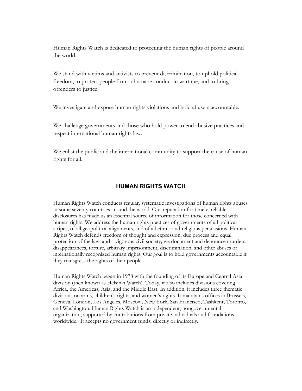Human Rights Watch is dedicated to protecting the human rights of people around the world.

We stand with victims and activists to prevent discrimination, to uphold political freedom, to protect people from inhumane conduct in wartime, and to bring offenders to justice.

We investigate and expose human rights violations and hold abusers accountable.

We challenge governments and those who hold power to end abusive practices and respect international human rights law.

We enlist the public and the international community to support the cause of human rights for all.

## **HUMAN RIGHTS WATCH**

Human Rights Watch conducts regular, systematic investigations of human rights abuses in some seventy countries around the world. Our reputation for timely, reliable disclosures has made us an essential source of information for those concerned with human rights. We address the human rights practices of governments of all political stripes, of all geopolitical alignments, and of all ethnic and religious persuasions. Human Rights Watch defends freedom of thought and expression, due process and equal protection of the law, and a vigorous civil society; we document and denounce murders, disappearances, torture, arbitrary imprisonment, discrimination, and other abuses of internationally recognized human rights. Our goal is to hold governments accountable if they transgress the rights of their people.

Human Rights Watch began in 1978 with the founding of its Europe and Central Asia division (then known as Helsinki Watch). Today, it also includes divisions covering Africa, the Americas, Asia, and the Middle East. In addition, it includes three thematic divisions on arms, children's rights, and women's rights. It maintains offices in Brussels, Geneva, London, Los Angeles, Moscow, New York, San Francisco, Tashkent, Toronto, and Washington. Human Rights Watch is an independent, nongovernmental organization, supported by contributions from private individuals and foundations worldwide. It accepts no government funds, directly or indirectly.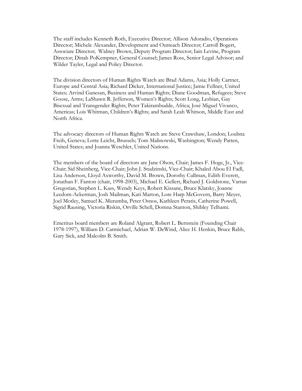The staff includes Kenneth Roth, Executive Director; Allison Adoradio, Operations Director; Michele Alexander, Development and Outreach Director; Carroll Bogert, Associate Director; Widney Brown, Deputy Program Director; Iain Levine, Program Director; Dinah PoKempner, General Counsel; James Ross, Senior Legal Advisor; and Wilder Tayler, Legal and Policy Director.

The division directors of Human Rights Watch are Brad Adams, Asia; Holly Cartner, Europe and Central Asia; Richard Dicker, International Justice; Jamie Fellner, United States; Arvind Ganesan, Business and Human Rights; Diane Goodman, Refugees; Steve Goose, Arms; LaShawn R. Jefferson, Women's Rights; Scott Long, Lesbian, Gay Bisexual and Transgender Rights; Peter Takirambudde, Africa; José Miguel Vivanco, Americas; Lois Whitman, Children's Rights; and Sarah Leah Whitson, Middle East and North Africa.

The advocacy directors of Human Rights Watch are Steve Crawshaw, London; Loubna Freih, Geneva; Lotte Leicht, Brussels; Tom Malinowski, Washington; Wendy Patten, United States; and Joanna Weschler, United Nations.

The members of the board of directors are Jane Olson, Chair; James F. Hoge, Jr., Vice-Chair; Sid Sheinberg, Vice-Chair; John J. Studzinski, Vice-Chair; Khaled Abou El Fadl, Lisa Anderson, Lloyd Axworthy, David M. Brown, Dorothy Cullman, Edith Everett, Jonathan F. Fanton (chair, 1998-2003), Michael E. Gellert, Richard J. Goldstone, Vartan Gregorian, Stephen L. Kass, Wendy Keys, Robert Kissane, Bruce Klatsky, Joanne Leedom-Ackerman, Josh Mailman, Kati Marton, Lore Harp McGovern, Barry Meyer, Joel Motley, Samuel K. Murumba, Peter Osnos, Kathleen Peratis, Catherine Powell, Sigrid Rausing, Victoria Riskin, Orville Schell, Domna Stanton, Shibley Telhami.

Emeritus board members are Roland Algrant, Robert L. Bernstein (Founding Chair 1978-1997), William D. Carmichael, Adrian W. DeWind, Alice H. Henkin, Bruce Rabb, Gary Sick, and Malcolm B. Smith.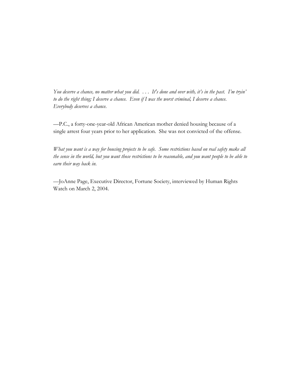*You deserve a chance, no matter what you did. . . . It's done and over with, it's in the past. I'm tryin' to do the right thing; I deserve a chance. Even if I was the worst criminal, I deserve a chance. Everybody deserves a chance.* 

*—*P.C., a forty-one-year-old African American mother denied housing because of a single arrest four years prior to her application. She was not convicted of the offense.

*What you want is a way for housing projects to be safe. Some restrictions based on real safety make all the sense in the world, but you want those restrictions to be reasonable, and you want people to be able to earn their way back in.* 

—JoAnne Page, Executive Director, Fortune Society, interviewed by Human Rights Watch on March 2, 2004.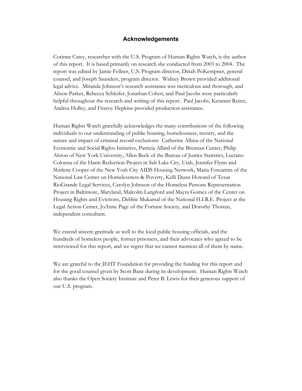#### **Acknowledgements**

Corinne Carey, researcher with the U.S. Program of Human Rights Watch, is the author of this report. It is based primarily on research she conducted from 2003 to 2004. The report was edited by Jamie Fellner, U.S. Program director, Dinah PoKempner, general counsel, and Joseph Saunders, program director. Widney Brown provided additional legal advice. Miranda Johnson's research assistance was meticulous and thorough, and Alison Parker, Rebecca Schleifer, Jonathan Cohen, and Paul Jacobs were particularly helpful throughout the research and writing of this report. Paul Jacobs, Keramet Reiter, Andrea Holley, and Fitzroy Hepkins provided production assistance.

Human Rights Watch gratefully acknowledges the many contributions of the following individuals to our understanding of public housing, homelessness, reentry, and the nature and impact of criminal record exclusions: Catherine Albisa of the National Economic and Social Rights Initiative, Patricia Allard of the Brennan Center, Philip Alston of New York University, Allen Beck of the Bureau of Justice Statistics, Luciano Colonna of the Harm Reduction Project in Salt Lake City, Utah, Jennifer Flynn and Shirlene Cooper of the New York City AIDS Housing Network, Maria Foscarinis of the National Law Center on Homelessness & Poverty, Kelli Dunn Howard of Texas RioGrande Legal Services, Carolyn Johnson of the Homeless Persons Representation Project in Baltimore, Maryland, Malcolm Langford and Mayra Gomez of the Center on Housing Rights and Evictions, Debbie Mukamal of the National H.I.R.E. Project at the Legal Action Center, JoAnne Page of the Fortune Society, and Dorothy Thomas, independent consultant.

We extend sincere gratitude as well to the local public housing officials, and the hundreds of homeless people, former prisoners, and their advocates who agreed to be interviewed for this report, and we regret that we cannot mention all of them by name.

We are grateful to the JEHT Foundation for providing the funding for this report and for the good counsel given by Scott Bane during its development. Human Rights Watch also thanks the Open Society Institute and Peter B. Lewis for their generous support of our U.S. program.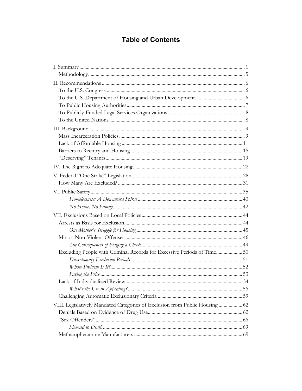## **Table of Contents**

| Excluding People with Criminal Records for Excessive Periods of Time 50      |  |
|------------------------------------------------------------------------------|--|
|                                                                              |  |
|                                                                              |  |
|                                                                              |  |
|                                                                              |  |
|                                                                              |  |
|                                                                              |  |
| VIII. Legislatively Mandated Categories of Exclusion from Public Housing  62 |  |
|                                                                              |  |
|                                                                              |  |
|                                                                              |  |
|                                                                              |  |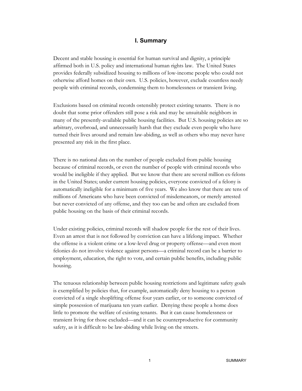## **I. Summary**

Decent and stable housing is essential for human survival and dignity, a principle affirmed both in U.S. policy and international human rights law. The United States provides federally subsidized housing to millions of low-income people who could not otherwise afford homes on their own. U.S. policies, however, exclude countless needy people with criminal records, condemning them to homelessness or transient living.

Exclusions based on criminal records ostensibly protect existing tenants. There is no doubt that some prior offenders still pose a risk and may be unsuitable neighbors in many of the presently-available public housing facilities. But U.S. housing policies are so arbitrary, overbroad, and unnecessarily harsh that they exclude even people who have turned their lives around and remain law-abiding, as well as others who may never have presented any risk in the first place.

There is no national data on the number of people excluded from public housing because of criminal records, or even the number of people with criminal records who would be ineligible if they applied. But we know that there are several million ex-felons in the United States; under current housing policies, everyone convicted of a felony is automatically ineligible for a minimum of five years. We also know that there are tens of millions of Americans who have been convicted of misdemeanors, or merely arrested but never convicted of any offense, and they too can be and often are excluded from public housing on the basis of their criminal records.

Under existing policies, criminal records will shadow people for the rest of their lives. Even an arrest that is not followed by conviction can have a lifelong impact. Whether the offense is a violent crime or a low-level drug or property offense—and even most felonies do not involve violence against persons—a criminal record can be a barrier to employment, education, the right to vote, and certain public benefits, including public housing.

The tenuous relationship between public housing restrictions and legitimate safety goals is exemplified by policies that, for example, automatically deny housing to a person convicted of a single shoplifting offense four years earlier, or to someone convicted of simple possession of marijuana ten years earlier. Denying these people a home does little to promote the welfare of existing tenants. But it can cause homelessness or transient living for those excluded—and it can be counterproductive for community safety, as it is difficult to be law-abiding while living on the streets.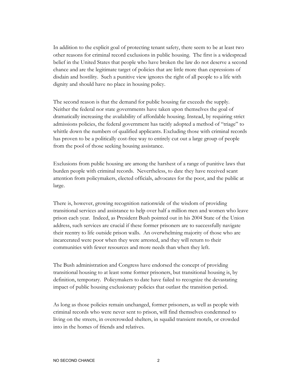In addition to the explicit goal of protecting tenant safety, there seem to be at least two other reasons for criminal record exclusions in public housing. The first is a widespread belief in the United States that people who have broken the law do not deserve a second chance and are the legitimate target of policies that are little more than expressions of disdain and hostility. Such a punitive view ignores the right of all people to a life with dignity and should have no place in housing policy.

The second reason is that the demand for public housing far exceeds the supply. Neither the federal nor state governments have taken upon themselves the goal of dramatically increasing the availability of affordable housing. Instead, by requiring strict admissions policies, the federal government has tacitly adopted a method of "triage" to whittle down the numbers of qualified applicants. Excluding those with criminal records has proven to be a politically cost-free way to entirely cut out a large group of people from the pool of those seeking housing assistance.

Exclusions from public housing are among the harshest of a range of punitive laws that burden people with criminal records. Nevertheless, to date they have received scant attention from policymakers, elected officials, advocates for the poor, and the public at large.

There is, however, growing recognition nationwide of the wisdom of providing transitional services and assistance to help over half a million men and women who leave prison each year. Indeed, as President Bush pointed out in his 2004 State of the Union address, such services are crucial if these former prisoners are to successfully navigate their reentry to life outside prison walls. An overwhelming majority of those who are incarcerated were poor when they were arrested, and they will return to their communities with fewer resources and more needs than when they left.

The Bush administration and Congress have endorsed the concept of providing transitional housing to at least some former prisoners, but transitional housing is, by definition, temporary. Policymakers to date have failed to recognize the devastating impact of public housing exclusionary policies that outlast the transition period.

As long as those policies remain unchanged, former prisoners, as well as people with criminal records who were never sent to prison, will find themselves condemned to living on the streets, in overcrowded shelters, in squalid transient motels, or crowded into in the homes of friends and relatives.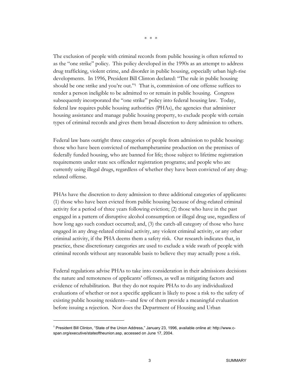The exclusion of people with criminal records from public housing is often referred to as the "one strike" policy. This policy developed in the 1990s as an attempt to address drug trafficking, violent crime, and disorder in public housing, especially urban high-rise developments. In 1996, President Bill Clinton declared: "The rule in public housing

should be one strike and you're out."1 That is, commission of one offense suffices to render a person ineligible to be admitted to or remain in public housing. Congress subsequently incorporated the "one strike" policy into federal housing law. Today, federal law requires public housing authorities (PHAs), the agencies that administer housing assistance and manage public housing property, to exclude people with certain types of criminal records and gives them broad discretion to deny admission to others.

Federal law bans outright three categories of people from admission to public housing: those who have been convicted of methamphetamine production on the premises of federally funded housing, who are banned for life; those subject to lifetime registration requirements under state sex offender registration programs; and people who are currently using illegal drugs, regardless of whether they have been convicted of any drugrelated offense.

PHAs have the discretion to deny admission to three additional categories of applicants: (1) those who have been evicted from public housing because of drug-related criminal activity for a period of three years following eviction; (2) those who have in the past engaged in a pattern of disruptive alcohol consumption or illegal drug use, regardless of how long ago such conduct occurred; and, (3) the catch-all category of those who have engaged in any drug-related criminal activity, any violent criminal activity, or any other criminal activity, if the PHA deems them a safety risk. Our research indicates that, in practice, these discretionary categories are used to exclude a wide swath of people with criminal records without any reasonable basis to believe they may actually pose a risk.

Federal regulations advise PHAs to take into consideration in their admissions decisions the nature and remoteness of applicants' offenses, as well as mitigating factors and evidence of rehabilitation. But they do not require PHAs to do any individualized evaluations of whether or not a specific applicant is likely to pose a risk to the safety of existing public housing residents—and few of them provide a meaningful evaluation before issuing a rejection. Nor does the Department of Housing and Urban

<sup>&</sup>lt;sup>1</sup> President Bill Clinton, "State of the Union Address," January 23, 1996, available online at: http://www.cspan.org/executive/stateoftheunion.asp, accessed on June 17, 2004.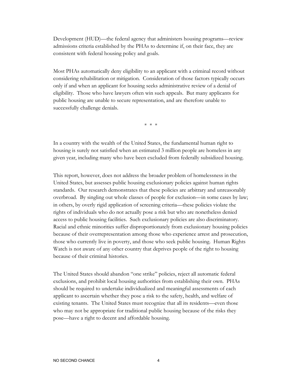Development (HUD)—the federal agency that administers housing programs—review admissions criteria established by the PHAs to determine if, on their face, they are consistent with federal housing policy and goals.

Most PHAs automatically deny eligibility to an applicant with a criminal record without considering rehabilitation or mitigation. Consideration of those factors typically occurs only if and when an applicant for housing seeks administrative review of a denial of eligibility. Those who have lawyers often win such appeals. But many applicants for public housing are unable to secure representation, and are therefore unable to successfully challenge denials.

\* \* \*

In a country with the wealth of the United States, the fundamental human right to housing is surely not satisfied when an estimated 3 million people are homeless in any given year, including many who have been excluded from federally subsidized housing.

This report, however, does not address the broader problem of homelessness in the United States, but assesses public housing exclusionary policies against human rights standards. Our research demonstrates that these policies are arbitrary and unreasonably overbroad. By singling out whole classes of people for exclusion—in some cases by law; in others, by overly rigid application of screening criteria—these policies violate the rights of individuals who do not actually pose a risk but who are nonetheless denied access to public housing facilities. Such exclusionary policies are also discriminatory. Racial and ethnic minorities suffer disproportionately from exclusionary housing policies because of their overrepresentation among those who experience arrest and prosecution, those who currently live in poverty, and those who seek public housing. Human Rights Watch is not aware of any other country that deprives people of the right to housing because of their criminal histories.

The United States should abandon "one strike" policies, reject all automatic federal exclusions, and prohibit local housing authorities from establishing their own. PHAs should be required to undertake individualized and meaningful assessments of each applicant to ascertain whether they pose a risk to the safety, health, and welfare of existing tenants. The United States must recognize that all its residents—even those who may not be appropriate for traditional public housing because of the risks they pose—have a right to decent and affordable housing.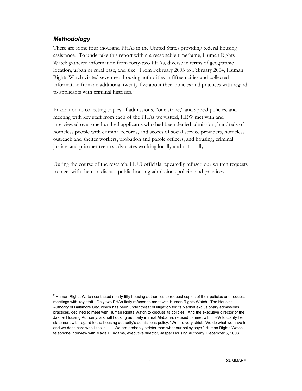## *Methodology*

 $\overline{a}$ 

There are some four thousand PHAs in the United States providing federal housing assistance. To undertake this report within a reasonable timeframe, Human Rights Watch gathered information from forty-two PHAs, diverse in terms of geographic location, urban or rural base, and size. From February 2003 to February 2004, Human Rights Watch visited seventeen housing authorities in fifteen cities and collected information from an additional twenty-five about their policies and practices with regard to applicants with criminal histories.2

In addition to collecting copies of admissions, "one strike," and appeal policies, and meeting with key staff from each of the PHAs we visited, HRW met with and interviewed over one hundred applicants who had been denied admission, hundreds of homeless people with criminal records, and scores of social service providers, homeless outreach and shelter workers, probation and parole officers, and housing, criminal justice, and prisoner reentry advocates working locally and nationally.

During the course of the research, HUD officials repeatedly refused our written requests to meet with them to discuss public housing admissions policies and practices.

<sup>&</sup>lt;sup>2</sup> Human Rights Watch contacted nearly fifty housing authorities to request copies of their policies and request meetings with key staff. Only two PHAs flatly refused to meet with Human Rights Watch. The Housing Authority of Baltimore City, which has been under threat of litigation for its blanket exclusionary admissions practices, declined to meet with Human Rights Watch to discuss its policies. And the executive director of the Jasper Housing Authority, a small housing authority in rural Alabama, refused to meet with HRW to clarify her statement with regard to the housing authority's admissions policy: "We are very strict. We do what we have to and we don't care who likes it. . . . We are probably stricter than what our policy says." Human Rights Watch telephone interview with Mavis B. Adams, executive director, Jasper Housing Authority, December 5, 2003.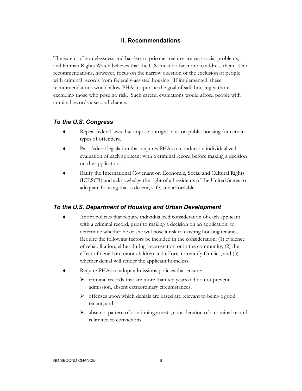## **II. Recommendations**

The extent of homelessness and barriers to prisoner reentry are vast social problems, and Human Rights Watch believes that the U.S. must do far more to address them. Our recommendations, however, focus on the narrow question of the exclusion of people with criminal records from federally-assisted housing. If implemented, these recommendations would allow PHAs to pursue the goal of safe housing without excluding those who pose no risk. Such careful evaluations would afford people with criminal records a second chance.

## *To the U.S. Congress*

- Repeal federal laws that impose outright bans on public housing for certain types of offenders.
- Pass federal legislation that requires PHAs to conduct an individualized evaluation of each applicant with a criminal record before making a decision on the application.
- Ratify the International Covenant on Economic, Social and Cultural Rights (ICESCR) and acknowledge the right of all residents of the United States to adequate housing that is decent, safe, and affordable.

## *To the U.S. Department of Housing and Urban Development*

- Adopt policies that require individualized consideration of each applicant with a criminal record, prior to making a decision on an application, to determine whether he or she will pose a risk to existing housing tenants. Require the following factors be included in the consideration: (1) evidence of rehabilitation, either during incarceration or in the community; (2) the effect of denial on minor children and efforts to reunify families; and (3) whether denial will render the applicant homeless.
- Require PHAs to adopt admissions policies that ensure:
	- $\triangleright$  criminal records that are more than ten years old do not prevent admission, absent extraordinary circumstances;
	- $\triangleright$  offenses upon which denials are based are relevant to being a good tenant; and
	- $\triangleright$  absent a pattern of continuing arrests, consideration of a criminal record is limited to convictions.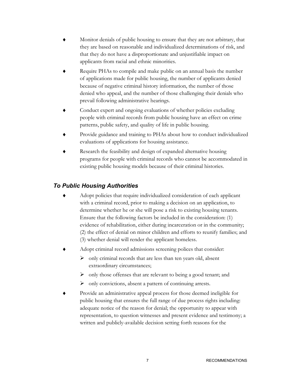- Monitor denials of public housing to ensure that they are not arbitrary, that they are based on reasonable and individualized determinations of risk, and that they do not have a disproportionate and unjustifiable impact on applicants from racial and ethnic minorities.
- Require PHAs to compile and make public on an annual basis the number of applications made for public housing, the number of applicants denied because of negative criminal history information, the number of those denied who appeal, and the number of those challenging their denials who prevail following administrative hearings.
- Conduct expert and ongoing evaluations of whether policies excluding people with criminal records from public housing have an effect on crime patterns, public safety, and quality of life in public housing.
- Provide guidance and training to PHAs about how to conduct individualized evaluations of applications for housing assistance.
- Research the feasibility and design of expanded alternative housing programs for people with criminal records who cannot be accommodated in existing public housing models because of their criminal histories.

## *To Public Housing Authorities*

- Adopt policies that require individualized consideration of each applicant with a criminal record, prior to making a decision on an application, to determine whether he or she will pose a risk to existing housing tenants. Ensure that the following factors be included in the consideration: (1) evidence of rehabilitation, either during incarceration or in the community; (2) the effect of denial on minor children and efforts to reunify families; and (3) whether denial will render the applicant homeless.
- Adopt criminal record admissions screening polices that consider:
	- $\triangleright$  only criminal records that are less than ten years old, absent extraordinary circumstances;
	- $\triangleright$  only those offenses that are relevant to being a good tenant; and
	- $\triangleright$  only convictions, absent a pattern of continuing arrests.
- Provide an administrative appeal process for those deemed ineligible for public housing that ensures the full range of due process rights including: adequate notice of the reason for denial; the opportunity to appear with representation, to question witnesses and present evidence and testimony; a written and publicly-available decision setting forth reasons for the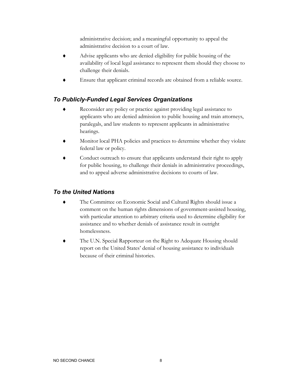administrative decision; and a meaningful opportunity to appeal the administrative decision to a court of law.

- Advise applicants who are denied eligibility for public housing of the availability of local legal assistance to represent them should they choose to challenge their denials.
- Ensure that applicant criminal records are obtained from a reliable source.

## *To Publicly-Funded Legal Services Organizations*

- Reconsider any policy or practice against providing legal assistance to applicants who are denied admission to public housing and train attorneys, paralegals, and law students to represent applicants in administrative hearings.
- Monitor local PHA policies and practices to determine whether they violate federal law or policy.
- Conduct outreach to ensure that applicants understand their right to apply for public housing, to challenge their denials in administrative proceedings, and to appeal adverse administrative decisions to courts of law.

## *To the United Nations*

- ♦ The Committee on Economic Social and Cultural Rights should issue a comment on the human rights dimensions of government-assisted housing, with particular attention to arbitrary criteria used to determine eligibility for assistance and to whether denials of assistance result in outright homelessness.
- The U.N. Special Rapporteur on the Right to Adequate Housing should report on the United States' denial of housing assistance to individuals because of their criminal histories.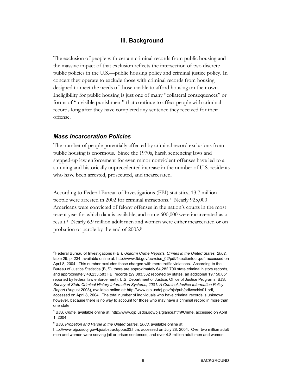## **III. Background**

The exclusion of people with certain criminal records from public housing and the massive impact of that exclusion reflects the intersection of two discrete public policies in the U.S.—public housing policy and criminal justice policy. In concert they operate to exclude those with criminal records from housing designed to meet the needs of those unable to afford housing on their own. Ineligibility for public housing is just one of many "collateral consequences" or forms of "invisible punishment" that continue to affect people with criminal records long after they have completed any sentence they received for their offense.

#### *Mass Incarceration Policies*

 $\overline{a}$ 

The number of people potentially affected by criminal record exclusions from public housing is enormous. Since the 1970s, harsh sentencing laws and stepped-up law enforcement for even minor nonviolent offenses have led to a stunning and historically unprecedented increase in the number of U.S. residents who have been arrested, prosecuted, and incarcerated.

According to Federal Bureau of Investigations (FBI) statistics, 13.7 million people were arrested in 2002 for criminal infractions.3 Nearly 925,000 Americans were convicted of felony offenses in the nation's courts in the most recent year for which data is available, and some 600,000 were incarcerated as a result.4 Nearly 6.9 million adult men and women were either incarcerated or on probation or parole by the end of 2003.5

<sup>3</sup> Federal Bureau of Investigations (FBI), *Uniform Crime Reports, Crimes in the United States, 2002*, table 29, p. 234, available online at: http://www.fbi.gov/ucr/cius\_02/pdf/4sectionfour.pdf, accessed on April 8, 2004. This number excludes those charged with mere traffic violations. According to the Bureau of Justice Statistics (BJS), there are approximately 64,282,700 state criminal history records, and approximately 48,233,583 FBI records (29,083,532 reported by states, an additional 19,150,051 reported by federal law enforcement). U.S. Department of Justice, Office of Justice Programs, BJS, *Survey of State Criminal History Information Systems, 2001: A Criminal Justice Information Policy Report* (August 2003), available online at: http://www.ojp.usdoj.gov/bjs/pub/pdf/sschis01.pdf, accessed on April 8, 2004. The total number of individuals who have criminal records is unknown, however, because there is no way to account for those who may have a criminal record in more than one state.

<sup>4</sup> BJS, *Crime*, available online at: http://www.ojp.usdoj.gov/bjs/glance.htm#Crime, accessed on April 1, 2004.

<sup>5</sup> BJS, *Probation and Parole in the United States, 2003*, available online at:

http://www.ojp.usdoj.gov/bjs/abstract/ppus03.htm, accessed on July 28, 2004. Over two million adult men and women were serving jail or prison sentences, and over 4.8 million adult men and women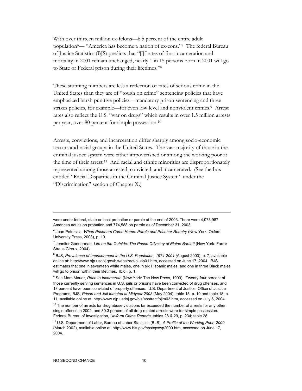With over thirteen million ex-felons—6.5 percent of the entire adult population6— "America has become a nation of ex-cons."7 The federal Bureau of Justice Statistics (BJS) predicts that "[i]f rates of first incarceration and mortality in 2001 remain unchanged, nearly 1 in 15 persons born in 2001 will go to State or Federal prison during their lifetimes."8

These stunning numbers are less a reflection of rates of serious crime in the United States than they are of "tough on crime" sentencing policies that have emphasized harsh punitive policies—mandatory prison sentencing and three strikes policies, for example—for even low level and nonviolent crimes.<sup>9</sup> Arrest rates also reflect the U.S. "war on drugs" which results in over 1.5 million arrests per year, over 80 percent for simple possession.10

Arrests, convictions, and incarceration differ sharply among socio-economic sectors and racial groups in the United States. The vast majority of those in the criminal justice system were either impoverished or among the working poor at the time of their arrest.<sup>11</sup> And racial and ethnic minorities are disproportionately represented among those arrested, convicted, and incarcerated. (See the box entitled "Racial Disparities in the Criminal Justice System" under the "Discrimination" section of Chapter X.)

were under federal, state or local probation or parole at the end of 2003. There were 4,073,987 American adults on probation and 774,588 on parole as of December 31, 2003.

<sup>6</sup> Joan Petersilia, *When Prisoners Come Home: Parole and Prisoner Reentry* (New York: Oxford University Press, 2003), p. 10.

<sup>&</sup>lt;sup>7</sup> Jennifer Gonnerman, Life on the Outside: The Prison Odyssey of Elaine Bartlett (New York: Farrar Straus Giroux, 2004).

<sup>&</sup>lt;sup>8</sup> BJS, Prevalence of Imprisonment in the U.S. Population, 1974-2001 (August 2003), p. 7, available online at: http://www.ojp.usdoj.gov/bjs/abstract/piusp01.htm, accessed on June 17, 2004. BJS estimates that one in seventeen white males, one in six Hispanic males, and one in three Black males will go to prison within their lifetimes. Ibid., p. 1.

<sup>9</sup> See Marc Mauer, *Race to Incarcerate* (New York: The New Press, 1999). Twenty-four percent of those currently serving sentences in U.S. jails or prisons have been convicted of drug offenses, and 18 percent have been convicted of property offenses. U.S. Department of Justice, Office of Justice Programs, BJS, *Prison and Jail Inmates at Midyear 2003* (May 2004), table 15, p. 10 and table 18, p. 11, available online at: http://www.ojp.usdoj.gov/bjs/abstract/pjim03.htm, accessed on July 6, 2004.

 $10$  The number of arrests for drug abuse violations far exceeded the number of arrests for any other single offense in 2002, and 80.3 percent of all drug-related arrests were for simple possession. Federal Bureau of Investigation, *Uniform Crime Reports*, tables 28 & 29, p. 234; table 28.

<sup>11</sup> U.S. Department of Labor, Bureau of Labor Statistics (BLS), *A Profile of the Working Poor, 2000* (March 2002), available online at: http://www.bls.gov/cps/cpswp2000.htm, accessed on June 17, 2004.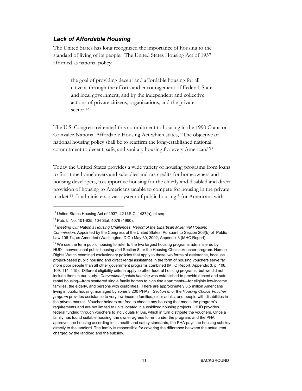## *Lack of Affordable Housing*

The United States has long recognized the importance of housing to the standard of living of its people. The United States Housing Act of 1937 affirmed as national policy:

> the goal of providing decent and affordable housing for all citizens through the efforts and encouragement of Federal, State and local government, and by the independent and collective actions of private citizens, organizations, and the private sector.12

The U.S. Congress reiterated this commitment to housing in the 1990 Cranston-Gonzalez National Affordable Housing Act which states, "The objective of national housing policy shall be to reaffirm the long-established national commitment to decent, safe, and sanitary housing for every American."13

Today the United States provides a wide variety of housing programs from loans to first-time homebuyers and subsidies and tax credits for homeowners and housing developers, to supportive housing for the elderly and disabled and direct provision of housing to Americans unable to compete for housing in the private market.14 It administers a vast system of public housing15 for Americans with

<sup>&</sup>lt;sup>12</sup> United States Housing Act of 1937, 42 U.S.C. 1437(a), et seg.

<sup>13</sup> Pub. L. No. 101-625, 104 Stat. 4079 (1990).

<sup>&</sup>lt;sup>14</sup> Meeting Our Nation's Housing Challenges, Report of the Bipartisan Millennial Housing *Commission*, Appointed by the Congress of the United States, Pursuant to Section 206(b) of Public Law 106-74, as Amended (Washington, D.C.) May 30, 2002, Appendix 3 (MHC Report).

 $15$  We use the term public housing to refer to the two largest housing programs administered by HUD—conventional public housing and Section 8, or the Housing Choice Voucher program. Human Rights Watch examined exclusionary policies that apply to these two forms of assistance, because project-based public housing and direct rental assistance in the form of housing vouchers serve far more poor people than all other government programs combined (MHC Report, Appendix 3, p. 106, 109, 114, 115). Different eligibility criteria apply to other federal housing programs, but we did not include them in our study. *Conventional public housing* was established to provide decent and safe rental housing—from scattered single family homes to high rise apartments—for eligible low-income families, the elderly, and persons with disabilities. There are approximately 6.5 million Americans living in public housing, managed by some 3,200 PHAs. *Section 8,* or the *Housing Choice Voucher program* provides assistance to very low-income families, older adults, and people with disabilities in the private market. Voucher holders are free to choose any housing that meets the program's requirements and are not limited to units located in subsidized housing projects.HUD provides federal funding through vouchers to individuals PHAs, which in turn distribute the vouchers. Once a family has found suitable housing, the owner agrees to rent under the program, and the PHA approves the housing according to its health and safety standards, the PHA pays the housing subsidy directly to the landlord. The family is responsible for covering the difference between the actual rent charged by the landlord and the subsidy.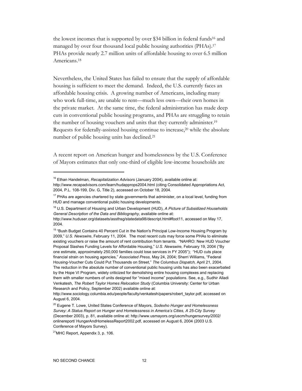the lowest incomes that is supported by over \$34 billion in federal funds16 and managed by over four thousand local public housing authorities (PHAs).17 PHAs provide nearly 2.7 million units of affordable housing to over 6.5 million Americans.18

Nevertheless, the United States has failed to ensure that the supply of affordable housing is sufficient to meet the demand. Indeed, the U.S. currently faces an affordable housing crisis. A growing number of Americans, including many who work full-time, are unable to rent—much less own—their own homes in the private market. At the same time, the federal administration has made deep cuts in conventional public housing programs, and PHAs are struggling to retain the number of housing vouchers and units that they currently administer.19 Requests for federally-assisted housing continue to increase,20 while the absolute number of public housing units has declined.21

A recent report on American hunger and homelessness by the U.S. Conference of Mayors estimates that only one-third of eligible low-income households are

<sup>&</sup>lt;sup>16</sup> Ethan Handelman, *Recapitalization Advisors* (January 2004), available online at: http://www.recapadvisors.com/learn/hudapprops2004.html (citing Consolidated Appropriations Act, 2004, P.L. 108-199, Div. G, Title 2), accessed on October 18, 2004.

 $17$  PHAs are agencies chartered by state governments that administer, on a local level, funding from HUD and manage conventional public housing developments.

<sup>18</sup> U.S. Department of Housing and Urban Development (HUD), *A Picture of Subsidized Households General Description of the Data and Bibliography*, available online at:

http://www.huduser.org/datasets/assthsg/statedata98/descript.html#foot11, accessed on May 17, 2004.

<sup>&</sup>lt;sup>19</sup> "Bush Budget Contains 40 Percent Cut in the Nation's Principal Low-Income Housing Program by 2009," *U.S. Newswire*, February 11, 2004. The most recent cuts may force some PHAs to eliminate existing vouchers or raise the amount of rent contribution from tenants. "NAHRO: New HUD Voucher Proposal Slashes Funding Levels for Affordable Housing," *U.S. Newswire,* February 19, 2004 ("By one estimate, approximately 250,000 families could lose services in FY 2005"); "HUD cuts place financial strain on housing agencies," *Associated Press,* May 24, 2004; Sherri Williams, "Federal Housing-Voucher Cuts Could Put Thousands on Street," *The Columbus Dispatch,* April 21, 2004. The reduction in the absolute number of conventional public housing units has also been exacerbated by the Hope VI Program, widely criticized for demolishing entire housing complexes and replacing them with smaller numbers of units designed for "mixed income" populations. See, e.g., Sudhir Alladi Venkatesh, *The Robert Taylor Homes Relocation Study* (Columbia University: Center for Urban Research and Policy, September 2002) available online at:

http://www.sociology.columbia.edu/people/faculty/venkatesh/papers/robert\_taylor.pdf, accessed on August 6, 2004.

<sup>20</sup> Eugene T. Lowe, United States Conference of Mayors, *Sodexho Hunger and Homelessness Survey: A Status Report on Hunger and Homelessness in America's Cities, A 25-City Survey* (December 2003), p. 81, available online at: http://www.usmayors.org/uscm/hungersurvey/2002/ onlinereport/ HungerAndHomelessReport2002.pdf, accessed on August 6, 2004 (2003 U.S. Conference of Mayors Survey).

 $21$ MHC Report, Appendix 3, p. 106.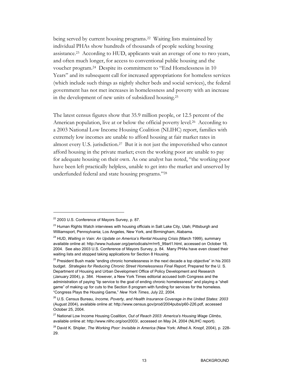being served by current housing programs.22 Waiting lists maintained by individual PHAs show hundreds of thousands of people seeking housing assistance.23 According to HUD, applicants wait an average of one to two years, and often much longer, for access to conventional public housing and the voucher program.24 Despite its commitment to "End Homelessness in 10 Years" and its subsequent call for increased appropriations for homeless services (which include such things as nightly shelter beds and social services), the federal government has not met increases in homelessness and poverty with an increase in the development of new units of subsidized housing.25

The latest census figures show that 35.9 million people, or 12.5 percent of the American population, live at or below the official poverty level.<sup>26</sup> According to a 2003 National Low Income Housing Coalition (NLIHC) report, families with extremely low incomes are unable to afford housing at fair market rates in almost every U.S. jurisdiction.27 But it is not just the impoverished who cannot afford housing in the private market; even the working poor are unable to pay for adequate housing on their own. As one analyst has noted, "the working poor have been left practically helpless, unable to get into the market and unserved by underfunded federal and state housing programs."28

<sup>&</sup>lt;sup>22</sup> 2003 U.S. Conference of Mayors Survey, p. 87.

<sup>&</sup>lt;sup>23</sup> Human Rights Watch interviews with housing officials in Salt Lake City, Utah; Pittsburgh and Williamsport, Pennsylvania; Los Angeles, New York, and Birmingham, Alabama.

<sup>&</sup>lt;sup>24</sup> HUD, Waiting in Vain: An Update on America's Rental Housing Crisis (March 1999), summary available online at: http://www.huduser.org/periodicals/rrr/rrr5\_99art1.html, accessed on October 18, 2004. See also 2003 U.S. Conference of Mayors Survey, p. 84. Many PHAs have even closed their waiting lists and stopped taking applications for Section 8 Housing.

 $25$  President Bush made "ending chronic homelessness in the next decade a top objective" in his 2003 budget. *Strategies for Reducing Chronic Street Homelessness Final Report,* Prepared for the U. S. Department of Housing and Urban Development Office of Policy Development and Research (January 2004), p. 384. However, a New York Times editorial accused both Congress and the administration of paying "lip service to the goal of ending chronic homelessness" and playing a "shell game" of making up for cuts to the Section 8 program with funding for services for the homeless. "Congress Plays the Housing Game," *New York Times*, July 22, 2004.

<sup>26</sup> U.S. Census Bureau, *Income, Poverty, and Health Insurance Coverage in the United States: 2003* (August 2004), available online at: http://www.census.gov/prod/2004pubs/p60-226.pdf, accessed October 25, 2004.

<sup>27</sup> National Low Income Housing Coalition, *Out of Reach 2003: America's Housing Wage Climbs*, available online at: http://www.nlihc.org/oor2003/, accessed on May 24, 2004 (NLIHC report).

<sup>28</sup> David K. Shipler, *The Working Poor: Invisible in America* (New York: Alfred A. Knopf, 2004), p. 228- 29.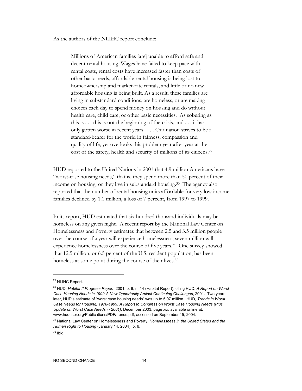As the authors of the NLIHC report conclude:

Millions of American families [are] unable to afford safe and decent rental housing. Wages have failed to keep pace with rental costs, rental costs have increased faster than costs of other basic needs, affordable rental housing is being lost to homeownership and market-rate rentals, and little or no new affordable housing is being built. As a result, these families are living in substandard conditions, are homeless, or are making choices each day to spend money on housing and do without health care, child care, or other basic necessities. As sobering as this is . . . this is not the beginning of the crisis, and . . . it has only gotten worse in recent years. . . . Our nation strives to be a standard-bearer for the world in fairness, compassion and quality of life, yet overlooks this problem year after year at the cost of the safety, health and security of millions of its citizens.29

HUD reported to the United Nations in 2001 that 4.9 million Americans have "worst-case housing needs," that is, they spend more than 50 percent of their income on housing, or they live in substandard housing.30 The agency also reported that the number of rental housing units affordable for very low income families declined by 1.1 million, a loss of 7 percent, from 1997 to 1999.

In its report, HUD estimated that six hundred thousand individuals may be homeless on any given night. A recent report by the National Law Center on Homelessness and Poverty estimates that between 2.5 and 3.5 million people over the course of a year will experience homelessness; seven million will experience homelessness over the course of five years.31 One survey showed that 12.5 million, or 6.5 percent of the U.S. resident population, has been homeless at some point during the course of their lives.<sup>32</sup>

<sup>29</sup> NLIHC Report.

<sup>30</sup> HUD, *Habitat II Progress Report*, 2001, p. 6, n. 14 (Habitat Report), citing HUD, *A Report on Worst Case Housing Needs in 1999-A New Opportunity Amidst Continuing Challenges*, 2001. Two years later, HUD's estimate of "worst case housing needs" was up to 5.07 million. HUD, *Trends in Worst Case Needs for Housing, 1978-1999: A Report to Congress on Worst Case Housing Needs (Plus Update on Worst Case Needs in 2001)*, December 2003, page xix, available online at: www.huduser.org/Publications/PDF/trends.pdf, accessed on September 15, 2004.

<sup>31</sup> National Law Center on Homelessness and Poverty, *Homelessness in the United States and the Human Right to Housing* (January 14, 2004), p. 6.

 $32$  Ibid.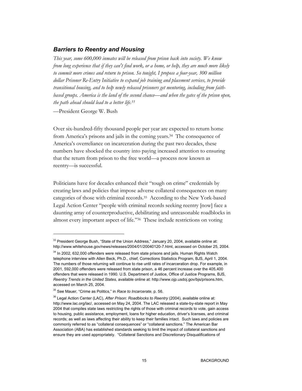#### *Barriers to Reentry and Housing*

*This year, some 600,000 inmates will be released from prison back into society. We know from long experience that if they can't find work, or a home, or help, they are much more likely to commit more crimes and return to prison. So tonight, I propose a four-year, 300 million dollar Prisoner Re-Entry Initiative to expand job training and placement services, to provide transitional housing, and to help newly released prisoners get mentoring, including from faithbased groups. America is the land of the second chance—and when the gates of the prison open, the path ahead should lead to a better life.33*

—President George W. Bush

-

Over six-hundred-fifty thousand people per year are expected to return home from America's prisons and jails in the coming years.34 The consequence of America's overreliance on incarceration during the past two decades, these numbers have shocked the country into paying increased attention to ensuring that the return from prison to the free world—a process now known as reentry—is successful.

Politicians have for decades enhanced their "tough on crime" credentials by creating laws and policies that impose adverse collateral consequences on many categories of those with criminal records.35 According to the New York-based Legal Action Center "people with criminal records seeking reentry [now] face a daunting array of counterproductive, debilitating and unreasonable roadblocks in almost every important aspect of life."36 These include restrictions on voting

<sup>&</sup>lt;sup>33</sup> President George Bush, "State of the Union Address," January 20, 2004, available online at: http://www.whitehouse.gov/news/releases/2004/01/20040120-7.html, accessed on October 25, 2004.

<sup>&</sup>lt;sup>34</sup> In 2002, 632,000 offenders were released from state prisons and jails. Human Rights Watch telephone interview with Allen Beck, Ph.D., chief, Corrections Statistics Program, BJS, April 1, 2004. The numbers of those returning will continue to rise until rates of incarceration drop. For example, in 2001, 592,000 offenders were released from state prison, a 46 percent increase over the 405,400 offenders that were released in 1990. U.S. Department of Justice, Office of Justice Programs, BJS, *Reentry Trends in the United States*, available online at: http://www.ojp.usdoj.gov/bjs/prisons.htm, accessed on March 25, 2004.

<sup>35</sup> See Mauer, "Crime as Politics," in *Race to Incarcerate*, p. 56.

<sup>36</sup> Legal Action Center (LAC), *After Prison: Roadblocks to Reentry* (2004), available online at: http://www.lac.org/lac/, accessed on May 24, 2004. The LAC released a state-by-state report in May 2004 that compiles state laws restricting the rights of those with criminal records to vote, gain access to housing, public assistance, employment, loans for higher education, driver's licenses, and criminal records; as well as laws affecting their ability to keep their families intact. Such laws and policies are commonly referred to as "collateral consequences" or "collateral sanctions." The American Bar Association (ABA) has established standards seeking to limit the impact of collateral sanctions and ensure they are used appropriately. "Collateral Sanctions and Discretionary Disqualifications of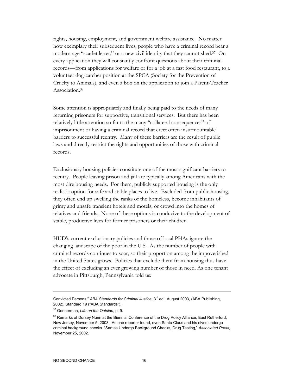rights, housing, employment, and government welfare assistance. No matter how exemplary their subsequent lives, people who have a criminal record bear a modern-age "scarlet letter," or a new civil identity that they cannot shed.37 On every application they will constantly confront questions about their criminal records—from applications for welfare or for a job at a fast food restaurant, to a volunteer dog-catcher position at the SPCA (Society for the Prevention of Cruelty to Animals), and even a box on the application to join a Parent-Teacher Association.38

Some attention is appropriately and finally being paid to the needs of many returning prisoners for supportive, transitional services. But there has been relatively little attention so far to the many "collateral consequences" of imprisonment or having a criminal record that erect often insurmountable barriers to successful reentry. Many of these barriers are the result of public laws and directly restrict the rights and opportunities of those with criminal records.

Exclusionary housing policies constitute one of the most significant barriers to reentry. People leaving prison and jail are typically among Americans with the most dire housing needs. For them, publicly supported housing is the only realistic option for safe and stable places to live. Excluded from public housing, they often end up swelling the ranks of the homeless, become inhabitants of grimy and unsafe transient hotels and motels, or crowd into the homes of relatives and friends. None of these options is conducive to the development of stable, productive lives for former prisoners or their children.

HUD's current exclusionary policies and those of local PHAs ignore the changing landscape of the poor in the U.S. As the number of people with criminal records continues to soar, so their proportion among the impoverished in the United States grows. Policies that exclude them from housing thus have the effect of excluding an ever growing number of those in need. As one tenant advocate in Pittsburgh, Pennsylvania told us:

Convicted Persons," ABA Standards for Criminal Justice, 3<sup>rd</sup> ed., August 2003, (ABA Publishing, 2002), Standard 19 ("ABA Standards").

<sup>37</sup> Gonnerman, *Life on the Outside*, p. 9.

<sup>&</sup>lt;sup>38</sup> Remarks of Dorsey Nunn at the Biennial Conference of the Drug Policy Alliance, East Rutherford, New Jersey, November 5, 2003. As one reporter found, even Santa Claus and his elves undergo criminal background checks. "Santas Undergo Background Checks, Drug Testing," *Associated Press*, November 25, 2002.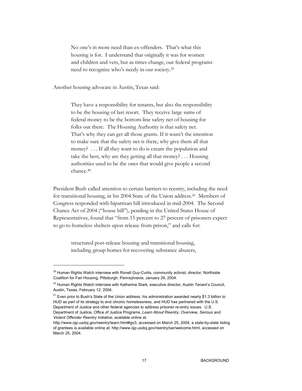No one's in more need than ex-offenders. That's what this housing is for. I understand that originally it was for women and children and vets, but as times change, our federal programs need to recognize who's needy in our society.39

Another housing advocate in Austin, Texas said:

They have a responsibility for tenants, but also the responsibility to be the housing of last resort. They receive large sums of federal money to be the bottom-line safety net of housing for folks out there. The Housing Authority is that safety net. That's why they can get all those grants. If it wasn't the intention to make sure that the safety net is there, why give them all that money? . . . If all they want to do is cream the population and take the best, why are they getting all that money? . . . Housing authorities used to be the ones that would give people a second chance.40

President Bush called attention to certain barriers to reentry, including the need for transitional housing, in his 2004 State of the Union address.41 Members of Congress responded with bipartisan bill introduced in mid-2004. The Second Chance Act of 2004 ("house bill"), pending in the United States House of Representatives, found that "from 15 percent to 27 percent of prisoners expect to go to homeless shelters upon release from prison," and calls for:

structured post-release housing and transitional housing, including group homes for recovering substance abusers,

<sup>&</sup>lt;sup>39</sup> Human Rights Watch interview with Ronell Guy-Curtis, community activist, director, Northside Coalition for Fair Housing, Pittsburgh, Pennsylvania, January 29, 2004.

<sup>&</sup>lt;sup>40</sup> Human Rights Watch interview with Katherine Stark, executive director, Austin Tenant's Council, Austin, Texas, February 12, 2004.

<sup>&</sup>lt;sup>41</sup> Even prior to Bush's State of the Union address, his administration awarded nearly \$1.3 billion to HUD as part of its strategy to end chronic homelessness, and HUD has partnered with the U.S. Department of Justice and other federal agencies to address prisoner re-entry issues. U.S. Department of Justice, Office of Justice Programs, *Learn About Reentry, Overview, Serious and Violent Offender Reentry Initiative,* available online at:

http://www.ojp.usdoj.gov/reentry/learn.html#go3, accessed on March 25, 2004; a state-by-state listing of grantees is available online at: http://www.ojp.usdoj.gov/reentry/sar/welcome.html, accessed on March 25, 2004.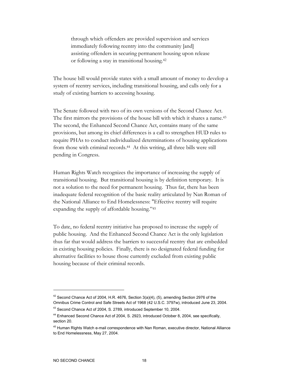through which offenders are provided supervision and services immediately following reentry into the community [and] assisting offenders in securing permanent housing upon release or following a stay in transitional housing.42

The house bill would provide states with a small amount of money to develop a system of reentry services, including transitional housing, and calls only for a study of existing barriers to accessing housing.

The Senate followed with two of its own versions of the Second Chance Act. The first mirrors the provisions of the house bill with which it shares a name.43 The second, the Enhanced Second Chance Act, contains many of the same provisions, but among its chief differences is a call to strengthen HUD rules to require PHAs to conduct individualized determinations of housing applications from those with criminal records.44 At this writing, all three bills were still pending in Congress.

Human Rights Watch recognizes the importance of increasing the supply of transitional housing. But transitional housing is by definition temporary. It is not a solution to the need for permanent housing. Thus far, there has been inadequate federal recognition of the basic reality articulated by Nan Roman of the National Alliance to End Homelessness: "Effective reentry will require expanding the supply of affordable housing."45

To date, no federal reentry initiative has proposed to increase the supply of public housing. And the Enhanced Second Chance Act is the only legislation thus far that would address the barriers to successful reentry that are embedded in existing housing policies. Finally, there is no designated federal funding for alternative facilities to house those currently excluded from existing public housing because of their criminal records.

 $42$  Second Chance Act of 2004, H.R. 4676, Section 3(a)(4), (5), amending Section 2976 of the Omnibus Crime Control and Safe Streets Act of 1968 (42 U.S.C. 3797w), introduced June 23, 2004.

<sup>43</sup> Second Chance Act of 2004, S. 2789, introduced September 10, 2004.

<sup>&</sup>lt;sup>44</sup> Enhanced Second Chance Act of 2004, S. 2923, introduced October 8, 2004, see specifically, section 20.

<sup>&</sup>lt;sup>45</sup> Human Rights Watch e-mail correspondence with Nan Roman, executive director, National Alliance to End Homelessness, May 27, 2004.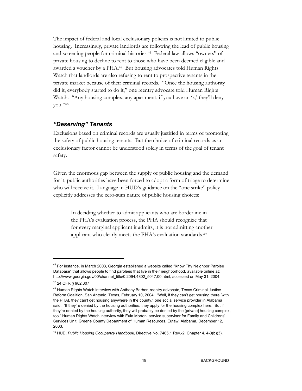The impact of federal and local exclusionary policies is not limited to public housing. Increasingly, private landlords are following the lead of public housing and screening people for criminal histories.46 Federal law allows "owners" of private housing to decline to rent to those who have been deemed eligible and awarded a voucher by a PHA.47 But housing advocates told Human Rights Watch that landlords are also refusing to rent to prospective tenants in the private market because of their criminal records. "Once the housing authority did it, everybody started to do it," one reentry advocate told Human Rights Watch. "Any housing complex, any apartment, if you have an 'x,' they'll deny you."48

## *"Deserving" Tenants*

Exclusions based on criminal records are usually justified in terms of promoting the safety of public housing tenants. But the choice of criminal records as an exclusionary factor cannot be understood solely in terms of the goal of tenant safety.

Given the enormous gap between the supply of public housing and the demand for it, public authorities have been forced to adopt a form of triage to determine who will receive it. Language in HUD's guidance on the "one strike" policy explicitly addresses the zero-sum nature of public housing choices:

> In deciding whether to admit applicants who are borderline in the PHA's evaluation process, the PHA should recognize that for every marginal applicant it admits, it is not admitting another applicant who clearly meets the PHA's evaluation standards.<sup>49</sup>

 $46$  For instance, in March 2003, Georgia established a website called "Know Thy Neighbor Parolee Database" that allows people to find parolees that live in their neighborhood, available online at: http://www.georgia.gov/00/channel\_title/0,2094,4802\_5047,00.html, accessed on May 31, 2004. 47 24 CFR § 982.307

<sup>&</sup>lt;sup>48</sup> Human Rights Watch interview with Anthony Barber, reentry advocate, Texas Criminal Justice Reform Coalition, San Antonio, Texas, February 10, 2004. "Well, if they can't get housing there [with the PHA], they can't get housing anywhere in the county," one social service provider in Alabama said. "If they're denied by the housing authorities, they apply for the housing complex here. But if they're denied by the housing authority, they will probably be denied by the [private] housing complex, too." Human Rights Watch interview with Eula Morton, service supervisor for Family and Childrens' Services Unit, Greene County Department of Human Resources, Eutaw, Alabama, December 12, 2003.

<sup>49</sup> HUD, *Public Housing Occupancy Handbook*, Directive No. 7465.1 Rev.-2, Chapter 4, 4-3(b)(3).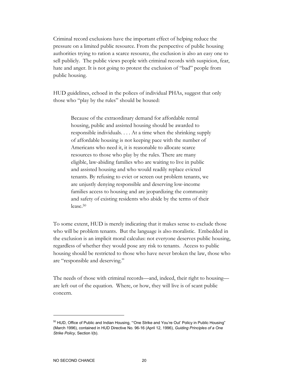Criminal record exclusions have the important effect of helping reduce the pressure on a limited public resource. From the perspective of public housing authorities trying to ration a scarce resource, the exclusion is also an easy one to sell publicly. The public views people with criminal records with suspicion, fear, hate and anger. It is not going to protest the exclusion of "bad" people from public housing.

HUD guidelines, echoed in the polices of individual PHAs, suggest that only those who "play by the rules" should be housed:

> Because of the extraordinary demand for affordable rental housing, public and assisted housing should be awarded to responsible individuals. . . . At a time when the shrinking supply of affordable housing is not keeping pace with the number of Americans who need it, it is reasonable to allocate scarce resources to those who play by the rules. There are many eligible, law-abiding families who are waiting to live in public and assisted housing and who would readily replace evicted tenants. By refusing to evict or screen out problem tenants, we are unjustly denying responsible and deserving low-income families access to housing and are jeopardizing the community and safety of existing residents who abide by the terms of their lease.50

To some extent, HUD is merely indicating that it makes sense to exclude those who will be problem tenants. But the language is also moralistic. Embedded in the exclusion is an implicit moral calculus: not everyone deserves public housing, regardless of whether they would pose any risk to tenants. Access to public housing should be restricted to those who have never broken the law, those who are "responsible and deserving."

The needs of those with criminal records—and, indeed, their right to housing are left out of the equation. Where, or how, they will live is of scant public concern.

<sup>&</sup>lt;sup>50</sup> HUD, Office of Public and Indian Housing, "'One Strike and You're Out' Policy in Public Housing" (March 1996), contained in HUD Directive No. 96-16 (April 12, 1996), *Guiding Principles of a One Strike Policy*, Section I(b).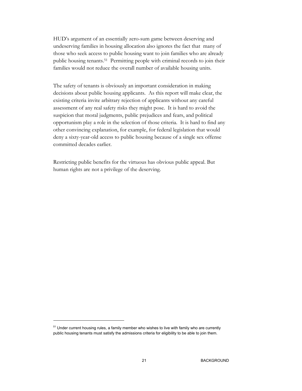HUD's argument of an essentially zero-sum game between deserving and undeserving families in housing allocation also ignores the fact that many of those who seek access to public housing want to join families who are already public housing tenants.51 Permitting people with criminal records to join their families would not reduce the overall number of available housing units.

The safety of tenants is obviously an important consideration in making decisions about public housing applicants. As this report will make clear, the existing criteria invite arbitrary rejection of applicants without any careful assessment of any real safety risks they might pose. It is hard to avoid the suspicion that moral judgments, public prejudices and fears, and political opportunism play a role in the selection of those criteria. It is hard to find any other convincing explanation, for example, for federal legislation that would deny a sixty-year-old access to public housing because of a single sex offense committed decades earlier.

Restricting public benefits for the virtuous has obvious public appeal. But human rights are not a privilege of the deserving.

<sup>&</sup>lt;sup>51</sup> Under current housing rules, a family member who wishes to live with family who are currently public housing tenants must satisfy the admissions criteria for eligibility to be able to join them.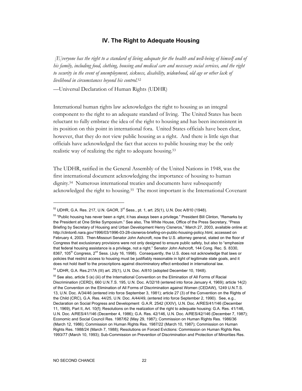## **IV. The Right to Adequate Housing**

 *[E]veryone has the right to a standard of living adequate for the health and well-being of himself and of his family, including food, clothing, housing and medical care and necessary social services, and the right to security in the event of unemployment, sickness, disability, widowhood, old age or other lack of livelihood in circumstances beyond his control.*<sup>52</sup>

—Universal Declaration of Human Rights (UDHR)

International human rights law acknowledges the right to housing as an integral component to the right to an adequate standard of living. The United States has been reluctant to fully embrace the idea of the right to housing and has been inconsistent in its position on this point in international fora. United States officials have been clear, however, that they do not view public housing as a right. And there is little sign that officials have acknowledged the fact that access to public housing may be the only realistic way of realizing the right to adequate housing.53

The UDHR, ratified in the General Assembly of the United Nations in 1948, was the first international document acknowledging the importance of housing to human dignity.54 Numerous international treaties and documents have subsequently acknowledged the right to housing.55 The most important is the International Covenant

 $52$  UDHR, G.A. Res. 217, U.N. GAOR,  $3^{\text{rd}}$  Sess., pt. 1, art. 25(1), U.N. Doc A/810 (1948).

 $53$  "Public housing has never been a right, it has always been a privilege." President Bill Clinton, "Remarks by the President at One Strike Symposium." See also, The White House, Office of the Press Secretary, "Press Briefing by Secretary of Housing and Urban Development Henry Cisneros," March 27, 2003, available online at: http://clinton6.nara.gov/1996/03/1996-03-28-cisneros-briefing-on-public-housing-policy.html, accessed on February 4, 2003. Then-Missouri Senator John Ashcroft, now the U.S. attorney general, stated on the floor of Congress that exclusionary provisions were not only designed to ensure public safety, but also to "emphasize that federal housing assistance is a privilege, not a right." Senator John Ashcroft, 144 Cong. Rec. S. 8330, 8367, 105<sup>th</sup> Congress, 2<sup>nd</sup> Sess. (July 16, 1998). Consequently, the U.S. does not acknowledge that laws or policies that restrict access to housing must be justifiably reasonable in light of legitimate state goals, and it does not hold itself to the proscriptions against discriminatory effect embodied in international law.

 $54$  UDHR, G.A. Res.217A (III) art. 25(1), U.N. Doc. A/810 (adopted December 10, 1948).

<sup>&</sup>lt;sup>55</sup> See also, article 5 (e) (iii) of the International Convention on the Elimination of All Forms of Racial Discrimination (CERD), 660 U.N.T.S. 195, U.N. Doc. A/32/18 (entered into force January 4, 1969); article 14(2) of the Convention on the Elimination of All Forms of Discrimination against Women (CEDAW), 1249 U.N.T.S. 13, U.N. Doc. A/34/46 (entered into force September 3, 1981); article 27 (3) of the Convention on the Rights of the Child (CRC), G.A. Res. 44/25, U.N. Doc. A/44/49, (entered into force September 2, 1990). See, e.g., Declaration on Social Progress and Development G.A.R. 2542 (XXIV), U.N. Doc. A/RES/41/146 (December 11, 1969), Part II, Art. 10(f); Resolutions on the realization of the right to adequate housing: G.A. Res. 41/146, U.N. Doc. A/RES/41/146 (December 4, 1986); G.A. Res. 42/146, U.N. Doc. A/RES/42/146 (December 7, 1987); Economic and Social Council Res. 1987/62 (May 29, 1987); Commission on Human Rights Res. 1986/36 (March 12, 1986); Commission on Human Rights Res. 1987/22 (March 10, 1987); Commission on Human Rights Res. 1988/24 (March 7, 1988); Resolutions on Forced Evictions: Commission on Human Rights Res. 1993/77 (March 10, 1993); Sub-Commission on Prevention of Discrimination and Protection of Minorities Res.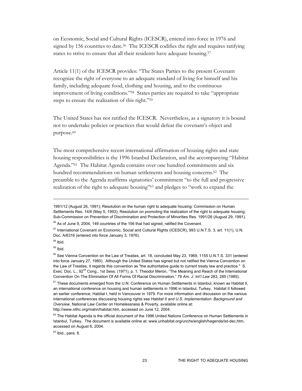on Economic, Social and Cultural Rights (ICESCR), entered into force in 1976 and signed by 156 countries to date.<sup>56</sup> The ICESCR codifies the right and requires ratifying states to strive to ensure that all their residents have adequate housing.<sup>57</sup>

Article 11(1) of the ICESCR provides: "The States Parties to the present Covenant recognize the right of everyone to an adequate standard of living for himself and his family, including adequate food, clothing and housing, and to the continuous improvement of living conditions."58 States parties are required to take "appropriate steps to ensure the realization of this right."59

The United States has not ratified the ICESCR. Nevertheless, as a signatory it is bound not to undertake policies or practices that would defeat the covenant's object and purpose.<sup>60</sup>

The most comprehensive recent international affirmation of housing rights and state housing responsibilities is the 1996 Istanbul Declaration, and the accompanying "Habitat Agenda."61The Habitat Agenda contains over one hundred commitments and six hundred recommendations on human settlements and housing concerns.<sup>62</sup> The preamble to the Agenda reaffirms signatories' commitment "to the full and progressive realization of the right to adequate housing"63 and pledges to "work to expand the

 $58$  Ibid.

-

 $59$  Ibid.

http://www.nlihc.org/mahn/habitat.htm, accessed on June 12, 2004.

 $63$  Ibid., para, 8.

<sup>1991/12 (</sup>August 26, 1991); Resolution on the human right to adequate housing: Commission on Human Settlements Res. 14/6 (May 5, 1993); Resolution on promoting the realization of the right to adequate housing: Sub-Commission on Prevention of Discrimination and Protection of Minorities Res. 1991/26 (August 29, 1991).

<sup>&</sup>lt;sup>56</sup> As of June 9, 2004, 149 countries of the 156 that had signed, ratified the Covenant.

<sup>57</sup> International Covenant on Economic, Social and Cultural Rights (ICESCR), 993 U.N.T.S. 3, art. 11(1), U.N. Doc. A/6316 (entered into force January 3, 1976).

<sup>&</sup>lt;sup>60</sup> See Vienna Convention on the Law of Treaties, art. 18, concluded May 23, 1969, 1155 U.N.T.S. 331 (entered into force January 27, 1980). Although the United States has signed but not ratified the Vienna Convention on the Law of Treaties, it regards this convention as "the authoritative guide to current treaty law and practice." S. Exec. Doc. L., 92<sup>nd</sup> Cong., 1st Sess. (1971), p. 1; Theodor Meron, "The Meaning and Reach of the International Convention On The Elimination Of All Forms Of Racial Discrimination," 79 *Am. J. Int'l Law* 283, 285 (1985).

<sup>&</sup>lt;sup>61</sup> These documents emerged from the U.N. Conference on Human Settlements in Istanbul, known as Habitat II, an international conference on housing and human settlements in 1996 in Istanbul, Turkey. Habitat II followed an earlier conference, Habitat I, held in Vancouver in 1979. For more information and discussion on the various international conferences discussing housing rights see *Habitat II and U.S. Implementation: Background and Overview*, National Law Center on Homelessness & Poverty, available online at:

 $62$  The Habitat Agenda is the official document of the 1996 United Nations Conference on Human Settlements in Istanbul, Turkey. The document is available online at: www.unhabitat.org/unchs/english/hagenda/ist-dec.htm, accessed on August 6, 2004.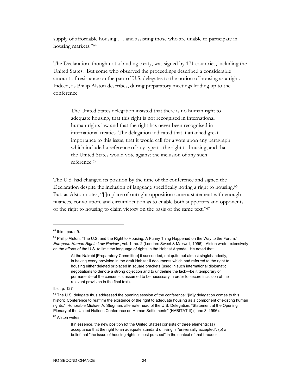supply of affordable housing . . . and assisting those who are unable to participate in housing markets."64

The Declaration, though not a binding treaty, was signed by 171 countries, including the United States.But some who observed the proceedings described a considerable amount of resistance on the part of U.S. delegates to the notion of housing as a right. Indeed, as Philip Alston describes, during preparatory meetings leading up to the conference:

The United States delegation insisted that there is no human right to adequate housing, that this right is not recognised in international human rights law and that the right has never been recognised in international treaties. The delegation indicated that it attached great importance to this issue, that it would call for a vote upon any paragraph which included a reference of any type to the right to housing, and that the United States would vote against the inclusion of any such reference.65

The U.S. had changed its position by the time of the conference and signed the Declaration despite the inclusion of language specifically noting a right to housing.<sup>66</sup> But, as Alston notes, "[i]n place of outright opposition came a statement with enough nuances, convolution, and circumlocution as to enable both supporters and opponents of the right to housing to claim victory on the basis of the same text."67

-

Ibid. p. 127

67 Alston writes:

 $64$  Ibid., para, 9.

<sup>&</sup>lt;sup>65</sup> Phillip Alston, "The U.S. and the Right to Housing: A Funny Thing Happened on the Way to the Forum," *European Human Rights Law Review* , vol. 1, no. 2 (London: Sweet & Maxwell, 1996). Alston wrote extensively on the efforts of the U.S. to limit the language of rights in the Habitat Agenda. He noted that:

At the Nairobi [Preparatory Committee] it succeeded, not quite but almost singlehandedly, in having every provision in the draft Habitat II documents which had referred to the right to housing either deleted or placed in square brackets (used in such international diplomatic negotiations to denote a strong objection and to underline the lack—be it temporary or permanent—of the consensus assumed to be necessary in order to secure inclusion of the relevant provision in the final text).

<sup>&</sup>lt;sup>66</sup> The U.S. delegate thus addressed the opening session of the conference: "[M]y delegation comes to this historic Conference to reaffirm the existence of the right to adequate housing as a component of existing human rights." Honorable Michael A. Stegman, alternate head of the U.S. Delegation, "Statement at the Opening Plenary of the United Nations Conference on Human Settlements" (HABITAT II) (June 3, 1996).

<sup>[</sup>I]n essence, the new position [of the United States] consists of three elements: (a) acceptance that the right to an adequate standard of living is "universally accepted"; (b) a belief that "the issue of housing rights is best pursued" in the context of that broader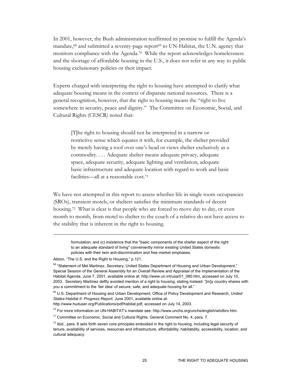In 2001, however, the Bush administration reaffirmed its promise to fulfill the Agenda's mandate,<sup>68</sup> and submitted a seventy-page report<sup>69</sup> to UN-Habitat, the U.N. agency that monitors compliance with the Agenda.<sup>70</sup> While the report acknowledges homelessness and the shortage of affordable housing in the U.S., it does not refer in any way to public housing exclusionary policies or their impact.

Experts charged with interpreting the right to housing have attempted to clarify what adequate housing means in the context of disparate national resources. There is a general recognition, however, that the right to housing means the "right to live somewhere in security, peace and dignity." The Committee on Economic, Social, and Cultural Rights (CESCR) noted that:

[T]he right to housing should not be interpreted in a narrow or restrictive sense which equates it with, for example, the shelter provided by merely having a roof over one's head or views shelter exclusively as a commodity. . . . Adequate shelter means adequate privacy, adequate space, adequate security, adequate lighting and ventilation, adequate basic infrastructure and adequate location with regard to work and basic facilities—all at a reasonable cost.71

We have not attempted in this report to assess whether life in single room occupancies (SROs), transient motels, or shelters satisfies the minimum standards of decent housing.72 What is clear is that people who are forced to move day to day, or even month to month, from motel to shelter to the couch of a relative do not have access to the stability that is inherent in the right to housing.

formulation; and (c) insistence that the "basic components of the shelter aspect of the right to an adequate standard of living" conveniently mirror existing United States domestic policies with their twin anti-discrimination and free market emphases.

 $\overline{a}$ 

http://www.huduser.org/Publications/pdf/habitat.pdf, accessed on July 14, 2003.

 $^{70}$  For more information on UN-HABITAT's mandate see: http://www.unchs.org/unchs/english/whdbro.htm.

Alston, "The U.S. and the Right to Housing," p.121.

<sup>68 &</sup>quot;Statement of Mel Martinez, Secretary, United States Department of Housing and Urban Development*,*" Special Session of the General Assembly for an Overall Review and Appraisal of the Implementation of the Habitat Agenda, June 7, 2001, available online at: http://www.un.int/usa/01\_080.htm, accessed on July 10, 2003. Secretary Martinez deftly avoided mention of a right to housing, stating instead: "[m]y country shares with you a commitment to the 'fair idea' of secure, safe, and adequate housing for all."

<sup>69</sup> U.S. Department of Housing and Urban Development, Office of Policy Development and Research, *United States-Habitat II: Progress Report*, June 2001, available online at:

<sup>&</sup>lt;sup>71</sup> Committee on Economic, Social and Cultural Rights, General Comment No. 4, para. 7.

 $72$  Ibid., para. 8 sets forth seven core principles embodied in the right to housing, including legal security of tenure, availability of services, resources and infrastructure, affordability, habitability, accessibility, location, and cultural adequacy.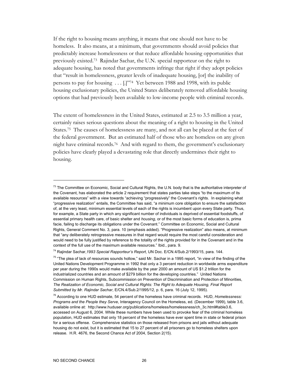If the right to housing means anything, it means that one should not have to be homeless. It also means, at a minimum, that governments should avoid policies that predictably increase homelessness or that reduce affordable housing opportunities that previously existed.73 Rajindar Sachar, the U.N. special rapporteur on the right to adequate housing, has noted that governments infringe that right if they adopt policies that "result in homelessness, greater levels of inadequate housing, [or] the inability of persons to pay for housing . . . [.]"74 Yet between 1988 and 1998, with its public housing exclusionary policies, the United States deliberately removed affordable housing options that had previously been available to low-income people with criminal records.

The extent of homelessness in the United States, estimated at 2.5 to 3.5 million a year, certainly raises serious questions about the meaning of a right to housing in the United States.75 The causes of homelessness are many, and not all can be placed at the feet of the federal government. But an estimated half of those who are homeless on any given night have criminal records.76 And with regard to them, the government's exclusionary policies have clearly played a devastating role that directly undermines their right to housing.

 $^{73}$  The Committee on Economic, Social and Cultural Rights, the U.N. body that is the authoritative interpreter of the Covenant, has elaborated the article 2 requirement that states parties take steps "to the maximum of its available resources" with a view towards "achieving "progressively" the Covenant's rights. In explaining what "progressive realization" entails, the Committee has said, "a minimum core obligation to ensure the satisfaction of, at the very least, minimum essential levels of each of the rights is incumbent upon every State party. Thus, for example, a State party in which any significant number of individuals is deprived of essential foodstuffs, of essential primary health care, of basic shelter and *housing*, or of the most basic forms of education is, prima facie, failing to discharge its obligations under the Covenant." Committee on Economic, Social and Cultural Rights, General Comment No. 3, para. 10 (emphasis added). "Progressive realization" also means, at minimum that "any deliberately retrogressive measures in that regard would require the most careful consideration and would need to be fully justified by reference to the totality of the rights provided for in the Covenant and in the context of the full use of the maximum available resources." Ibid., para. 9.

<sup>74</sup> Rajindar Sachar,*1993 Special Rapporteur's Report*, UN Doc. E/CN.4/Sub.2/1993/15, para. 144.

 $75$  "The plea of lack of resources sounds hollow," said Mr. Sachar in a 1995 report, "in view of the finding of the United Nations Development Programme in 1992 that only a 3 percent reduction in worldwide arms expenditure per year during the 1990s would make available by the year 2000 an amount of US \$1.2 trillion for the industrialized countries and an amount of \$279 billion for the developing countries." United Nations Commission on Human Rights, Subcommission on Prevention of Discrimination and Protection of Minorities, *The Realization of Economic, Social and Cultural Rights: The Right to Adequate Housing, Final Report Submitted by Mr. Rajindar Sachar*, E/CN.4/Sub.2/1995/12, p. 6, para. 16 (July 12, 1995).

<sup>76</sup> According to one HUD estimate, 54 percent of the homeless have criminal records. HUD, *Homelessness: Programs and the People they Serve*, Interagency Council on the Homeless, ed. (December 1999), table 3.6, available online at: http://www.huduser.org/publications/homeless/homelessness/ch\_3c.html#table3.6, accessed on August 6, 2004. While these numbers have been used to provoke fear of the criminal homeless population, HUD estimates that only 18 percent of the homeless have ever spent time in state or federal prison for a serious offense. Comprehensive statistics on those released from prisons and jails without adequate housing do not exist, but it is estimated that 15 to 27 percent of all prisoners go to homeless shelters upon release. H.R. 4676, the Second Chance Act of 2004, Section 2(15).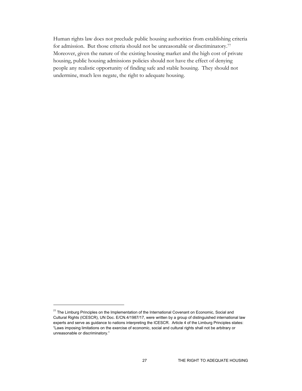Human rights law does not preclude public housing authorities from establishing criteria for admission. But those criteria should not be unreasonable or discriminatory.77 Moreover, given the nature of the existing housing market and the high cost of private housing, public housing admissions policies should not have the effect of denying people any realistic opportunity of finding safe and stable housing. They should not undermine, much less negate, the right to adequate housing.

<sup>&</sup>lt;sup>77</sup> The Limburg Principles on the Implementation of the International Covenant on Economic, Social and Cultural Rights (ICESCR), UN Doc. E/CN.4/1987/17, were written by a group of distinguished international law experts and serve as guidance to nations interpreting the ICESCR. Article 4 of the Limburg Principles states: "Laws imposing limitations on the exercise of economic, social and cultural rights shall not be arbitrary or unreasonable or discriminatory."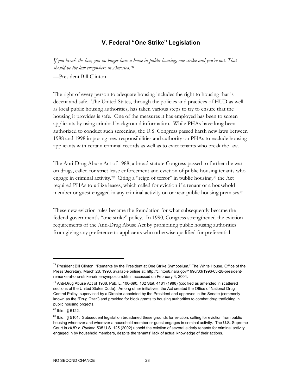## **V. Federal "One Strike" Legislation**

*If you break the law, you no longer have a home in public housing, one strike and you're out. That should be the law everywhere in America.*<sup>78</sup>

—President Bill Clinton

The right of every person to adequate housing includes the right to housing that is decent and safe. The United States, through the policies and practices of HUD as well as local public housing authorities, has taken various steps to try to ensure that the housing it provides is safe. One of the measures it has employed has been to screen applicants by using criminal background information. While PHAs have long been authorized to conduct such screening, the U.S. Congress passed harsh new laws between 1988 and 1998 imposing new responsibilities and authority on PHAs to exclude housing applicants with certain criminal records as well as to evict tenants who break the law.

The Anti-Drug Abuse Act of 1988, a broad statute Congress passed to further the war on drugs, called for strict lease enforcement and eviction of public housing tenants who engage in criminal activity.<sup>79</sup> Citing a "reign of terror" in public housing,<sup>80</sup> the Act required PHAs to utilize leases, which called for eviction if a tenant or a household member or guest engaged in any criminal activity on or near public housing premises.<sup>81</sup>

These new eviction rules became the foundation for what subsequently became the federal government's "one strike" policy. In 1990, Congress strengthened the eviction requirements of the Anti-Drug Abuse Act by prohibiting public housing authorities from giving any preference to applicants who otherwise qualified for preferential

<sup>&</sup>lt;sup>78</sup> President Bill Clinton, "Remarks by the President at One Strike Symposium," The White House, Office of the Press Secretary, March 28, 1996, available online at: http://clinton6.nara.gov/1996/03/1996-03-28-presidentremarks-at-one-strike-crime-symposium.html, accessed on February 4, 2004.

 $79$  Anti-Drug Abuse Act of 1988, Pub. L. 100-690, 102 Stat. 4181 (1988) (codified as amended in scattered sections of the United States Code). Among other initiatives, the Act created the Office of National Drug Control Policy, supervised by a Director appointed by the President and approved in the Senate (commonly known as the "Drug Czar") and provided for block grants to housing authorities to combat drug trafficking in public housing projects.

 $80$  Ibid., § 5122.

<sup>81</sup> Ibid., § 5101. Subsequent legislation broadened these grounds for eviction, calling for eviction from public housing whenever and wherever a household member or guest engages in criminal activity. The U.S. Supreme Court in *HUD v. Rucker*, 535 U.S. 125 (2002) upheld the eviction of several elderly tenants for criminal activity engaged in by household members, despite the tenants' lack of actual knowledge of their actions.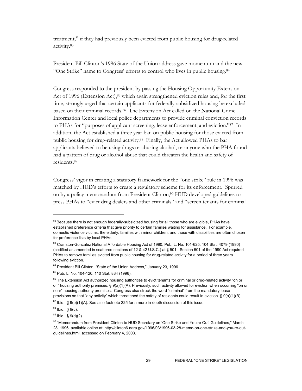treatment,<sup>82</sup> if they had previously been evicted from public housing for drug-related activity.83

President Bill Clinton's 1996 State of the Union address gave momentum and the new "One Strike" name to Congress' efforts to control who lives in public housing.84

Congress responded to the president by passing the Housing Opportunity Extension Act of 1996 (Extension Act), $85$  which again strengthened eviction rules and, for the first time, strongly urged that certain applicants for federally-subsidized housing be excluded based on their criminal records.86 The Extension Act called on the National Crime Information Center and local police departments to provide criminal conviction records to PHAs for "purposes of applicant screening, lease enforcement, and eviction."87 In addition, the Act established a three year ban on public housing for those evicted from public housing for drug-related activity.88 Finally, the Act allowed PHAs to bar applicants believed to be using drugs or abusing alcohol, or anyone who the PHA found had a pattern of drug or alcohol abuse that could threaten the health and safety of residents.89

Congress' vigor in creating a statutory framework for the "one strike" rule in 1996 was matched by HUD's efforts to create a regulatory scheme for its enforcement. Spurred on by a policy memorandum from President Clinton,90 HUD developed guidelines to press PHAs to "evict drug dealers and other criminals" and "screen tenants for criminal

<sup>&</sup>lt;sup>82</sup> Because there is not enough federally-subsidized housing for all those who are eligible, PHAs have established preference criteria that give priority to certain families waiting for assistance. For example, domestic violence victims, the elderly, families with minor children, and those with disabilities are often chosen for preference lists by local PHAs.

<sup>83</sup> Cranston-Gonzalez National Affordable Housing Act of 1990, Pub. L. No. 101-625, 104 Stat. 4079 (1990) (codified as amended in scattered sections of 12 & 42 U.S.C.) at § 501. Section 501 of the 1990 Act required PHAs to remove families evicted from public housing for drug-related activity for a period of three years following eviction.

<sup>84</sup> President Bill Clinton, "State of the Union Address," January 23, 1996.

<sup>85</sup> Pub. L. No. 104-120, 110 Stat. 834 (1996).

<sup>&</sup>lt;sup>86</sup> The Extension Act authorized housing authorities to evict tenants for criminal or drug-related activity "on or off" housing authority premises. § 9(a)(1)(A). Previously, such activity allowed for eviction when occurring "on or near" housing authority premises. Congress also struck the word "criminal" from the mandatory lease provisions so that "any activity" which threatened the safety of residents could result in eviction. § 9(a)(1)(B).

 $87$  Ibid., § 9(b)(1)(A). See also footnote 225 for a more in-depth discussion of this issue.

 $88$  Ibid.,  $$9(c)$ .

 $89$  Ibid., § 9(d)(2).

<sup>90 &</sup>quot;Memorandum from President Clinton to HUD Secretary on 'One Strike and You're Out' Guidelines," March 28, 1996, available online at: http://clinton6.nara.gov/1996/03/1996-03-28-memo-on-one-strike-and-you-re-outguidelines.html, accessed on February 4, 2003.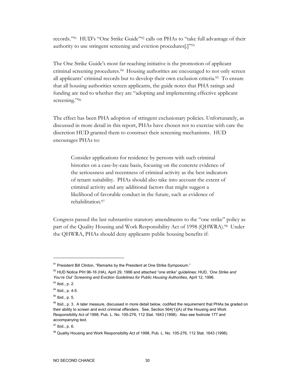records."91 HUD's "One Strike Guide"92 calls on PHAs to "take full advantage of their authority to use stringent screening and eviction procedures[.]"93

The One Strike Guide's most far-reaching initiative is the promotion of applicant criminal screening procedures.94 Housing authorities are encouraged to not only screen all applicants' criminal records but to develop their own exclusion criteria.95 To ensure that all housing authorities screen applicants, the guide notes that PHA ratings and funding are tied to whether they are "adopting and implementing effective applicant screening."96

The effect has been PHA adoption of stringent exclusionary policies. Unfortunately, as discussed in more detail in this report, PHAs have chosen not to exercise with care the discretion HUD granted them to construct their screening mechanisms. HUD encourages PHAs to:

Consider applications for residence by persons with such criminal histories on a case-by-case basis, focusing on the concrete evidence of the seriousness and recentness of criminal activity as the best indicators of tenant suitability. PHAs should also take into account the extent of criminal activity and any additional factors that might suggest a likelihood of favorable conduct in the future, such as evidence of rehabilitation.97

Congress passed the last substantive statutory amendments to the "one strike" policy as part of the Quality Housing and Work Responsibility Act of 1998 (QHWRA).98 Under the QHWRA, PHAs should deny applicants public housing benefits if:

<sup>91</sup> President Bill Clinton, "Remarks by the President at One Strike Symposium."

<sup>92</sup> HUD Notice PIH 96-16 (HA), April 29, 1996 and attached "one strike" guidelines: HUD, *'One Strike and You're Out' Screening and Eviction Guidelines for Public Housing Authorities*, April 12, 1996.

 $93$  Ibid., p. 2.

 $94$  Ibid., p. 4-5.

<sup>&</sup>lt;sup>95</sup> Ibid., p. 5.

<sup>96</sup> Ibid., p. 3. A later measure, discussed in more detail below, codified the requirement that PHAs be graded on their ability to screen and evict criminal offenders. See, Section 564(1)(A) of the Housing and Work Responsibility Act of 1998, Pub. L. No. 105-276, 112 Stat. 1643 (1998). Also see footnote 177 and accompanying text.

<sup>97</sup> Ibid., p. 6.

<sup>98</sup> Quality Housing and Work Responsibility Act of 1998, Pub. L. No. 105-276, 112 Stat. 1643 (1998).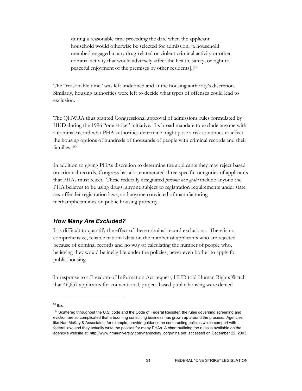during a reasonable time preceding the date when the applicant household would otherwise be selected for admission, [a household member] engaged in any drug-related or violent criminal activity or other criminal activity that would adversely affect the health, safety, or right to peaceful enjoyment of the premises by other residents[.]99

The "reasonable time" was left undefined and at the housing authority's discretion. Similarly, housing authorities were left to decide what types of offenses could lead to exclusion.

The QHWRA thus granted Congressional approval of admissions rules formulated by HUD during the 1996 "one strike" initiative. Its broad mandate to exclude anyone with a criminal record who PHA authorities determine might pose a risk continues to affect the housing options of hundreds of thousands of people with criminal records and their families.100

In addition to giving PHAs discretion to determine the applicants they may reject based on criminal records, Congress has also enumerated three specific categories of applicants that PHAs must reject. These federally designated *persona non grata* include anyone the PHA believes to be using drugs, anyone subject to registration requirements under state sex offender registration laws, and anyone convicted of manufacturing methamphetamines on public housing property.

### *How Many Are Excluded?*

It is difficult to quantify the effect of these criminal record exclusions. There is no comprehensive, reliable national data on the number of applicants who are rejected because of criminal records and no way of calculating the number of people who, believing they would be ineligible under the policies, never even bother to apply for public housing.

In response to a Freedom of Information Act request, HUD told Human Rights Watch that 46,657 applicants for conventional, project-based public housing were denied

<sup>99</sup> Ibid.

<sup>&</sup>lt;sup>100</sup> Scattered throughout the U.S. code and the Code of Federal Register, the rules governing screening and eviction are so complicated that a booming consulting business has grown up around the process. Agencies like Nan McKay & Associates, for example, provide guidance on constructing policies which comport with federal law, and they actually write the policies for many PHAs. A chart outlining the rules is available on the agency's website at: http://www.nmauniversity.com/nanmckay\_corp/nlha.pdf, accessed on December 22, 2003.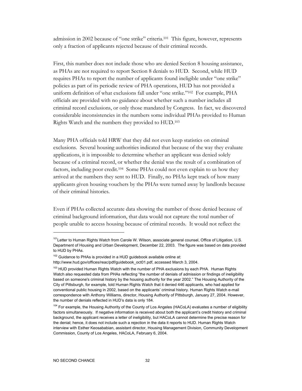admission in 2002 because of "one strike" criteria.101 This figure, however, represents only a fraction of applicants rejected because of their criminal records.

First, this number does not include those who are denied Section 8 housing assistance, as PHAs are not required to report Section 8 denials to HUD. Second, while HUD requires PHAs to report the number of applicants found ineligible under "one strike" policies as part of its periodic review of PHA operations, HUD has not provided a uniform definition of what exclusions fall under "one strike."102 For example, PHA officials are provided with no guidance about whether such a number includes all criminal record exclusions, or only those mandated by Congress. In fact, we discovered considerable inconsistencies in the numbers some individual PHAs provided to Human Rights Watch and the numbers they provided to HUD.103

Many PHA officials told HRW that they did not even keep statistics on criminal exclusions. Several housing authorities indicated that because of the way they evaluate applications, it is impossible to determine whether an applicant was denied solely because of a criminal record, or whether the denial was the result of a combination of factors, including poor credit.104 Some PHAs could not even explain to us how they arrived at the numbers they sent to HUD. Finally, no PHAs kept track of how many applicants given housing vouchers by the PHAs were turned away by landlords because of their criminal histories.

Even if PHAs collected accurate data showing the number of those denied because of criminal background information, that data would not capture the total number of people unable to access housing because of criminal records. It would not reflect the

<sup>&</sup>lt;sup>101</sup>Letter to Human Rights Watch from Carole W. Wilson, associate general counsel, Office of Litigation, U.S. Department of Housing and Urban Development, December 22, 2003. The figure was based on data provided to HUD by PHAs.

<sup>102</sup> Guidance to PHAs is provided in a HUD guidebook available online at:

http://www.hud.gov/offices/reac/pdf/guidebook\_oct01.pdf, accessed March 3, 2004.

<sup>&</sup>lt;sup>103</sup> HUD provided Human Rights Watch with the number of PHA exclusions by each PHA. Human Rights Watch also requested data from PHAs reflecting "the number of denials of admission or findings of ineligibility based on someone's criminal history by the housing authority for the year 2002." The Housing Authority of the City of Pittsburgh, for example, told Human Rights Watch that it denied 446 applicants, who had applied for conventional public housing in 2002, based on the applicants' criminal history. Human Rights Watch e-mail correspondence with Anthony Williams, director, Housing Authority of Pittsburgh, January 27, 2004. However, the number of denials reflected in HUD's data is only 184.

<sup>104</sup> For example, the Housing Authority of the County of Los Angeles (HACoLA) evaluates a number of eligibility factors simultaneously. If negative information is received about both the applicant's credit history and criminal background, the applicant receives a letter of ineligibility, but HACoLA cannot determine the precise reason for the denial; hence, it does not include such a rejection in the data it reports to HUD. Human Rights Watch interview with Esther Keosababian, assistant director, Housing Management Division, Community Development Commission, County of Los Angeles, HACoLA, February 6, 2004.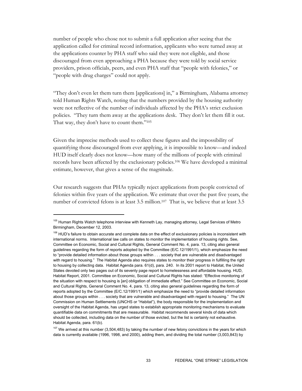number of people who chose not to submit a full application after seeing that the application called for criminal record information, applicants who were turned away at the applications counter by PHA staff who said they were not eligible, and those discouraged from even approaching a PHA because they were told by social service providers, prison officials, peers, and even PHA staff that "people with felonies," or "people with drug charges" could not apply.

"They don't even let them turn them [applications] in," a Birmingham, Alabama attorney told Human Rights Watch, noting that the numbers provided by the housing authority were not reflective of the number of individuals affected by the PHA's strict exclusion policies. "They turn them away at the applications desk. They don't let them fill it out. That way, they don't have to count them."<sup>105</sup>

Given the imprecise methods used to collect these figures and the impossibility of quantifying those discouraged from ever applying, it is impossible to know—and indeed HUD itself clearly does not know—how many of the millions of people with criminal records have been affected by the exclusionary policies.106 We have developed a minimal estimate, however, that gives a sense of the magnitude.

Our research suggests that PHAs typically reject applications from people convicted of felonies within five years of the application. We estimate that over the past five years, the number of convicted felons is at least 3.5 million.107 That is, we believe that at least 3.5

<sup>&</sup>lt;sup>105</sup> Human Rights Watch telephone interview with Kenneth Lay, managing attorney, Legal Services of Metro Birmingham, December 12, 2003.

 $106$  HUD's failure to obtain accurate and complete data on the effect of exclusionary policies is inconsistent with international norms. International law calls on states to monitor the implementation of housing rights. See, Committee on Economic, Social and Cultural Rights, General Comment No. 4, para. 13, citing also general guidelines regarding the form of reports adopted by the Committee (E/C.12/1991/1), which emphasize the need to "provide detailed information about those groups within . . . society that are vulnerable and disadvantaged with regard to housing." The Habitat Agenda also requires states to monitor their progress in fulfilling the right to housing by collecting data. Habitat Agenda para. 61(d), para. 240. In its 2001 report to Habitat, the United States devoted only two pages out of its seventy page report to homelessness and affordable housing. HUD, Habitat Report, 2001. Committee on Economic, Social and Cultural Rights has stated: "Effective monitoring of the situation with respect to housing is [an] obligation of immediate effect." See Committee on Economic, Social and Cultural Rights, General Comment No. 4, para. 13, citing also general guidelines regarding the form of reports adopted by the Committee (E/C.12/1991/1) which emphasize the need to "provide detailed information about those groups within . . . society that are vulnerable and disadvantaged with regard to housing." The UN Commission on Human Settlements (UNCHS or "Habitat"), the body responsible for the implementation and oversight of the Habitat Agenda, has urged states to establish appropriate monitoring mechanisms to evaluate quantifiable data on commitments that are measurable. Habitat recommends several kinds of data which should be collected, including data on the number of those evicted, but the list is certainly not exhaustive. Habitat Agenda, para. 61(b).

 $107$  We arrived at this number (3,504,483) by taking the number of new felony convictions in the years for which data is currently available (1996, 1998, and 2000), adding them, and dividing the total number (3,003,843) by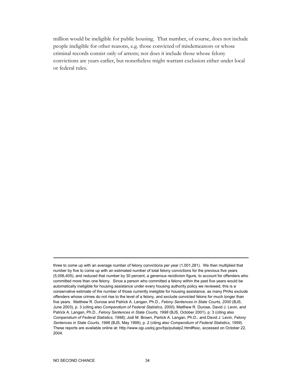million would be ineligible for public housing. That number, of course, does not include people ineligible for other reasons, e.g. those convicted of misdemeanors or whose criminal records consist only of arrests; nor does it include those whose felony convictions are years earlier, but nonetheless might warrant exclusion either under local or federal rules.

three to come up with an average number of felony convictions per year (1,001,281). We then multiplied that number by five to come up with an estimated number of total felony convictions for the previous five years (5,006,405), and reduced that number by 30 percent, a generous recidivism figure, to account for offenders who committed more than one felony. Since a person who committed a felony within the past five years would be automatically ineligible for housing assistance under every housing authority policy we reviewed, this is a conservative estimate of the number of those currently ineligible for housing assistance, as many PHAs exclude offenders whose crimes do not rise to the level of a felony, and exclude convicted felons for much longer than five years. Matthew R. Durose and Patrick A. Langan, Ph.D., *Felony Sentences in State Courts, 2000* (BJS, June 2003), p. 3 (citing also *Compendium of Federal Statistics, 2000*); Matthew R. Durose, David J. Levin, and Patrick A. Langan, Ph.D., *Felony Sentences in State Courts, 1998* (BJS, October 2001), p. 3 (citing also *Compendium of Federal Statistics, 1998*); Jodi M. Brown, Partick A. Langan, Ph.D., and David J. Levin, *Felony Sentences in State Courts, 1996* (BJS, May 1999), p. 2 (citing also *Compendium of Federal Statistics, 1999*). These reports are available online at: http://www.ojp.usdoj.gov/bjs/pubalp2.htm#fssc, accessed on October 22, 2004.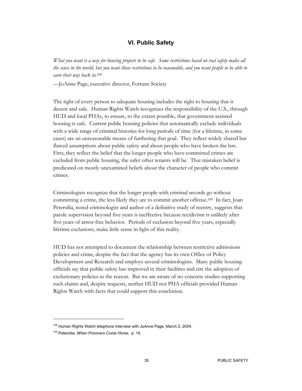## **VI. Public Safety**

*What you want is a way for housing projects to be safe. Some restrictions based on real safety make all the sense in the world, but you want those restrictions to be reasonable, and you want people to be able to earn their way back in.108*

—JoAnne Page, executive director, Fortune Society

The right of every person to adequate housing includes the right to housing that is decent and safe. Human Rights Watch recognizes the responsibility of the U.S., through HUD and local PHAs, to ensure, to the extent possible, that government-assisted housing is safe. Current public housing policies that automatically exclude individuals with a wide range of criminal histories for long periods of time (for a lifetime, in some cases) are an unreasonable means of furthering that goal. They reflect widely shared but flawed assumptions about public safety and about people who have broken the law. First, they reflect the belief that the longer people who have committed crimes are excluded from public housing, the safer other tenants will be. That mistaken belief is predicated on mostly unexamined beliefs about the character of people who commit crimes.

Criminologists recognize that the longer people with criminal records go without committing a crime, the less likely they are to commit another offense.109 In fact, Joan Petersilia, noted criminologist and author of a definitive study of reentry, suggests that parole supervision beyond five years is ineffective because recidivism is unlikely after five years of arrest-free behavior. Periods of exclusion beyond five years, especially lifetime exclusions, make little sense in light of this reality.

HUD has not attempted to document the relationship between restrictive admissions policies and crime, despite the fact that the agency has its own Office of Policy Development and Research and employs several criminologists. Many public housing officials say that public safety has improved in their facilities and cite the adoption of exclusionary policies as the reason. But we are aware of no concrete studies supporting such claims and, despite requests, neither HUD nor PHA officials provided Human Rights Watch with facts that could support this conclusion.

<sup>&</sup>lt;sup>108</sup> Human Rights Watch telephone interview with JoAnne Page, March 2, 2004.

<sup>109</sup> Petersilia, *When Prisoners Come Home,* p. 18.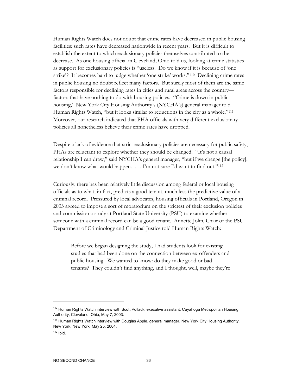Human Rights Watch does not doubt that crime rates have decreased in public housing facilities: such rates have decreased nationwide in recent years. But it is difficult to establish the extent to which exclusionary policies themselves contributed to the decrease. As one housing official in Cleveland, Ohio told us, looking at crime statistics as support for exclusionary policies is "useless. Do we know if it is because of 'one strike'? It becomes hard to judge whether 'one strike' works."110 Declining crime rates in public housing no doubt reflect many factors. But surely most of them are the same factors responsible for declining rates in cities and rural areas across the country factors that have nothing to do with housing policies. "Crime is down in public housing," New York City Housing Authority's (NYCHA's) general manager told Human Rights Watch, "but it looks similar to reductions in the city as a whole."111 Moreover, our research indicated that PHA officials with very different exclusionary policies all nonetheless believe their crime rates have dropped.

Despite a lack of evidence that strict exclusionary policies are necessary for public safety, PHAs are reluctant to explore whether they should be changed. "It's not a causal relationship I can draw," said NYCHA's general manager, "but if we change [the policy], we don't know what would happen. . . . I'm not sure I'd want to find out."<sup>112</sup>

Curiously, there has been relatively little discussion among federal or local housing officials as to what, in fact, predicts a good tenant, much less the predictive value of a criminal record. Pressured by local advocates, housing officials in Portland, Oregon in 2003 agreed to impose a sort of moratorium on the strictest of their exclusion policies and commission a study at Portland State University (PSU) to examine whether someone with a criminal record can be a good tenant. Annette Jolin, Chair of the PSU Department of Criminology and Criminal Justice told Human Rights Watch:

Before we began designing the study, I had students look for existing studies that had been done on the connection between ex-offenders and public housing. We wanted to know: do they make good or bad tenants? They couldn't find anything, and I thought, well, maybe they're

<sup>&</sup>lt;sup>110</sup> Human Rights Watch interview with Scott Pollack, executive assistant, Cuyahoga Metropolitan Housing Authority, Cleveland, Ohio, May 7, 2003.

<sup>&</sup>lt;sup>111</sup> Human Rights Watch interview with Douglas Apple, general manager, New York City Housing Authority, New York, New York, May 25, 2004.

 $112$  Ibid.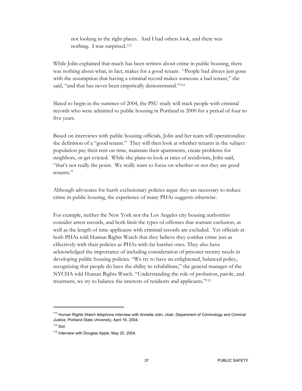not looking in the right places. And I had others look, and there was nothing. I was surprised.113

While Jolin explained that much has been written about crime in public housing, there was nothing about what, in fact, makes for a good tenant. "People had always just gone with the assumption that having a criminal record makes someone a bad tenant," she said, "and that has never been empirically demonstrated."<sup>114</sup>

Slated to begin in the summer of 2004, the PSU study will track people with criminal records who were admitted to public housing in Portland in 2000 for a period of four to five years.

Based on interviews with public housing officials, Jolin and her team will operationalize the definition of a "good tenant." They will then look at whether tenants in the subject population pay their rent on time, maintain their apartments, create problems for neighbors, or get evicted. While she plans to look at rates of recidivism, Jolin said, "that's not really the point. We really want to focus on whether or not they are good tenants."

Although advocates for harsh exclusionary policies argue they are necessary to reduce crime in public housing, the experience of many PHAs suggests otherwise.

For example, neither the New York nor the Los Angeles city housing authorities consider arrest records, and both limit the types of offenses that warrant exclusion, as well as the length of time applicants with criminal records are excluded. Yet officials at both PHAs told Human Rights Watch that they believe they combat crime just as effectively with their policies as PHAs with far harsher ones. They also have acknowledged the importance of including consideration of prisoner reentry needs in developing public housing policies. "We try to have an enlightened, balanced policy, recognizing that people do have the ability to rehabilitate," the general manager of the NYCHA told Human Rights Watch. "Understanding the role of probation, parole, and treatment, we try to balance the interests of residents and applicants."115

<sup>&</sup>lt;sup>113</sup> Human Rights Watch telephone interview with Annette Jolin, chair, Department of Criminology and Criminal Justice, Portland State University, April 16, 2004.

 $114$  Ibid.

<sup>115</sup> Interview with Douglas Apple, May 25, 2004.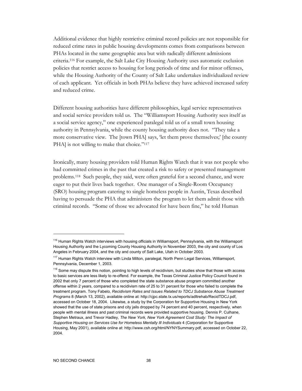Additional evidence that highly restrictive criminal record policies are not responsible for reduced crime rates in public housing developments comes from comparisons between PHAs located in the same geographic area but with radically different admissions criteria.116 For example, the Salt Lake City Housing Authority uses automatic exclusion policies that restrict access to housing for long periods of time and for minor offenses, while the Housing Authority of the County of Salt Lake undertakes individualized review of each applicant. Yet officials in both PHAs believe they have achieved increased safety and reduced crime.

Different housing authorities have different philosophies, legal service representatives and social service providers told us. The "Williamsport Housing Authority sees itself as a social service agency," one experienced paralegal told us of a small town housing authority in Pennsylvania, while the county housing authority does not. "They take a more conservative view. The [town PHA] says, 'let them prove themselves;' [the county PHA] is not willing to make that choice."<sup>117</sup>

Ironically, many housing providers told Human Rights Watch that it was not people who had committed crimes in the past that created a risk to safety or presented management problems.118 Such people, they said, were often grateful for a second chance, and were eager to put their lives back together. One manager of a Single-Room Occupancy (SRO) housing program catering to single homeless people in Austin, Texas described having to persuade the PHA that administers the program to let them admit those with criminal records. "Some of those we advocated for have been fine," he told Human

<sup>&</sup>lt;sup>116</sup> Human Rights Watch interviews with housing officials in Williamsport, Pennsylvania, with the Williamsport Housing Authority and the Lycoming County Housing Authority in November 2003, the city and county of Los Angeles in February 2004, and the city and county of Salt Lake, Utah in October 2003.

<sup>&</sup>lt;sup>117</sup> Human Rights Watch interview with Linda Milton, paralegal, North Penn Legal Services, Williamsport, Pennsylvania, December 1, 2003.

<sup>&</sup>lt;sup>118</sup> Some may dispute this notion, pointing to high levels of recidivism, but studies show that those with access to basic services are less likely to re-offend. For example, the Texas Criminal Justice Policy Council found in 2002 that only 7 percent of those who completed the state substance abuse program committed another offense within 2 years, compared to a recidivism rate of 25 to 31 percent for those who failed to complete the treatment program. Tony Fabelo, *Recidivism Rates and Issues Related to TDCJ Substance Abuse Treatment Programs* 8 (March 13, 2002), available online at: http://cjpc.state.tx.us/reports/adltrehab/RecidTDCJ.pdf, accessed on October 18, 2004. Likewise, a study by the Corporation for Supportive Housing in New York showed that the use of state prisons and city jails dropped by 74 percent and 40 percent, respectively, when people with mental illness and past criminal records were provided supportive housing. Dennis P. Culhane, Stephen Metraux, and Trevor Hadley, *The New York, New York Agreement Cost Study: The Impact of Supportive Housing on Services Use for Homeless Mentally Ill Individuals* 4 (Corporation for Supportive Housing, May 2001), available online at: http://www.csh.org/html/NYNYSummary.pdf, accessed on October 22, 2004.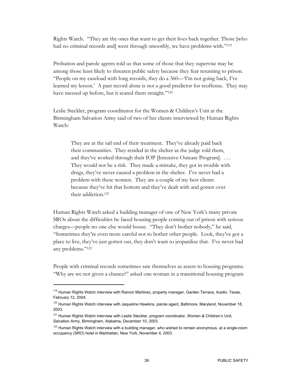Rights Watch. "They are the ones that want to get their lives back together. Those [who had no criminal records and] went through smoothly, we have problems with."<sup>119</sup>

Probation and parole agents told us that some of those that they supervise may be among those least likely to threaten public safety because they fear returning to prison. "People on my caseload with long records, they do a 360—'I'm not going back, I've learned my lesson.' A past record alone is not a good predictor for reoffense. They may have messed up before, but it scared them straight."<sup>120</sup>

Leslie Steckler, program coordinator for the Women & Children's Unit at the Birmingham Salvation Army said of two of her clients interviewed by Human Rights Watch:

They are at the tail end of their treatment. They've already paid back their communities. They resided in the shelter as the judge told them, and they've worked through their IOP [Intensive Outcare Program]. . . . They would not be a risk. They made a mistake, they got in trouble with drugs, they've never caused a problem in the shelter. I've never had a problem with these women. They are a couple of my best clients because they've hit that bottom and they've dealt with and gotten over their addiction.121

Human Rights Watch asked a building manager of one of New York's many private SROs about the difficulties he faced housing people coming out of prison with serious charges—people no one else would house. "They don't bother nobody," he said, "Sometimes they're even more careful not to bother other people. Look, they've got a place to live, they've just gotten out, they don't want to jeopardize that. I've never had any problems."122

People with criminal records sometimes saw themselves as assets to housing programs. "Why are we not given a chance?" asked one woman in a transitional housing program

<sup>&</sup>lt;sup>119</sup> Human Rights Watch interview with Ramon Martinez, property manager, Garden Terrace, Austin, Texas, February 12, 2004.

<sup>&</sup>lt;sup>120</sup> Human Rights Watch interview with Jaqueline Hawkins, parole agent, Baltimore, Maryland, November 18, 2003.

<sup>&</sup>lt;sup>121</sup> Human Rights Watch interview with Leslie Steckler, program coordinator, Women & Children's Unit, Salvation Army, Birmingham, Alabama, December 10, 2003.

 $122$  Human Rights Watch interview with a building manager, who wished to remain anonymous, at a single-room occupancy (SRO) hotel in Manhattan, New York, November 4, 2003.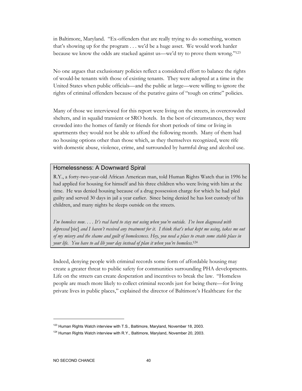in Baltimore, Maryland. "Ex-offenders that are really trying to do something, women that's showing up for the program . . . we'd be a huge asset. We would work harder because we know the odds are stacked against us—we'd try to prove them wrong."123

No one argues that exclusionary policies reflect a considered effort to balance the rights of would-be tenants with those of existing tenants. They were adopted at a time in the United States when public officials—and the public at large—were willing to ignore the rights of criminal offenders because of the putative gains of "tough on crime" policies.

Many of those we interviewed for this report were living on the streets, in overcrowded shelters, and in squalid transient or SRO hotels. In the best of circumstances, they were crowded into the homes of family or friends for short periods of time or living in apartments they would not be able to afford the following month. Many of them had no housing options other than those which, as they themselves recognized, were rife with domestic abuse, violence, crime, and surrounded by harmful drug and alcohol use.

### Homelessness: A Downward Spiral

R.Y., a forty-two-year-old African American man, told Human Rights Watch that in 1996 he had applied for housing for himself and his three children who were living with him at the time. He was denied housing because of a drug possession charge for which he had pled guilty and served 30 days in jail a year earlier. Since being denied he has lost custody of his children, and many nights he sleeps outside on the streets.

*I'm homeless now. . . . It's real hard to stay not using when you're outside. I've been diagnosed with depressed* [sic] *and I haven't received any treatment for it. I think that's what kept me using, takes me out of my misery and the shame and guilt of homelessness. Hey, you need a place to create some stable place in your life. You have to ad lib your day instead of plan it when you're homeless.*124

Indeed, denying people with criminal records some form of affordable housing may create a greater threat to public safety for communities surrounding PHA developments. Life on the streets can create desperation and incentives to break the law. "Homeless people are much more likely to collect criminal records just for being there—for living private lives in public places," explained the director of Baltimore's Healthcare for the

<sup>&</sup>lt;sup>123</sup> Human Rights Watch interview with T.S., Baltimore, Maryland, November 18, 2003.

 $124$  Human Rights Watch interview with R.Y., Baltimore, Maryland, November 20, 2003.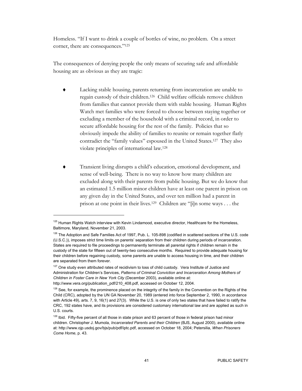Homeless. "If I want to drink a couple of bottles of wine, no problem. On a street corner, there are consequences."125

The consequences of denying people the only means of securing safe and affordable housing are as obvious as they are tragic:

- Lacking stable housing, parents returning from incarceration are unable to regain custody of their children.126 Child welfare officials remove children from families that cannot provide them with stable housing. Human Rights Watch met families who were forced to choose between staying together or excluding a member of the household with a criminal record, in order to secure affordable housing for the rest of the family. Policies that so obviously impede the ability of families to reunite or remain together flatly contradict the "family values" espoused in the United States.127 They also violate principles of international law.128
- Transient living disrupts a child's education, emotional development, and sense of well-being. There is no way to know how many children are excluded along with their parents from public housing. But we do know that an estimated 1.5 million minor children have at least one parent in prison on any given day in the United States, and over ten million had a parent in prison at one point in their lives.129 Children are "[i]n some ways . . . the

<sup>&</sup>lt;sup>125</sup> Human Rights Watch interview with Kevin Lindamood, executive director, Healthcare for the Homeless, Baltimore, Maryland, November 21, 2003.

 $126$  The Adoption and Safe Families Act of 1997, Pub. L. 105-898 (codified in scattered sections of the U.S. code (U.S.C.)), imposes strict time limits on parents' separation from their children during periods of incarceration. States are required to file proceedings to permanently terminate all parental rights if children remain in the custody of the state for fifteen out of twenty-two consecutive months. Required to provide adequate housing for their children before regaining custody, some parents are unable to access housing in time, and their children are separated from them forever.

<sup>&</sup>lt;sup>127</sup> One study even attributed rates of recidivism to loss of child custody. Vera Institute of Justice and Administration for Children's Services, *Patterns of Criminal Conviction and Incarceration Among Mothers of Children in Foster Care in New York City* (December 2003), available online at: http://www.vera.org/publication\_pdf/210\_408.pdf, accessed on October 12, 2004.

<sup>&</sup>lt;sup>128</sup> See, for example, the prominence placed on the integrity of the family in the Convention on the Rights of the Child (CRC), adopted by the UN GA November 20, 1989 (entered into force September 2, 1990, in accordance with Article 49), arts. 7, 9, 16(1) and 27(3). While the U.S. is one of only two states that have failed to ratify the CRC, 192 states have, and its provisions are considered customary international law and are applied as such in U.S. courts.

<sup>&</sup>lt;sup>129</sup> Ibid. Fifty-five percent of all those in state prison and 63 percent of those in federal prison had minor children. Christopher J. Mumola, *Incarcerated Parents and their Children* (BJS, August 2000), available online at: http://www.ojp.usdoj.gov/bjs/pub/pdf/iptc.pdf, accessed on October 18, 2004; Petersilia, *When Prisoners Come Home*, p. 43.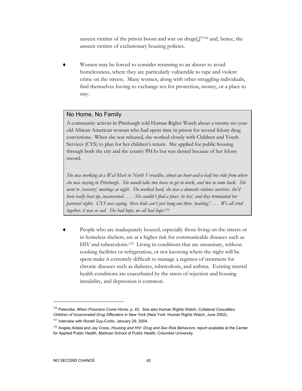unseen victims of the prison boom and war on drugs[,]"130 and, hence, the unseen victims of exclusionary housing policies.

Women may be forced to consider returning to an abuser to avoid homelessness, where they are particularly vulnerable to rape and violent crime on the streets. Many women, along with other struggling individuals, find themselves having to exchange sex for protection, money, or a place to stay.

# No Home, No Family

A community activist in Pittsburgh told Human Rights Watch about a twenty-six-yearold African American woman who had spent time in prison for several felony drug convictions. When she was released, she worked closely with Children and Youth Services (CYS) to plan for her children's return. She applied for public housing through both the city and the county PHAs but was denied because of her felony record.

*She was working at a Wal-Mart in North Versailles, about an hour-and-a-half bus ride from where she was staying in Pittsburgh. She would take two buses to get to work, and two to come back. She went to [recovery] meetings at night. She worked hard, she was a domestic violence survivor, she'd been really beat up, incarcerated . . . . She couldn't find a place [to live] and they terminated her parental rights. CYS was saying, 'these kids can't just hang out there [waiting]' . . . We all cried together, it was so sad. She had hope, we all had hope*. 131

People who are inadequately housed, especially those living on the streets or in homeless shelters, are at a higher risk for communicable diseases such as HIV and tuberculosis.132 Living in conditions that are unsanitary, without cooking facilities or refrigeration, or not knowing where the night will be spent make it extremely difficult to manage a regimen of treatment for chronic diseases such as diabetes, tuberculosis, and asthma. Existing mental health conditions are exacerbated by the stress of rejection and housing instability, and depression is common.

<sup>130</sup> Petersilia, *When Prisoners Come Home*, p. 43. See also Human Rights Watch, *Collateral Casualties: Children of Incarcerated Drug Offenders in New York* (New York: Human Rights Watch, June 2002).

<sup>131</sup> Interview with Ronell Guy-Curtis, January 29, 2004.

<sup>132</sup> Angela Aidala and Jay Cross, *Housing and HIV: Drug and Sex Risk Behaviors*, report available at the Center for Applied Public Health, Mailman School of Public Health, Columbia University.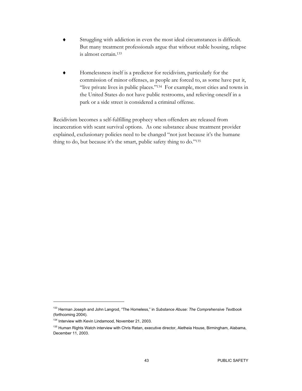- Struggling with addiction in even the most ideal circumstances is difficult. But many treatment professionals argue that without stable housing, relapse is almost certain.133
- Homelessness itself is a predictor for recidivism, particularly for the commission of minor offenses, as people are forced to, as some have put it, "live private lives in public places."134 For example, most cities and towns in the United States do not have public restrooms, and relieving oneself in a park or a side street is considered a criminal offense.

Recidivism becomes a self-fulfilling prophecy when offenders are released from incarceration with scant survival options. As one substance abuse treatment provider explained, exclusionary policies need to be changed "not just because it's the humane thing to do, but because it's the smart, public safety thing to do."135

<sup>133</sup> Herman Joseph and John Langrod, "The Homeless," in *Substance Abuse: The Comprehensive Textbook* (forthcoming 2004).

<sup>&</sup>lt;sup>134</sup> Interview with Kevin Lindamood, November 21, 2003.

<sup>&</sup>lt;sup>135</sup> Human Rights Watch interview with Chris Retan, executive director, Aletheia House, Birmingham, Alabama, December 11, 2003.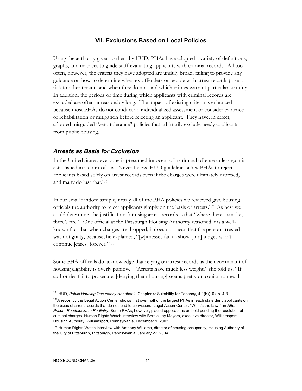### **VII. Exclusions Based on Local Policies**

Using the authority given to them by HUD, PHAs have adopted a variety of definitions, graphs, and matrices to guide staff evaluating applicants with criminal records. All too often, however, the criteria they have adopted are unduly broad, failing to provide any guidance on how to determine when ex-offenders or people with arrest records pose a risk to other tenants and when they do not, and which crimes warrant particular scrutiny. In addition, the periods of time during which applicants with criminal records are excluded are often unreasonably long. The impact of existing criteria is enhanced because most PHAs do not conduct an individualized assessment or consider evidence of rehabilitation or mitigation before rejecting an applicant. They have, in effect, adopted misguided "zero tolerance" policies that arbitrarily exclude needy applicants from public housing.

#### *Arrests as Basis for Exclusion*

In the United States, everyone is presumed innocent of a criminal offense unless guilt is established in a court of law. Nevertheless, HUD guidelines allow PHAs to reject applicants based solely on arrest records even if the charges were ultimately dropped, and many do just that.136

In our small random sample, nearly all of the PHA policies we reviewed give housing officials the authority to reject applicants simply on the basis of arrests.137 As best we could determine, the justification for using arrest records is that "where there's smoke, there's fire." One official at the Pittsburgh Housing Authority reasoned it is a wellknown fact that when charges are dropped, it does not mean that the person arrested was not guilty, because, he explained, "[w]itnesses fail to show [and] judges won't continue [cases] forever."138

Some PHA officials do acknowledge that relying on arrest records as the determinant of housing eligibility is overly punitive. "Arrests have much less weight," she told us. "If authorities fail to prosecute, [denying them housing] seems pretty draconian to me. I

<sup>136</sup> HUD, *Public Housing Occupancy Handbook*, Chapter 4: Suitability for Tenancy, 4-1(b)(10), p. 4-3.

<sup>&</sup>lt;sup>137</sup>A report by the Legal Action Center shows that over half of the largest PHAs in each state deny applicants on the basis of arrest records that do not lead to conviction. Legal Action Center, "What's the Law," in *After Prison: Roadblocks to Re-Entry.* Some PHAs, however, placed applications on hold pending the resolution of criminal charges. Human Rights Watch interview with Bernie Jay Meyers, executive director, Williamsport Housing Authority, Williamsport, Pennsylvania, December 1, 2003.

<sup>&</sup>lt;sup>138</sup> Human Rights Watch interview with Anthony Williams, director of housing occupancy, Housing Authority of the City of Pittsburgh, Pittsburgh, Pennsylvania, January 27, 2004.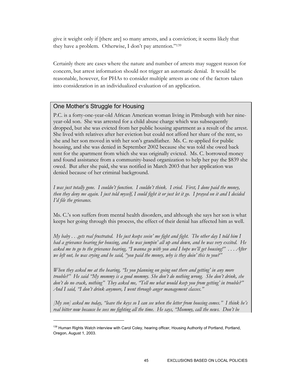give it weight only if [there are] so many arrests, and a conviction; it seems likely that they have a problem. Otherwise, I don't pay attention."139

Certainly there are cases where the nature and number of arrests may suggest reason for concern, but arrest information should not trigger an automatic denial. It would be reasonable, however, for PHAs to consider multiple arrests as one of the factors taken into consideration in an individualized evaluation of an application.

# One Mother's Struggle for Housing

 $\overline{a}$ 

P.C. is a forty-one-year-old African American woman living in Pittsburgh with her nineyear-old son. She was arrested for a child abuse charge which was subsequently dropped, but she was evicted from her public housing apartment as a result of the arrest. She lived with relatives after her eviction but could not afford her share of the rent, so she and her son moved in with her son's grandfather. Ms. C. re-applied for public housing, and she was denied in September 2002 because she was told she owed back rent for the apartment from which she was originally evicted. Ms. C. borrowed money and found assistance from a community-based organization to help her pay the \$839 she owed. But after she paid, she was notified in March 2003 that her application was denied because of her criminal background.

*I was just totally gone. I couldn't function. I couldn't think. I cried. First, I done paid the money, then they deny me again. I just told myself, I could fight it or just let it go. I prayed on it and I decided I'd file the grievance.* 

Ms. C.'s son suffers from mental health disorders, and although she says her son is what keeps her going through this process, the effect of their denial has affected him as well.

*My baby . . .gets real frustrated. He just keeps seein' me fight and fight. The other day I told him I had a grievance hearing for housing, and he was jumpin' all up and down, and he was very excited. He asked me to go to the grievance hearing, "I wanna go with you and I hope we'll get housing!" . . . After we left out, he was crying and he said, "you paid the money, why is they doin' this to you?"* 

*When they asked me at the hearing, "Is you planning on going out there and getting' in any more trouble?" He said "My mommy is a good mommy. She don't do nothing wrong. She don't drink, she don't do no crack, nothing" They asked me, "Tell me what would keep you from getting' in trouble?" And I said, "I don't drink anymore, I went through anger management classes."* 

*[My son] asked me today, "leave the keys so I can see when the letter from housing comes." I think he's real bitter now because he sees me fighting all the time. He says, "Mommy, call the news. Don't be* 

<sup>&</sup>lt;sup>139</sup> Human Rights Watch interview with Carol Coley, hearing officer, Housing Authority of Portland, Portland, Oregon, August 1, 2003.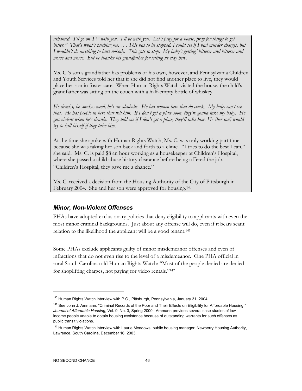*ashamed. I'll go on TV with you. I'll be with you. Let's pray for a house, pray for things to get better." That's what's pushing me. . . . This has to be stopped. I could see if I had murder charges, but I wouldn't do anything to hurt nobody. This gots to stop. My baby's getting' bitterer and bitterer and worse and worse. But he thanks his grandfather for letting us stay here.* 

Ms. C.'s son's grandfather has problems of his own, however, and Pennsylvania Children and Youth Services told her that if she did not find another place to live, they would place her son in foster care. When Human Rights Watch visited the house, the child's grandfather was sitting on the couch with a half-empty bottle of whiskey.

*He drinks, he smokes weed, he's an alcoholic. He has women here that do crack. My baby can't see that. He has people in here that rob him. If I don't get a place soon, they're gonna take my baby. He gets violent when he's drunk. They told me if I don't get a place, they'll take him. He [her son] would try to kill hisself if they take him.* 

At the time she spoke with Human Rights Watch, Ms. C. was only working part time because she was taking her son back and forth to a clinic. "I tries to do the best I can," she said. Ms. C. is paid \$8 an hour working as a housekeeper at Children's Hospital, where she passed a child abuse history clearance before being offered the job. "Children's Hospital, they gave me a chance."

Ms. C. received a decision from the Housing Authority of the City of Pittsburgh in February 2004. She and her son were approved for housing.<sup>140</sup>

## *Minor, Non-Violent Offenses*

PHAs have adopted exclusionary policies that deny eligibility to applicants with even the most minor criminal backgrounds. Just about any offense will do, even if it bears scant relation to the likelihood the applicant will be a good tenant.141

Some PHAs exclude applicants guilty of minor misdemeanor offenses and even of infractions that do not even rise to the level of a misdemeanor. One PHA official in rural South Carolina told Human Rights Watch: "Most of the people denied are denied for shoplifting charges, not paying for video rentals."142

<sup>&</sup>lt;sup>140</sup> Human Rights Watch interview with P.C., Pittsburgh, Pennsylvania, January 31, 2004.

<sup>&</sup>lt;sup>141</sup> See John J. Ammann, "Criminal Records of the Poor and Their Effects on Eligibility for Affordable Housing," *Journal of Affordable Housing*, Vol. 9, No. 3, Spring 2000. Ammann provides several case studies of lowincome people unable to obtain housing assistance because of outstanding warrants for such offenses as public transit violations.

<sup>&</sup>lt;sup>142</sup> Human Rights Watch interview with Laurie Meadows, public housing manager, Newberry Housing Authority, Lawrence, South Carolina, December 16, 2003.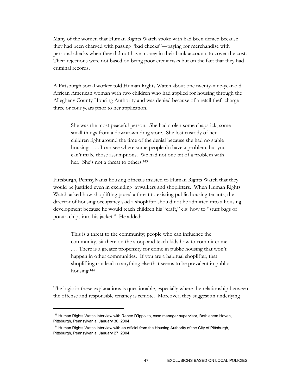Many of the women that Human Rights Watch spoke with had been denied because they had been charged with passing "bad checks"—paying for merchandise with personal checks when they did not have money in their bank accounts to cover the cost. Their rejections were not based on being poor credit risks but on the fact that they had criminal records.

A Pittsburgh social worker told Human Rights Watch about one twenty-nine-year-old African American woman with two children who had applied for housing through the Allegheny County Housing Authority and was denied because of a retail theft charge three or four years prior to her application.

She was the most peaceful person. She had stolen some chapstick, some small things from a downtown drug store. She lost custody of her children right around the time of the denial because she had no stable housing. . . . I can see where some people do have a problem, but you can't make those assumptions. We had not one bit of a problem with her. She's not a threat to others.<sup>143</sup>

Pittsburgh, Pennsylvania housing officials insisted to Human Rights Watch that they would be justified even in excluding jaywalkers and shoplifters. When Human Rights Watch asked how shoplifting posed a threat to existing public housing tenants, the director of housing occupancy said a shoplifter should not be admitted into a housing development because he would teach children his "craft," e.g. how to "stuff bags of potato chips into his jacket." He added:

This is a threat to the community; people who can influence the community, sit there on the stoop and teach kids how to commit crime. . . . There is a greater propensity for crime in public housing that won't happen in other communities. If you are a habitual shoplifter, that shoplifting can lead to anything else that seems to be prevalent in public housing.144

The logic in these explanations is questionable, especially where the relationship between the offense and responsible tenancy is remote. Moreover, they suggest an underlying

<sup>&</sup>lt;sup>143</sup> Human Rights Watch interview with Renee D'Ippolito, case manager supervisor, Bethlehem Haven, Pittsburgh, Pennsylvania, January 30, 2004.

<sup>&</sup>lt;sup>144</sup> Human Rights Watch interview with an official from the Housing Authority of the City of Pittsburgh, Pittsburgh, Pennsylvania, January 27, 2004.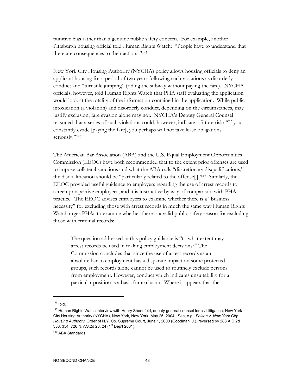punitive bias rather than a genuine public safety concern. For example, another Pittsburgh housing official told Human Rights Watch: "People have to understand that there are consequences to their actions."145

New York City Housing Authority (NYCHA) policy allows housing officials to deny an applicant housing for a period of two years following such violations as disorderly conduct and "turnstile jumping" (riding the subway without paying the fare). NYCHA officials, however, told Human Rights Watch that PHA staff evaluating the application would look at the totality of the information contained in the application. While public intoxication (a violation) and disorderly conduct, depending on the circumstances, may justify exclusion, fare evasion alone may not. NYCHA's Deputy General Counsel reasoned that a series of such violations could, however, indicate a future risk: "If you constantly evade [paying the fare], you perhaps will not take lease obligations seriously."146

The American Bar Association (ABA) and the U.S. Equal Employment Opportunities Commission (EEOC) have both recommended that to the extent prior offenses are used to impose collateral sanctions and what the ABA calls "discretionary disqualifications," the disqualification should be "particularly related to the offense[.]"147 Similarly, the EEOC provided useful guidance to employers regarding the use of arrest records to screen prospective employees, and it is instructive by way of comparison with PHA practice. The EEOC advises employers to examine whether there is a "business necessity" for excluding those with arrest records in much the same way Human Rights Watch urges PHAs to examine whether there is a valid public safety reason for excluding those with criminal records:

The question addressed in this policy guidance is "to what extent may arrest records be used in making employment decisions?" The Commission concludes that since the use of arrest records as an absolute bar to employment has a disparate impact on some protected groups, such records alone cannot be used to routinely exclude persons from employment. However, conduct which indicates unsuitability for a particular position is a basis for exclusion. Where it appears that the

 $145$  Ibid.

<sup>&</sup>lt;sup>146</sup> Human Rights Watch interview with Henry Shoenfeld, deputy general counsel for civil litigation, New York City Housing Authority (NYCHA), New York, New York, May 25, 2004. See, e.g., *Faison v. New York City Housing Authority*, Order of N.Y. Co. Supreme Court, June 1, 2000 (Goodman, J.), reversed by 283 A.D.2d 353, 354, 726 N.Y.S.2d 23, 24 (1<sup>st</sup> Dep't 2001).

<sup>&</sup>lt;sup>147</sup> ABA Standards.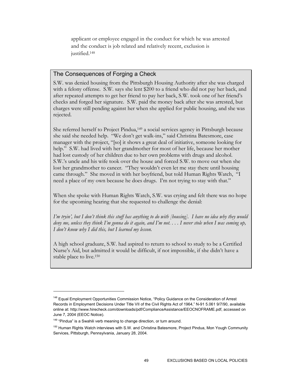applicant or employee engaged in the conduct for which he was arrested and the conduct is job related and relatively recent, exclusion is justified.<sup>148</sup>

# The Consequences of Forging a Check

S.W. was denied housing from the Pittsburgh Housing Authority after she was charged with a felony offense. S.W. says she lent \$200 to a friend who did not pay her back, and after repeated attempts to get her friend to pay her back, S.W. took one of her friend's checks and forged her signature. S.W. paid the money back after she was arrested, but charges were still pending against her when she applied for public housing, and she was rejected.

She referred herself to Project Pindua,149 a social services agency in Pittsburgh because she said she needed help. "We don't get walk-ins," said Christina Batesmore, case manager with the project, "[so] it shows a great deal of initiative, someone looking for help." S.W. had lived with her grandmother for most of her life, because her mother had lost custody of her children due to her own problems with drugs and alcohol. S.W.'s uncle and his wife took over the house and forced S.W. to move out when she lost her grandmother to cancer. "They wouldn't even let me stay there until housing came through." She moved in with her boyfriend, but told Human Rights Watch, "I need a place of my own because he does drugs. I'm not trying to stay with that."

When she spoke with Human Rights Watch, S.W. was crying and felt there was no hope for the upcoming hearing that she requested to challenge the denial:

*I'm tryin', but I don't think this stuff has anything to do with [housing]. I have no idea why they would deny me, unless they think I'm gonna do it again, and I'm not. . . . I never stole when I was coming up, I don't know why I did this, but I learned my lesson.* 

A high school graduate, S.W. had aspired to return to school to study to be a Certified Nurse's Aid, but admitted it would be difficult, if not impossible, if she didn't have a stable place to live.150

<sup>&</sup>lt;sup>148</sup> Equal Employment Opportunities Commission Notice, "Policy Guidance on the Consideration of Arrest Records in Employment Decisions Under Title VII of the Civil Rights Act of 1964," N-91 5.061 9/7/90, available online at: http://www.hirecheck.com/downloads/pdf/ComplianceAssistance/EEOCNOFRAME.pdf, accessed on June 7, 2004 (EEOC Notice).

<sup>&</sup>lt;sup>149</sup> "Pindua" is a Swahili verb meaning to change direction, or turn around.

<sup>&</sup>lt;sup>150</sup> Human Rights Watch interviews with S.W. and Christina Batesmore, Project Pindua, Mon Yough Community Services, Pittsburgh, Pennsylvania, January 28, 2004.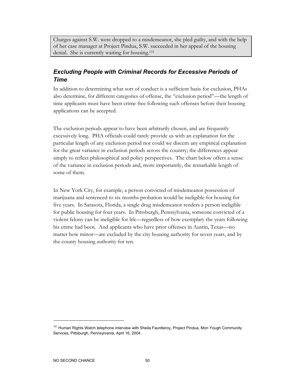Charges against S.W. were dropped to a misdemeanor, she pled guilty, and with the help of her case manager at Project Pindua, S.W. succeeded in her appeal of the housing denial. She is currently waiting for housing.151

# *Excluding People with Criminal Records for Excessive Periods of Time*

In addition to determining what sort of conduct is a sufficient basis for exclusion, PHAs also determine, for different categories of offense, the "exclusion period"—the length of time applicants must have been crime free following such offenses before their housing applications can be accepted.

The exclusion periods appear to have been arbitrarily chosen, and are frequently excessively long. PHA officials could rarely provide us with an explanation for the particular length of any exclusion period nor could we discern any empirical explanation for the great variance in exclusion periods across the country; the differences appear simply to reflect philosophical and policy perspectives. The chart below offers a sense of the variance in exclusion periods and, more importantly, the remarkable length of some of them.

In New York City, for example, a person convicted of misdemeanor possession of marijuana and sentenced to six months probation would be ineligible for housing for five years. In Sarasota, Florida, a single drug misdemeanor renders a person ineligible for public housing for four years. In Pittsburgh, Pennsylvania, someone convicted of a violent felony can be ineligible for life—regardless of how exemplary the years following his crime had been. And applicants who have prior offenses in Austin, Texas—no matter how minor—are excluded by the city housing authority for seven years, and by the county housing authority for ten.

<sup>&</sup>lt;sup>151</sup> Human Rights Watch telephone interview with Sheila Fauntleroy, Project Pindua, Mon Yough Community Services, Pittsburgh, Pennsylvania, April 16, 2004.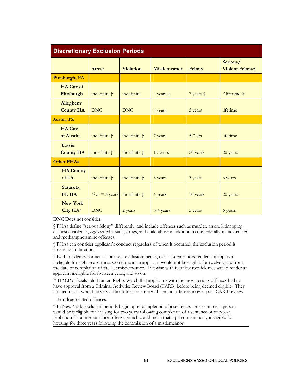| <b>Discretionary Exclusion Periods</b> |                    |                  |                    |                    |                                   |
|----------------------------------------|--------------------|------------------|--------------------|--------------------|-----------------------------------|
|                                        | <b>Arrest</b>      | <b>Violation</b> | <b>Misdemeanor</b> | Felony             | Serious/<br><b>Violent Felony</b> |
| Pittsburgh, PA                         |                    |                  |                    |                    |                                   |
| <b>HA City of</b><br>Pittsburgh        | indefinite +       | indefinite       | 4 years $\ddagger$ | 7 years $\ddagger$ | $\leq$ lifetime ¥                 |
| <b>Allegheny</b><br><b>County HA</b>   | <b>DNC</b>         | <b>DNC</b>       | 5 years            | 5 years            | lifetime                          |
| <b>Austin, TX</b>                      |                    |                  |                    |                    |                                   |
| <b>HA City</b><br>of Austin            | indefinite †       | indefinite †     | 7 years            | $5-7$ yrs          | lifetime                          |
| <b>Travis</b><br><b>County HA</b>      | indefinite †       | indefinite †     | 10 years           | 20 years           | 20 years                          |
| <b>Other PHAs</b>                      |                    |                  |                    |                    |                                   |
| <b>HA County</b><br>of LA              | indefinite †       | indefinite †     | 3 years            | 3 years            | 3 years                           |
| Sarasota,<br>FL HA                     | $\leq$ 2 = 3 years | indefinite +     | 4 years            | 10 years           | 20 years                          |
| <b>New York</b><br>City $HA^*$         | <b>DNC</b>         | 2 years          | 3-4 years          | 5 years            | 6 years                           |

DNC Does not consider.

§ PHAs define "serious felony" differently, and include offenses such as murder, arson, kidnapping, domestic violence, aggravated assault, drugs, and child abuse in addition to the federally-mandated sex and methamphetamine offenses.

† PHAs can consider applicant's conduct regardless of when it occurred; the exclusion period is indefinite in duration.

‡ Each misdemeanor nets a four year exclusion; hence, two misdemeanors renders an applicant ineligible for eight years; three would mean an applicant would not be eligible for twelve years from the date of completion of the last misdemeanor. Likewise with felonies: two felonies would render an applicant ineligible for fourteen years, and so on.

¥ HACP officials told Human Rights Watch that applicants with the most serious offenses had to have approval from a Criminal Activities Review Board (CARB) before being deemed eligible. They implied that it would be very difficult for someone with certain offenses to ever pass CARB review.

For drug-related offenses.

\* In New York, exclusion periods begin upon completion of a sentence. For example, a person would be ineligible for housing for two years following completion of a sentence of one-year probation for a misdemeanor offense, which could mean that a person is actually ineligible for housing for three years following the commission of a misdemeanor.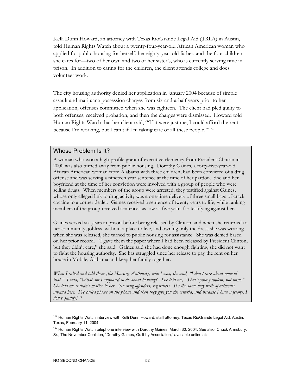Kelli Dunn Howard, an attorney with Texas RioGrande Legal Aid (TRLA) in Austin, told Human Rights Watch about a twenty-four-year-old African American woman who applied for public housing for herself, her eighty-year-old father, and the four children she cares for—two of her own and two of her sister's, who is currently serving time in prison. In addition to caring for the children, the client attends college and does volunteer work.

The city housing authority denied her application in January 2004 because of simple assault and marijuana possession charges from six-and-a-half years prior to her application, offenses committed when she was eighteen. The client had pled guilty to both offenses, received probation, and then the charges were dismissed. Howard told Human Rights Watch that her client said, "'If it were just me, I could afford the rent because I'm working, but I can't if I'm taking care of all these people.'"152

### Whose Problem Is It?

A woman who won a high-profile grant of executive clemency from President Clinton in 2000 was also turned away from public housing. Dorothy Gaines, a forty-five-year-old African American woman from Alabama with three children, had been convicted of a drug offense and was serving a nineteen year sentence at the time of her pardon. She and her boyfriend at the time of her conviction were involved with a group of people who were selling drugs. When members of the group were arrested, they testified against Gaines, whose only alleged link to drug activity was a one-time delivery of three small bags of crack cocaine to a corner dealer. Gaines received a sentence of twenty years to life, while ranking members of the group received sentences as low as five years for testifying against her.

Gaines served six years in prison before being released by Clinton, and when she returned to her community, jobless, without a place to live, and owning only the dress she was wearing when she was released, she turned to public housing for assistance. She was denied based on her prior record. "I gave them the paper where I had been released by President Clinton, but they didn't care," she said. Gaines said she had done enough fighting, she did not want to fight the housing authority. She has struggled since her release to pay the rent on her house in Mobile, Alabama and keep her family together.

*When I called and told them [the Housing Authority] who I was, she said, "I don't care about none of that." I said, "What am I supposed to do about housing?" She told me, "That's your problem, not mine." She told me it didn't matter to her. No drug offenders, regardless. It's the same way with apartments around here. I've called places on the phone and then they give you the criteria, and because I have a felony, I don't qualify*. 153

<sup>&</sup>lt;sup>152</sup> Human Rights Watch interview with Kelli Dunn Howard, staff attorney, Texas RioGrande Legal Aid, Austin, Texas, February 11, 2004.

<sup>&</sup>lt;sup>153</sup> Human Rights Watch telephone interview with Dorothy Gaines, March 30, 2004; See also, Chuck Armsbury, Sr., The November Coalition, "Dorothy Gaines, Guilt by Association," available online at: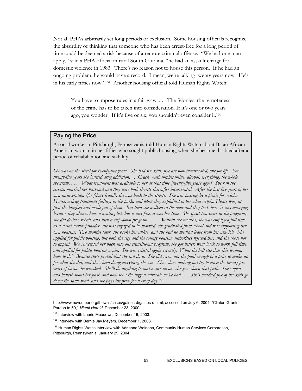Not all PHAs arbitrarily set long periods of exclusion. Some housing officials recognize the absurdity of thinking that someone who has been arrest-free for a long period of time could be deemed a risk because of a remote criminal offense. "We had one man apply," said a PHA official in rural South Carolina, "he had an assault charge for domestic violence in 1983. There's no reason not to house this person. If he had an ongoing problem, he would have a record. I mean, we're talking twenty years now. He's in his early fifties now."154 Another housing official told Human Rights Watch:

You have to impose rules in a fair way. . . . The felonies, the remoteness of the crime has to be taken into consideration. If it's one or two years ago, you wonder. If it's five or six, you shouldn't even consider it.155

## Paying the Price

A social worker in Pittsburgh, Pennsylvania told Human Rights Watch about B., an African American woman in her fifties who sought public housing, when she became disabled after a period of rehabilitation and stability.

*She was on the street for twenty-five years. She had six kids, five are now incarcerated, one for life. For twenty-five years she battled drug addiction. . . .Crack, methamphetamine, alcohol, everything, the whole spectrum. . . . What treatment was available to her at that time [twenty-five years ago]? She ran the streets, married her husband and they were both shortly thereafter incarcerated. After the last five years of her own incarceration [for felony fraud], she was back to the streets. She was passing by a picnic for Alpha House, a drug treatment facility, in the park, and when they explained to her what Alpha House was, at first she laughed and made fun of them. But then she walked in the door and they took her. It was amazing because they always have a waiting list, but it was fate, it was her time. She spent two years in the program, she did de-tox, rehab, and then a step-down program. . . . Within six months, she was employed full time as a social service provider, she was engaged to be married, she graduated from school and was supporting her own housing. Two months later, she broke her ankle, and she had no medical leave from her new job. She applied for public housing, but both the city and the county housing authorities rejected her, and she chose not*  to appeal. We reaccepted her back into our transitional program, she got better, went back to work full time, *and applied for public housing again. She was rejected again recently. What the hell else does this woman have to do? Because she's proved that she can do it. She did screw up, she paid enough of a price to make up for what she did, and she's been doing everything she can. She's done nothing but try to erase the twenty-five years of havoc she wreaked. She'll do anything to make sure no one else goes down that path. She's open and honest about her past, and now she's the biggest advocate we've had. . . . She's watched five of her kids go down the same road, and she pays the price for it every day*. 156

http://www.november.org/thewall/cases/gaines-d/gaines-d.html, accessed on July 6, 2004; "Clinton Grants Pardon to 59," *Miami Herald*, December 23, 2000.

<sup>&</sup>lt;sup>154</sup> Interview with Laurie Meadows, December 16, 2003.

<sup>&</sup>lt;sup>155</sup> Interview with Bernie Jay Meyers, December 1, 2003.

<sup>&</sup>lt;sup>156</sup> Human Rights Watch interview with Adrienne Wolnoha, Community Human Services Corporation, Pittsburgh, Pennsylvania, January 29, 2004.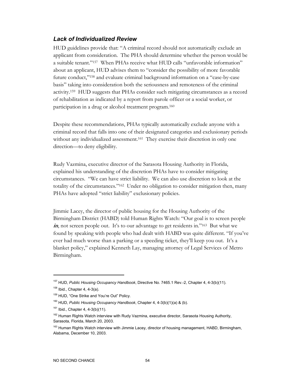# *Lack of Individualized Review*

HUD guidelines provide that: "A criminal record should not automatically exclude an applicant from consideration. The PHA should determine whether the person would be a suitable tenant."157 When PHAs receive what HUD calls "unfavorable information" about an applicant, HUD advises them to "consider the possibility of more favorable future conduct,"158 and evaluate criminal background information on a "case-by-case basis" taking into consideration both the seriousness and remoteness of the criminal activity.159 HUD suggests that PHAs consider such mitigating circumstances as a record of rehabilitation as indicated by a report from parole officer or a social worker, or participation in a drug or alcohol treatment program.160

Despite these recommendations, PHAs typically automatically exclude anyone with a criminal record that falls into one of their designated categories and exclusionary periods without any individualized assessment.<sup>161</sup> They exercise their discretion in only one direction—to deny eligibility.

Rudy Vazmina, executive director of the Sarasota Housing Authority in Florida, explained his understanding of the discretion PHAs have to consider mitigating circumstances. "We can have strict liability. We can also use discretion to look at the totality of the circumstances."162 Under no obligation to consider mitigation then, many PHAs have adopted "strict liability" exclusionary policies.

Jimmie Lacey, the director of public housing for the Housing Authority of the Birmingham District (HABD) told Human Rights Watch: "Our goal is to screen people in, not screen people out. It's to our advantage to get residents in."<sup>163</sup> But what we found by speaking with people who had dealt with HABD was quite different. "If you've ever had much worse than a parking or a speeding ticket, they'll keep you out. It's a blanket policy," explained Kenneth Lay, managing attorney of Legal Services of Metro Birmingham.

<sup>157</sup> HUD, *Public Housing Occupancy Handbook*, Directive No. 7465.1 Rev.-2, Chapter 4, 4-3(b)(11).

 $158$  Ibid., Chapter 4, 4-3(a).

<sup>159</sup> HUD, "One Strike and You're Out" Policy.

<sup>160</sup> HUD, *Public Housing Occupancy Handbook*, Chapter 4, 4-3(b)(1)(a) & (b).

 $161$  Ibid., Chapter 4, 4-3(b)(11).

<sup>&</sup>lt;sup>162</sup> Human Rights Watch interview with Rudy Vazmina, executive director, Sarasota Housing Authority, Sarasota, Florida, March 20, 2003.

<sup>&</sup>lt;sup>163</sup> Human Rights Watch interview with Jimmie Lacey, director of housing management, HABD, Birmingham, Alabama, December 10, 2003.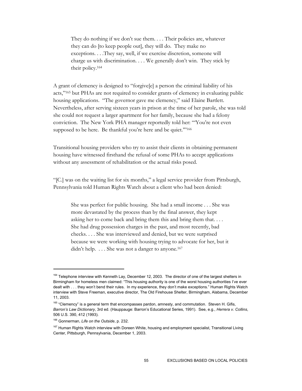They do nothing if we don't sue them. . . . Their policies are, whatever they can do [to keep people out], they will do. They make no exceptions. . . .They say, well, if we exercise discretion, someone will charge us with discrimination. . . . We generally don't win. They stick by their policy.164

A grant of clemency is designed to "forgive[e] a person the criminal liability of his acts,"165 but PHAs are not required to consider grants of clemency in evaluating public housing applications. "The governor gave me clemency," said Elaine Bartlett. Nevertheless, after serving sixteen years in prison at the time of her parole, she was told she could not request a larger apartment for her family, because she had a felony conviction. The New York PHA manager reportedly told her: "'You're not even supposed to be here. Be thankful you're here and be quiet."<sup>166</sup>

Transitional housing providers who try to assist their clients in obtaining permanent housing have witnessed firsthand the refusal of some PHAs to accept applications without any assessment of rehabilitation or the actual risks posed.

"[C.] was on the waiting list for six months," a legal service provider from Pittsburgh, Pennsylvania told Human Rights Watch about a client who had been denied:

She was perfect for public housing. She had a small income . . . She was more devastated by the process than by the final answer, they kept asking her to come back and bring them this and bring them that. . . . She had drug possession charges in the past, and most recently, bad checks. . . . She was interviewed and denied, but we were surprised because we were working with housing trying to advocate for her, but it didn't help. . . . She was not a danger to anyone.<sup>167</sup>

<sup>&</sup>lt;sup>164</sup> Telephone interview with Kenneth Lay, December 12, 2003. The director of one of the largest shelters in Birmingham for homeless men claimed: "This housing authority is one of the worst housing authorities I've ever dealt with . . . they won't bend their rules. In my experience, they don't make exceptions." Human Rights Watch interview with Steve Freeman, executive director, The Old Firehouse Shelter, Birmingham, Alabama, December 11, 2003.

<sup>&</sup>lt;sup>165</sup> "Clemency" is a general term that encompasses pardon, amnesty, and commutation. Steven H. Gifis, *Barron's Law Dictionary*, 3rd ed. (Hauppauge: Barron's Educational Series, 1991). See, e.g., *Herrera v. Collins*, 506 U.S. 390, 412 (1993).

<sup>166</sup> Gonnerman, *Life on the Outside*, p. 232.

<sup>&</sup>lt;sup>167</sup> Human Rights Watch interview with Doreen White, housing and employment specialist, Transitional Living Center, Pittsburgh, Pennsylvania, December 1, 2003.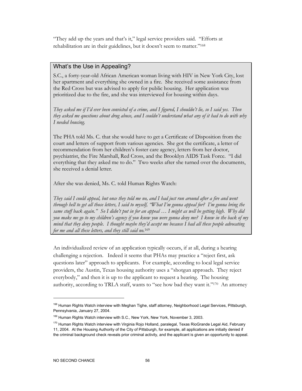"They add up the years and that's it," legal service providers said. "Efforts at rehabilitation are in their guidelines, but it doesn't seem to matter."168

# What's the Use in Appealing?

S.C., a forty-year-old African American woman living with HIV in New York City, lost her apartment and everything she owned in a fire. She received some assistance from the Red Cross but was advised to apply for public housing. Her application was prioritized due to the fire, and she was interviewed for housing within days.

*They asked me if I'd ever been convicted of a crime, and I figured, I shouldn't lie, so I said yes. Then they asked me questions about drug abuse, and I couldn't understand what any of it had to do with why I needed housing.* 

The PHA told Ms. C. that she would have to get a Certificate of Disposition from the court and letters of support from various agencies. She got the certificate, a letter of recommendation from her children's foster care agency, letters from her doctor, psychiatrist, the Fire Marshall, Red Cross, and the Brooklyn AIDS Task Force. "I did everything that they asked me to do." Two weeks after she turned over the documents, she received a denial letter.

After she was denied, Ms. C. told Human Rights Watch:

*They said I could appeal, but once they told me no, and I had just run around after a fire and went through hell to get all those letters, I said to myself, "What I'm gonna appeal for? I'm gonna bring the same stuff back again." So I didn't put in for an appeal … I might as well be getting high. Why did you make me go to my children's agency if you knew you were gonna deny me? I knew in the back of my mind that they deny people. I thought maybe they'd accept me because I had all these people advocating for me and all these letters, and they still said no.*169

An individualized review of an application typically occurs, if at all, during a hearing challenging a rejection. Indeed it seems that PHAs may practice a "reject first, ask questions later" approach to applicants. For example, according to local legal service providers, the Austin, Texas housing authority uses a "shotgun approach. They reject everybody," and then it is up to the applicant to request a hearing. The housing authority, according to TRLA staff, wants to "see how bad they want it."170 An attorney

<sup>&</sup>lt;sup>168</sup> Human Rights Watch interview with Meghan Tighe, staff attorney, Neighborhood Legal Services, Pittsburgh, Pennsylvania, January 27, 2004.

<sup>&</sup>lt;sup>169</sup> Human Rights Watch interview with S.C., New York, New York, November 3, 2003.

<sup>&</sup>lt;sup>170</sup> Human Rights Watch interview with Virginia Rojo Holland, paralegal, Texas RioGrande Legal Aid, February 11, 2004. At the Housing Authority of the City of Pittsburgh, for example, all applications are initially denied if

the criminal background check reveals prior criminal activity, and the applicant is given an opportunity to appeal.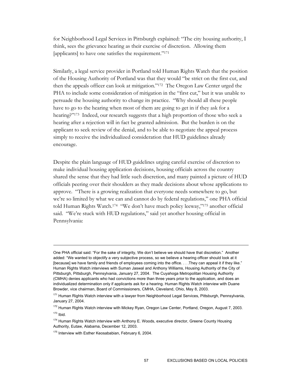for Neighborhood Legal Services in Pittsburgh explained: "The city housing authority, I think, sees the grievance hearing as their exercise of discretion. Allowing them [applicants] to have one satisfies the requirement."171

Similarly, a legal service provider in Portland told Human Rights Watch that the position of the Housing Authority of Portland was that they would "be strict on the first cut, and then the appeals officer can look at mitigation."172 The Oregon Law Center urged the PHA to include some consideration of mitigation in the "first cut," but it was unable to persuade the housing authority to change its practice. "Why should all these people have to go to the hearing when most of them are going to get in if they ask for a hearing?"173Indeed, our research suggests that a high proportion of those who seek a hearing after a rejection will in fact be granted admission. But the burden is on the applicant to seek review of the denial, and to be able to negotiate the appeal process simply to receive the individualized consideration that HUD guidelines already encourage.

Despite the plain language of HUD guidelines urging careful exercise of discretion to make individual housing application decisions, housing officials across the country shared the sense that they had little such discretion, and many painted a picture of HUD officials peering over their shoulders as they made decisions about whose applications to approve. "There is a growing realization that everyone needs somewhere to go, but we're so limited by what we can and cannot do by federal regulations," one PHA official told Human Rights Watch.174 "We don't have much policy leeway,"175 another official said. "We're stuck with HUD regulations," said yet another housing official in Pennsylvania:

One PHA official said: "For the sake of integrity, We don't believe we should have that discretion." Another added: "We wanted to objectify a very subjective process, so we believe a hearing officer should look at it [because] we have family and friends of employees coming into the office. . . . They can appeal it if they like." Human Rights Watch interviews with Suman Jaswal and Anthony Williams, Housing Authority of the City of Pittsburgh, Pittsburgh, Pennsylvania, January 27, 2004. The Cuyahoga Metropolitan Housing Authority (CMHA) denies applicants who had convictions more than three years prior to the application, and does an individualized determination only if applicants ask for a hearing. Human Rights Watch interview with Duane Browder, vice chairman, Board of Commissioners, CMHA, Cleveland, Ohio, May 8, 2003.

<sup>&</sup>lt;sup>171</sup> Human Rights Watch interview with a lawyer from Neighborhood Legal Services, Pittsburgh, Pennsylvania, January 27, 2004.

<sup>&</sup>lt;sup>172</sup> Human Rights Watch interview with Mickey Ryan, Oregon Law Center, Portland, Oregon, August 7, 2003.  $173$  Ibid.

<sup>&</sup>lt;sup>174</sup> Human Rights Watch interview with Anthony E. Woods, executive director, Greene County Housing Authority, Eutaw, Alabama, December 12, 2003.

<sup>&</sup>lt;sup>175</sup> Interview with Esther Keosababian, February 6, 2004.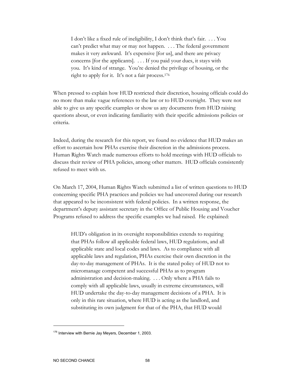I don't like a fixed rule of ineligibility, I don't think that's fair. . . . You can't predict what may or may not happen. . . . The federal government makes it very awkward. It's expensive [for us], and there are privacy concerns [for the applicants]. . . . If you paid your dues, it stays with you. It's kind of strange. You're denied the privilege of housing, or the right to apply for it. It's not a fair process.176

When pressed to explain how HUD restricted their discretion, housing officials could do no more than make vague references to the law or to HUD oversight. They were not able to give us any specific examples or show us any documents from HUD raising questions about, or even indicating familiarity with their specific admissions policies or criteria.

Indeed, during the research for this report, we found no evidence that HUD makes an effort to ascertain how PHAs exercise their discretion in the admissions process. Human Rights Watch made numerous efforts to hold meetings with HUD officials to discuss their review of PHA policies, among other matters. HUD officials consistently refused to meet with us.

On March 17, 2004, Human Rights Watch submitted a list of written questions to HUD concerning specific PHA practices and policies we had uncovered during our research that appeared to be inconsistent with federal policies. In a written response, the department's deputy assistant secretary in the Office of Public Housing and Voucher Programs refused to address the specific examples we had raised. He explained:

HUD's obligation in its oversight responsibilities extends to requiring that PHAs follow all applicable federal laws, HUD regulations, and all applicable state and local codes and laws. As to compliance with all applicable laws and regulation, PHAs exercise their own discretion in the day-to-day management of PHAs. It is the stated policy of HUD not to micromanage competent and successful PHAs as to program administration and decision-making. . . . Only where a PHA fails to comply with all applicable laws, usually in extreme circumstances, will HUD undertake the day-to-day management decisions of a PHA. It is only in this rare situation, where HUD is acting as the landlord, and substituting its own judgment for that of the PHA, that HUD would

<sup>&</sup>lt;sup>176</sup> Interview with Bernie Jay Meyers, December 1, 2003.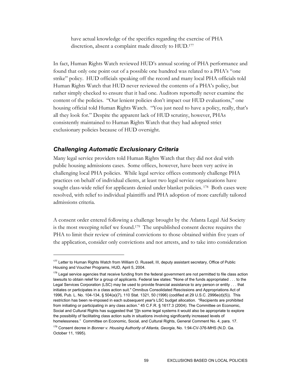have actual knowledge of the specifics regarding the exercise of PHA discretion, absent a complaint made directly to HUD.177

In fact, Human Rights Watch reviewed HUD's annual scoring of PHA performance and found that only one point out of a possible one hundred was related to a PHA's "one strike" policy. HUD officials speaking off the record and many local PHA officials told Human Rights Watch that HUD never reviewed the contents of a PHA's policy, but rather simply checked to ensure that it had one. Auditors reportedly never examine the content of the policies. "Our lenient policies don't impact our HUD evaluations," one housing official told Human Rights Watch. "You just need to have a policy, really, that's all they look for." Despite the apparent lack of HUD scrutiny, however, PHAs consistently maintained to Human Rights Watch that they had adopted strict exclusionary policies because of HUD oversight.

### *Challenging Automatic Exclusionary Criteria*

-

Many legal service providers told Human Rights Watch that they did not deal with public housing admissions cases. Some offices, however, have been very active in challenging local PHA policies. While legal service offices commonly challenge PHA practices on behalf of individual clients, at least two legal service organizations have sought class-wide relief for applicants denied under blanket policies.<sup>178</sup> Both cases were resolved, with relief to individual plaintiffs and PHA adoption of more carefully tailored admissions criteria.

A consent order entered following a challenge brought by the Atlanta Legal Aid Society is the most sweeping relief we found.179 The unpublished consent decree requires the PHA to limit their review of criminal convictions to those obtained within five years of the application, consider only convictions and not arrests, and to take into consideration

<sup>&</sup>lt;sup>177</sup> Letter to Human Rights Watch from William O. Russell, III, deputy assistant secretary, Office of Public Housing and Voucher Programs, HUD, April 5, 2004.

 $178$  Legal service agencies that receive funding from the federal government are not permitted to file class action lawsuits to obtain relief for a group of applicants. Federal law states: "None of the funds appropriated . . . to the Legal Services Corporation (LSC) may be used to provide financial assistance to any person or entity . . . that initiates or participates in a class action suit." Omnibus Consolidated Rescissions and Appropriations Act of 1996, Pub. L. No. 104-134, § 504(a)(7), 110 Stat. 1321, 50 (1996) (codified at 29 U.S.C. 2996e(d)(5)). This restriction has been re-imposed in each subsequent year's LSC budget allocation. "Recipients are prohibited from initiating or participating in any class action." 45 C.F.R. § 1617.3 (2004). The Committee on Economic, Social and Cultural Rights has suggested that "[i]n some legal systems it would also be appropriate to explore the possibility of facilitating class action suits in situations involving significantly increased levels of homelessness." Committee on Economic, Social, and Cultural Rights, General Comment No. 4, para. 17.

<sup>179</sup> Consent decree in *Bonner v. Housing Authority of Atlanta, Georgia*, No. 1:94-CV-376-MHS (N.D. Ga. October 11, 1995).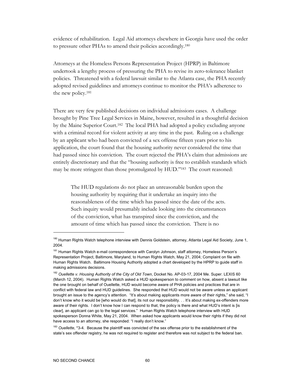evidence of rehabilitation. Legal Aid attorneys elsewhere in Georgia have used the order to pressure other PHAs to amend their policies accordingly.180

Attorneys at the Homeless Persons Representation Project (HPRP) in Baltimore undertook a lengthy process of pressuring the PHA to revise its zero-tolerance blanket policies. Threatened with a federal lawsuit similar to the Atlanta case, the PHA recently adopted revised guidelines and attorneys continue to monitor the PHA's adherence to the new policy.181

There are very few published decisions on individual admissions cases. A challenge brought by Pine Tree Legal Services in Maine, however, resulted in a thoughtful decision by the Maine Superior Court.182 The local PHA had adopted a policy excluding anyone with a criminal record for violent activity at any time in the past. Ruling on a challenge by an applicant who had been convicted of a sex offense fifteen years prior to his application, the court found that the housing authority never considered the time that had passed since his conviction. The court rejected the PHA's claim that admissions are entirely discretionary and that the "housing authority is free to establish standards which may be more stringent than those promulgated by HUD."<sup>183</sup> The court reasoned:

The HUD regulations do not place an unreasonable burden upon the housing authority by requiring that it undertake an inquiry into the reasonableness of the time which has passed since the date of the acts. Such inquiry would presumably include looking into the circumstances of the conviction, what has transpired since the conviction, and the amount of time which has passed since the conviction. There is no

<sup>&</sup>lt;sup>180</sup> Human Rights Watch telephone interview with Dennis Goldstein, attorney, Atlanta Legal Aid Society, June 1, 2004.

<sup>&</sup>lt;sup>181</sup> Human Rights Watch e-mail correspondence with Carolyn Johnson, staff attorney, Homeless Person's Representation Project, Baltimore, Maryland, to Human Rights Watch, May 21, 2004; Complaint on file with Human Rights Watch. Baltimore Housing Authority adopted a chart developed by the HPRP to guide staff in making admissions decisions.

<sup>182</sup> *Ouellette v. Housing Authority of the City of Old Town*, Docket No. AP-03-17, 2004 Me. Super. LEXIS 60 (March 12, 2004). Human Rights Watch asked a HUD spokesperson to comment on how, absent a lawsuit like the one brought on behalf of Ouellette, HUD would become aware of PHA policies and practices that are in conflict with federal law and HUD guidelines. She responded that HUD would not be aware unless an applicant brought an issue to the agency's attention. "It's about making applicants more aware of their rights," she said, "I don't know who it would be [who would do that], its not our responsibility. . . It's about making ex-offenders more aware of their rights. I don't know how I can respond to that, the policy is there and what HUD's intent is [is clear], an applicant can go to the legal services." Human Rights Watch telephone interview with HUD spokesperson Donna White, May 21, 2004. When asked how applicants would know their rights if they did not have access to an attorney, she responded: "I really don't know."

<sup>183</sup> *Ouellette*, \*3-4. Because the plaintiff was convicted of the sex offense prior to the establishment of the state's sex offender registry, he was not required to register and therefore was not subject to the federal ban.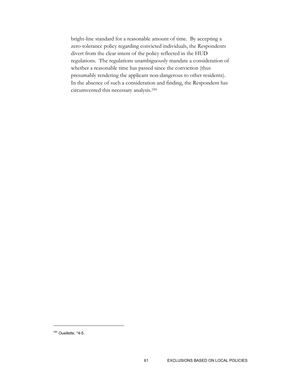bright-line standard for a reasonable amount of time. By accepting a zero-tolerance policy regarding convicted individuals, the Respondents divert from the clear intent of the policy reflected in the HUD regulations. The regulations unambiguously mandate a consideration of whether a reasonable time has passed since the conviction (thus presumably rendering the applicant non-dangerous to other residents). In the absence of such a consideration and finding, the Respondent has circumvented this necessary analysis.184

<sup>184</sup> *Ouellette*, \*4-5.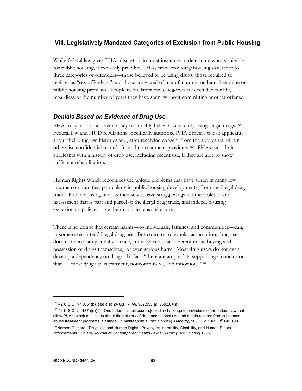# **VIII. Legislatively Mandated Categories of Exclusion from Public Housing**

While federal law gives PHAs discretion in most instances to determine who is suitable for public housing, it expressly prohibits PHAs from providing housing assistance to three categories of offenders—those believed to be using drugs, those required to register as "sex offenders," and those convicted of manufacturing methamphetamine on public housing premises. People in the latter two categories are excluded for life, regardless of the number of years they have spent without committing another offense.

## *Denials Based on Evidence of Drug Use*

PHAs may not admit anyone they reasonably believe is currently using illegal drugs.<sup>185</sup> Federal law and HUD regulations specifically authorize PHA officials to ask applicants about their drug use histories and, after receiving consent from the applicants, obtain otherwise confidential records from their treatment providers.186 PHAs can admit applicants with a history of drug use, including recent use, if they are able to show sufficient rehabilitation.

Human Rights Watch recognizes the unique problems that have arisen in many low income communities, particularly in public housing developments, from the illegal drug trade. Public housing tenants themselves have struggled against the violence and harassment that is part and parcel of the illegal drug trade, and indeed, housing exclusionary policies have their roots in tenants' efforts.

There is no doubt that certain harms—to individuals, families, and communities—can, in some cases, attend illegal drug use. But contrary to popular assumption, drug use does not necessarily entail violence, crime (except that inherent in the buying and possession of drugs themselves), or even serious harm. Most drug users do not even develop a dependency on drugs. In fact, "there are ample data supporting a conclusion that . . . most drug use is transient, noncompulsive, and innocuous."187

<sup>185 42</sup> U.S.C. § 13661(b), see also 24 C.F.R. §§. 982.553(a), 960.204(a).

<sup>&</sup>lt;sup>186</sup> 42 U.S.C. § 1437n(e)(1). One federal circuit court rejected a challenge to provisions of the federal law that allow PHAs to ask applicants about their history of drug and alcohol use and obtain records from substance abuse treatment programs. *Campbell v. Minneapolis Public Housing Authority*, 168 F.3d 1069 (8<sup>th</sup> Cir. 1999).

<sup>&</sup>lt;sup>187</sup>Norbert Gilmore, "Drug Use and Human Rights: Privacy, Vulnerability, Disability, and Human Rights Infringements," 12 *The Journal of Contemporary Health Law and Policy,* 412 (Spring 1996).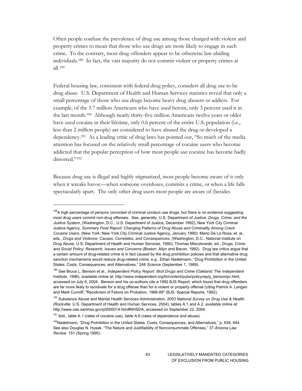Often people confuse the prevalence of drug use among those charged with violent and property crimes to mean that those who use drugs are more likely to engage in such crime. To the contrary, most drug offenders appear to be otherwise law-abiding individuals.188 In fact, the vast majority do not commit violent or property crimes at all.189

Federal housing law, consistent with federal drug policy, considers all drug use to be drug abuse. U.S. Department of Health and Human Services statistics reveal that only a small percentage of those who use drugs become heavy drug abusers or addicts. For example, of the 3.7 million Americans who have used heroin, only 3 percent used it in the last month.190 Although nearly thirty-five million Americans twelve years or older have used cocaine in their lifetime, only 0.6 percent of the entire U.S. population (i.e., less than 2 million people) are considered to have abused the drug or developed a dependency.191 As a leading critic of drug laws has pointed out, "So much of the media attention has focused on the relatively small percentage of cocaine users who become addicted that the popular perception of how most people use cocaine has become badly distorted."192

Because drug use is illegal and highly stigmatized, most people become aware of it only when it wreaks havoc—when someone overdoses, commits a crime, or when a life falls spectacularly apart. The only other drug users most people are aware of (besides

<sup>&</sup>lt;sup>188</sup>A high percentage of persons convicted of criminal conduct use drugs, but there is no evidence suggesting most drug users commit non-drug offenses. See, generally, U.S. Department of Justice, *Drugs, Crime, and the Justice System*, (Washington, D.C.: U.S. Department of Justice, December 1992); New York City Criminal Justice Agency, *Summary Final Report: Changing Patterns of Drug Abuse and Criminality Among Crack Cocaine Users*, (New York: New York City Criminal Justice Agency, January 1990). Mario De La Rosa, et. al., eds., *Drugs and Violence: Causes, Correlates, and Consequences*, (Washington, D.C.: National Institute on Drug Abuse, U.S. Department of Health and Human Services, 1990); Thomas Mieczkowski, ed., *Drugs, Crime and Social Policy: Research, Issues and Concerns* (Boston: Allyn and Bacon, 1992). Drug law critics argue that a certain amount of drug-related crime is in fact caused by the drug prohibition policies and that alternative drug sanction mechanisms would reduce drug-related crime; e.g., Ethan Nadelmann, "Drug Prohibition in the United States: Costs, Consequences, and Alternatives," 248 *Science* (September 1, 1989).

<sup>&</sup>lt;sup>189</sup> See Bruce L. Benson et al., *Independent Policy Report: Illicit Drugs and Crime* (Oakland: The Independent Institute, 1996), available online at: http://www.independent.org/tii/content/pubs/policyrep/p\_bensonipr.html, accessed on July 6, 2004. Benson and his co-authors cite a 1992 BJS Report, which found that drug offenders are far more likely to recidivate for a drug offense than for a violent or property offense (citing Patrick A. Langan and Mark Cunniff, "Recidivism of Felons on Probation, 1986-89" (BJS: Special Reports, 1992).

<sup>190</sup> Substance Abuse and Mental Health Services Administration, *2003 National Survey on Drug Use & Health*, (Rockville: U.S. Department of Health and Human Services, 2004), tables A.1 and A.2, available online at: http://www.oas.samhsa.gov/p0000014.htm#NHSDA, accessed on September 22, 2004.

 $191$  Ibid., table A.1 (rates of cocaine use), table A.6 (rates of dependence and abuse).

<sup>&</sup>lt;sup>192</sup>Nadelmann, "Drug Prohibition in the United States: Costs, Consequences, and Alternatives," p. 939, 944. See also Douglas N. Husak, "The Nature and Justifiability of Nonconsummate Offenses," 37 *Arizona Law Review* 151 (Spring 1995).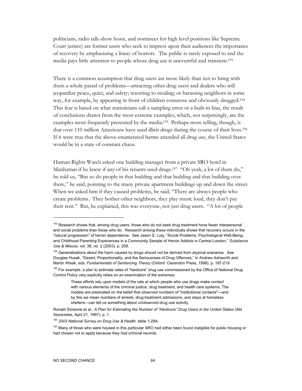politicians, radio talk-show hosts, and nominees for high level positions like Supreme Court justice) are former users who seek to impress upon their audiences the importance of recovery by emphasizing a litany of horrors. The public is rarely exposed to and the media pays little attention to people whose drug use is uneventful and transient.193

There is a common assumption that drug users are more likely than not to bring with them a whole passel of problems—attracting other drug users and dealers who will jeopardize peace, quiet, and safety; resorting to stealing; or harassing neighbors in some way, for example, by appearing in front of children comatose and obviously drugged.194 This fear is based on what statisticians call a sampling error or a built-in bias, the result of conclusions drawn from the most extreme examples, which, not surprisingly, are the examples most frequently presented by the media.195 Perhaps more telling, though, is that over 110 million Americans have used illicit drugs during the course of their lives.196 If it were true that the above-enumerated harms attended all drug use, the United States would be in a state of constant chaos.

Human Rights Watch asked one building manager from a private SRO hotel in Manhattan if he knew if any of his tenants used drugs.<sup>197</sup> "Oh yeah, a lot of them do," he told us, "But so do people in that building and that building and that building over there," he said, pointing to the many private apartment buildings up and down the street. When we asked him if they caused problems, he said, "There are always people who create problems. They bother other neighbors, they play music loud, they don't pay their rent." But, he explained, this was everyone, not just drug users. "A lot of people

<sup>&</sup>lt;sup>193</sup> Research shows that, among drug users, those who do not seek drug treatment have fewer interpersonal and social problems than those who do. Research among these individuals shows that recovery occurs in the "natural progression" of heroin dependence. See Jason S. Luty, "Social Problems, Psychological Well-Being, and Childhood Parenting Experiences in a Community Sample of Heroin Addicts in Central London," *Substance Use & Misuse*, vol. 38, no. 2 (2003), p. 209.

<sup>&</sup>lt;sup>194</sup> Generalizations about the harm caused by drugs should not be derived from atypical scenarios. See Douglas Husak, "Desert, Proportionality, and the Seriousness of Drug Offences," in Andrew Ashworth and Martin Wasik, eds, *Fundamentals of Sentencing Theory* (Oxford: Clarendon Press, 1998), p. 187-219.

<sup>&</sup>lt;sup>195</sup> For example, a plan to estimate rates of "hardcore" drug use commissioned by the Office of National Drug Control Policy very explicitly relies on an examination of the extremes:

These efforts rely upon models of the rate at which people who use drugs make contact with various elements of the criminal justice, drug treatment, and health care systems. The models are predicated on the belief that *observed* numbers of "institutional contacts"—and by this we mean numbers of arrests, drug treatment admissions, and stays at homeless shelters—can tell us something about *unobserved* drug use activity.

Ronald Simeone et al., *A Plan for Estimating the Number of "Hardcore" Drug Users in the United States* (Abt Associates, April 21, 1997), p. 1.

<sup>196</sup> *2003 National Survey on Drug Use & Health*, table 1.28A.

<sup>&</sup>lt;sup>197</sup> Many of those who were housed in this particular SRO had either been found ineligible for public housing or had chosen not to apply because they had criminal records.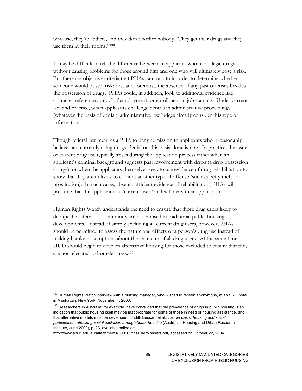who use, they're addicts, and they don't bother nobody. They get their drugs and they use them in their rooms."198

It may be difficult to tell the difference between an applicant who uses illegal drugs without causing problems for those around him and one who will ultimately pose a risk. But there are objective criteria that PHAs can look to in order to determine whether someone would pose a risk: first and foremost, the absence of any past offenses besides the possession of drugs. PHAs could, in addition, look to additional evidence like character references, proof of employment, or enrollment in job training. Under current law and practice, when applicants challenge denials in administrative proceedings (whatever the basis of denial), administrative law judges already consider this type of information.

Though federal law requires a PHA to deny admission to applicants who it reasonably believes are currently using drugs, denial on this basis alone is rare. In practice, the issue of current drug use typically arises during the application process either when an applicant's criminal background suggests past involvement with drugs (a drug possession charge), or when the applicants themselves seek to use evidence of drug rehabilitation to show that they are unlikely to commit another type of offense (such as petty theft or prostitution). In such cases, absent sufficient evidence of rehabilitation, PHAs will presume that the applicant is a "current user" and will deny their application.

Human Rights Watch understands the need to ensure that those drug users likely to disrupt the safety of a community are not housed in traditional public housing developments. Instead of simply excluding all current drug users, however, PHAs should be permitted to assess the nature and effects of a person's drug use instead of making blanket assumptions about the character of all drug users. At the same time, HUD should begin to develop alternative housing for those excluded to ensure that they are not relegated to homelessness.199

<sup>&</sup>lt;sup>198</sup> Human Rights Watch interview with a building manager, who wished to remain anonymous, at an SRO hotel in Manhattan, New York, November 4, 2003.

<sup>199</sup> Researchers in Australia, for example, have concluded that the prevalence of drugs in public housing is an indication that public housing itself may be inappropriate for some of those in need of housing assistance, and that alternative models must be developed. Judith Bessant et al., *Heroin users, housing and social participation: attacking social exclusion through better housing* (Australian Housing and Urban Research Institute, June 2002), p. 23, available online at:

http://www.ahuri.edu.au/attachments/30056\_final\_heroinusers.pdf, accessed on October 22, 2004.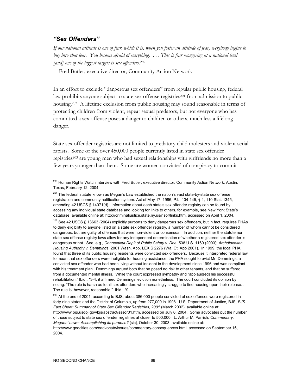### *"Sex Offenders"*

-

*If our national attitude is one of fear, which it is, when you foster an attitude of fear, everybody begins to buy into that fear. You become afraid of everything. . . . This is fear mongering at a national level [and] one of the biggest targets is sex offenders.200*

—Fred Butler, executive director, Community Action Network

In an effort to exclude "dangerous sex offenders" from regular public housing, federal law prohibits anyone subject to state sex offense registries<sup>201</sup> from admission to public housing.202 A lifetime exclusion from public housing may sound reasonable in terms of protecting children from violent, repeat sexual predators, but not everyone who has committed a sex offense poses a danger to children or others, much less a lifelong danger.

State sex offender registries are not limited to predatory child molesters and violent serial rapists. Some of the over 450,000 people currently listed in state sex offender registries203 are young men who had sexual relationships with girlfriends no more than a few years younger than them. Some are women convicted of conspiracy to commit

<sup>&</sup>lt;sup>200</sup> Human Rights Watch interview with Fred Butler, executive director, Community Action Network, Austin, Texas, February 12, 2004.

 $201$  The federal statute known as Megan's Law established the nation's vast state-by-state sex offense registration and community notification system. Act of May 17, 1996, P.L. 104-145, § 1, 110 Stat. 1345, amending 42 USCS § 14071(d). Information about each state's sex offender registry can be found by accessing any individual state database and looking for links to others, for example, see New York State's database, available online at: http://criminaljustice.state.ny.us/nsor/links.htm, accessed on April 1, 2004.

 $202$  See 42 USCS § 13663 (2004) explicitly purports to deny dangerous sex offenders, but in fact, requires PHAs to deny eligibility to anyone listed on a state sex offender registry, a number of whom cannot be considered dangerous, but are guilty of offenses that were non-violent or consensual. In addition, neither the statute nor state sex offense registry laws allow for any independent determination of whether a registered sex offender is dangerous or not. See, e.g., *Connecticut Dep't of Public Safety v. Doe*, 538 U.S. 1160 (2003); *Archdiocesan Housing Authority v. Demmings*, 2001 Wash. App. LEXIS 2276 (Wa. Ct. App 2001). In 1999, the local PHA found that three of its public housing residents were convicted sex offenders. Because it interpreted federal law to mean that sex offenders were ineligible for housing assistance, the PHA sought to evict Mr. Demmings, a convicted sex offender who had been living without incident in the development since 1996 and was compliant with his treatment plan. Demmings argued both that he posed no risk to other tenants, and that he suffered from a documented mental illness. While the court expressed sympathy and "applaud[ed] his successful rehabilitation," Ibid., \*3-4, it affirmed Demmings' eviction nonetheless. The court concluded its opinion by noting: "The rule is harsh as to all sex offenders who increasingly struggle to find housing upon their release. . . The rule is, however, reasonable." Ibid., \*9.

<sup>&</sup>lt;sup>203</sup> At the end of 2001, according to BJS, about 386,000 people convicted of sex offenses were registered in forty-nine states and the District of Columbia, up from 277,000 in 1998. U.S. Department of Justice, BJS, *BJS Fact Sheet: Summary of State Sex Offender Registries, 2001* (March 2002), available online at: http://www.ojp.usdoj.gov/bjs/abstract/sssor01.htm, accessed on July 6, 2004. Some advocates put the number of those subject to state sex offender registries at closer to 500,000. L. Arthur M. Parrish, *Commentary: Megans' Laws: Accomplishing its purpose?* [sic], October 30, 2003, available online at:

http://www.geocities.com/eadvocate/issues/commentary-consequences.html, accessed on September 16, 2004.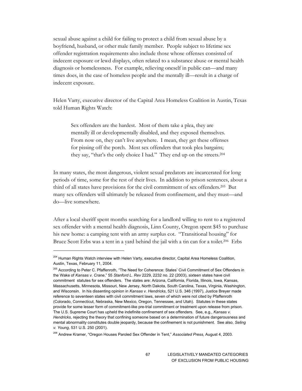sexual abuse against a child for failing to protect a child from sexual abuse by a boyfriend, husband, or other male family member. People subject to lifetime sex offender registration requirements also include those whose offenses consisted of indecent exposure or lewd displays, often related to a substance abuse or mental health diagnosis or homelessness. For example, relieving oneself in public can—and many times does, in the case of homeless people and the mentally ill—result in a charge of indecent exposure.

Helen Varty, executive director of the Capital Area Homeless Coalition in Austin, Texas told Human Rights Watch:

Sex offenders are the hardest. Most of them take a plea, they are mentally ill or developmentally disabled, and they exposed themselves. From now on, they can't live anywhere. I mean, they get these offenses for pissing off the porch. Most sex offenders that took plea bargains; they say, "that's the only choice I had." They end up on the streets.204

In many states, the most dangerous, violent sexual predators are incarcerated for long periods of time, some for the rest of their lives. In addition to prison sentences, about a third of all states have provisions for the civil commitment of sex offenders.205 But many sex offenders will ultimately be released from confinement, and they must—and do—live somewhere.

After a local sheriff spent months searching for a landlord willing to rent to a registered sex offender with a mental health diagnosis, Linn County, Oregon spent \$45 to purchase his new home: a camping tent with an army surplus cot. "Transitional housing" for Bruce Scott Erbs was a tent in a yard behind the jail with a tin can for a toilet.<sup>206</sup> Erbs

<sup>&</sup>lt;sup>204</sup> Human Rights Watch interview with Helen Varty, executive director, Capital Area Homeless Coalition, Austin, Texas, February 11, 2004.

<sup>&</sup>lt;sup>205</sup> According to Peter C. Pfaffenroth, "The Need for Coherence: States' Civil Commitment of Sex Offenders in the Wake of *Kansas v. Crane*," 55 *Stanford L. Rev* 2229, 2232 no. 22 (2003), sixteen states have civil commitment statutes for sex offenders. The states are: Arizona, California, Florida, Illinois, Iowa, Kansas, Massachusetts, Minnesota, Missouri, New Jersey, North Dakota, South Carolina, Texas, Virginia, Washington, and Wisconsin. In his dissenting opinion in *Kansas v. Hendricks*, 521 U.S. 346 (1997), Justice Breyer made reference to seventeen states with civil commitment laws, seven of which were not cited by Pfaffenroth (Colorado, Connecticut, Nebraska, New Mexico, Oregon, Tennessee, and Utah). Statutes in these states provide for some lesser form of commitment-like pre-trial commitment or treatment upon release from prison. The U.S. Supreme Court has upheld the indefinite confinement of sex offenders. See, e.g., *Kansas v. Hendricks*, rejecting the theory that confining someone based on a determination of future dangerousness and mental abnormality constitutes double jeopardy, because the confinement is not punishment. See also, *Seling v. Young*, 531 U.S. 250 (2001).

<sup>206</sup> Andrew Kramer, "Oregon Houses Paroled Sex Offender in Tent," *Associated Press*, August 4, 2003.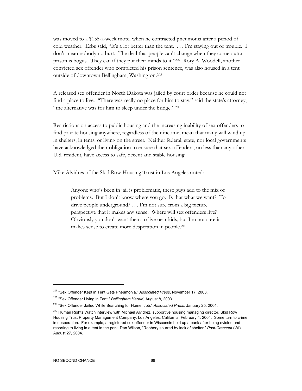was moved to a \$155-a-week motel when he contracted pneumonia after a period of cold weather. Erbs said, "It's a lot better than the tent. . . . I'm staying out of trouble. I don't mean nobody no hurt. The deal that people can't change when they come outta prison is bogus. They can if they put their minds to it."207 Rory A. Woodell, another convicted sex offender who completed his prison sentence, was also housed in a tent outside of downtown Bellingham, Washington.208

A released sex offender in North Dakota was jailed by court order because he could not find a place to live. "There was really no place for him to stay," said the state's attorney, "the alternative was for him to sleep under the bridge." 209

Restrictions on access to public housing and the increasing inability of sex offenders to find private housing anywhere, regardless of their income, mean that many will wind up in shelters, in tents, or living on the street. Neither federal, state, nor local governments have acknowledged their obligation to ensure that sex offenders, no less than any other U.S. resident, have access to safe, decent and stable housing.

Mike Alvidres of the Skid Row Housing Trust in Los Angeles noted:

Anyone who's been in jail is problematic, these guys add to the mix of problems. But I don't know where you go. Is that what we want? To drive people underground? . . . I'm not sure from a big picture perspective that it makes any sense. Where will sex offenders live? Obviously you don't want them to live near kids, but I'm not sure it makes sense to create more desperation in people.210

<sup>207 &</sup>quot;Sex Offender Kept in Tent Gets Pneumonia," *Associated Press*, November 17, 2003.

<sup>208 &</sup>quot;Sex Offender Living in Tent," *Bellingham Herald*, August 8, 2003.

<sup>209 &</sup>quot;Sex Offender Jailed While Searching for Home, Job," *Associated Press*, January 25, 2004.

<sup>&</sup>lt;sup>210</sup> Human Rights Watch interview with Michael Alvidrez, supportive housing managing director, Skid Row Housing Trust Property Management Company, Los Angeles, California, February 4, 2004. Some turn to crime in desperation. For example, a registered sex offender in Wisconsin held up a bank after being evicted and resorting to living in a tent in the park. Dan Wilson, "Robbery spurred by lack of shelter," *Post-Crescent* (WI), August 27, 2004.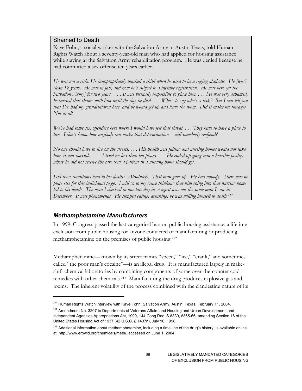### Shamed to Death

Kaye Fohn, a social worker with the Salvation Army in Austin Texas, told Human Rights Watch about a seventy-year-old man who had applied for housing assistance while staying at the Salvation Army rehabilitation program. He was denied because he had committed a sex offense ten years earlier.

*He was not a risk. He inappropriately touched a child when he used to be a raging alcoholic. He [was] clean 12 years. He was in jail, and now he's subject to a lifetime registration. He was here [at the Salvation Army] for two years. . . . It was virtually impossible to place him. . . . He was very ashamed, he carried that shame with him until the day he died. . . . Who's to say who's a risk? But I can tell you that I've had my grandchildren here, and he would get up and leave the room. Did it make me uneasy? Not at all.* 

*We've had some sex offenders here where I would have felt that threat.... They have to have a place to live. I don't know how anybody can make that determination—will somebody reoffend?* 

*No one should have to live on the streets. . . . His health was failing and nursing homes would not take him, it was horrible. . . . I tried no less than ten places. . . . He ended up going into a horrible facility*  where he did not receive the care that a patient in a nursing home should get.

*Did these conditions lead to his death? Absolutely. That man gave up. He had nobody. There was no place else for this individual to go. I will go to my grave thinking that him going into that nursing home led to his death. The man I checked in one late day in August was not the same man I saw in December. It was phenomenal. He stopped eating, drinking; he was willing himself to death.211*

#### *Methamphetamine Manufacturers*

 $\overline{a}$ 

In 1999, Congress passed the last categorical ban on public housing assistance, a lifetime exclusion from public housing for anyone convicted of manufacturing or producing methamphetamine on the premises of public housing.212

Methamphetamine—known by its street names "speed," "ice," "crank," and sometimes called "the poor man's cocaine"—is an illegal drug. It is manufactured largely in makeshift chemical laboratories by combining components of some over-the-counter cold remedies with other chemicals.213 Manufacturing the drug produces explosive gas and toxins. The inherent volatility of the process combined with the clandestine nature of its

<sup>&</sup>lt;sup>211</sup> Human Rights Watch interview with Kaye Fohn, Salvation Army, Austin, Texas, February 11, 2004.

<sup>&</sup>lt;sup>212</sup> Amendment No. 3207 to Departments of Veterans Affairs and Housing and Urban Development, and Independent Agencies Appropriations Act, 1999, 144 Cong Rec. S 8330, 8365-66, amending Section 16 of the United States Housing Act of 1937 (42 U.S.C. § 1437n), July 16, 1998.

<sup>&</sup>lt;sup>213</sup> Additional information about methamphetamine, including a time line of the drug's history, is available online at: http://www.erowid.org/chemicals/meth/, accessed on June 1, 2004.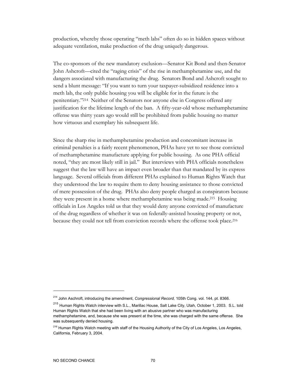production, whereby those operating "meth labs" often do so in hidden spaces without adequate ventilation, make production of the drug uniquely dangerous.

The co-sponsors of the new mandatory exclusion—Senator Kit Bond and then-Senator John Ashcroft—cited the "raging crisis" of the rise in methamphetamine use, and the dangers associated with manufacturing the drug. Senators Bond and Ashcroft sought to send a blunt message: "If you want to turn your taxpayer-subsidized residence into a meth lab, the only public housing you will be eligible for in the future is the penitentiary."214 Neither of the Senators nor anyone else in Congress offered any justification for the lifetime length of the ban. A fifty-year-old whose methamphetamine offense was thirty years ago would still be prohibited from public housing no matter how virtuous and exemplary his subsequent life.

Since the sharp rise in methamphetamine production and concomitant increase in criminal penalties is a fairly recent phenomenon, PHAs have yet to see those convicted of methamphetamine manufacture applying for public housing. As one PHA official noted, "they are most likely still in jail." But interviews with PHA officials nonetheless suggest that the law will have an impact even broader than that mandated by its express language. Several officials from different PHAs explained to Human Rights Watch that they understood the law to require them to deny housing assistance to those convicted of mere possession of the drug. PHAs also deny people charged as conspirators because they were present in a home where methamphetamine was being made.215 Housing officials in Los Angeles told us that they would deny anyone convicted of manufacture of the drug regardless of whether it was on federally-assisted housing property or not, because they could not tell from conviction records where the offense took place.216

<sup>214</sup> John Aschroft, introducing the amendment, *Congressional Record,* 105th Cong. vol. 144, pt. 8366.

<sup>215</sup> Human Rights Watch interview with S.L., Marillac House, Salt Lake City, Utah, October 1, 2003. S.L. told Human Rights Watch that she had been living with an abusive partner who was manufacturing methamphetamine, and, because she was present at the time, she was charged with the same offense. She was subsequently denied housing.

<sup>&</sup>lt;sup>216</sup> Human Rights Watch meeting with staff of the Housing Authority of the City of Los Angeles, Los Angeles, California, February 3, 2004.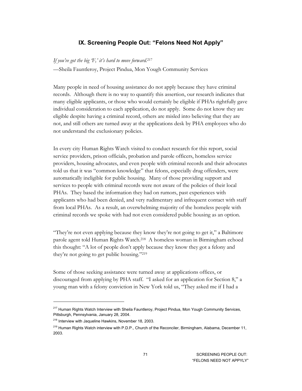## **IX. Screening People Out: "Felons Need Not Apply"**

#### *If you've got the big 'F,' it's hard to move forward.*<sup>217</sup>

—Sheila Fauntleroy, Project Pindua, Mon Yough Community Services

Many people in need of housing assistance do not apply because they have criminal records. Although there is no way to quantify this assertion, our research indicates that many eligible applicants, or those who would certainly be eligible if PHAs rightfully gave individual consideration to each application, do not apply. Some do not know they are eligible despite having a criminal record, others are misled into believing that they are not, and still others are turned away at the applications desk by PHA employees who do not understand the exclusionary policies.

In every city Human Rights Watch visited to conduct research for this report, social service providers, prison officials, probation and parole officers, homeless service providers, housing advocates, and even people with criminal records and their advocates told us that it was "common knowledge" that felons, especially drug offenders, were automatically ineligible for public housing. Many of those providing support and services to people with criminal records were not aware of the policies of their local PHAs. They based the information they had on rumors, past experiences with applicants who had been denied, and very rudimentary and infrequent contact with staff from local PHAs. As a result, an overwhelming majority of the homeless people with criminal records we spoke with had not even considered public housing as an option.

"They're not even applying because they know they're not going to get it," a Baltimore parole agent told Human Rights Watch.218 A homeless woman in Birmingham echoed this thought: "A lot of people don't apply because they know they got a felony and they're not going to get public housing."219

Some of those seeking assistance were turned away at applications offices, or discouraged from applying by PHA staff. "I asked for an application for Section 8," a young man with a felony conviction in New York told us, "They asked me if I had a

<sup>&</sup>lt;sup>217</sup> Human Rights Watch Interview with Sheila Fauntleroy, Project Pindua, Mon Yough Community Services, Pittsburgh, Pennsylvania, January 28, 2004.

<sup>218</sup> Interview with Jaqueline Hawkins, November 18, 2003.

<sup>&</sup>lt;sup>219</sup> Human Rights Watch interview with P.D.P., Church of the Reconciler, Birmingham, Alabama, December 11, 2003.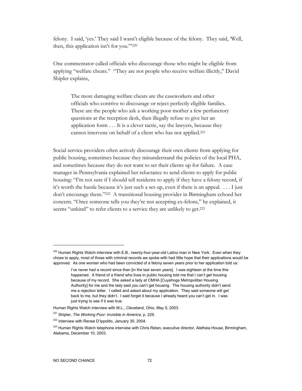felony. I said, 'yes.' They said I wasn't eligible because of the felony. They said, 'Well, then, this application isn't for you."'220

One commentator called officials who discourage those who might be eligible from applying "welfare cheats." "They are not people who receive welfare illicitly," David Shipler explains,

The more damaging welfare cheats are the caseworkers and other officials who contrive to discourage or reject perfectly eligible families. These are the people who ask a working poor mother a few perfunctory questions at the reception desk, then illegally refuse to give her an application form . . . It is a clever tactic, say the lawyers, because they cannot intervene on behalf of a client who has not applied.221

Social service providers often actively discourage their own clients from applying for public housing, sometimes because they misunderstand the policies of the local PHA, and sometimes because they do not want to set their clients up for failure. A case manager in Pennsylvania explained her reluctance to send clients to apply for public housing: "I'm not sure if I should tell residents to apply if they have a felony record, if it's worth the hassle because it's just such a set-up, even if there is an appeal. . . . I just don't encourage them."222 A transitional housing provider in Birmingham echoed her concern. "Once someone tells you they're not accepting ex-felons," he explained, it seems "unkind" to refer clients to a service they are unlikely to get.<sup>223</sup>

<sup>&</sup>lt;sup>220</sup> Human Rights Watch interview with E.B., twenty-four-year-old Latino man in New York. Even when they chose to apply, most of those with criminal records we spoke with had little hope that their applications would be approved. As one woman who had been convicted of a felony seven years prior to her application told us:

I've never had a record since then [in the last seven years]. I was eighteen at the time this happened. A friend of a friend who lives in public housing told me that I can't get housing because of my record. She asked a lady at CMHA [Cuyahoga Metropolitan Housing Authority] for me and the lady said you can't get housing. The housing authority didn't send me a rejection letter. I called and asked about my application. They said someone will get back to me, but they didn't. I said forget it because I already heard you can't get in. I was just trying to see if it was true.

Human Rights Watch interview with M.L., Cleveland, Ohio, May 5, 2003.

<sup>221</sup> Shipler, *The Working Poor: Invisible in America*, p. 229.

<sup>&</sup>lt;sup>222</sup> Interview with Renee D'Ippolito, January 30, 2004.

<sup>&</sup>lt;sup>223</sup> Human Rights Watch telephone interview with Chris Retan, executive director, Aletheia House, Birmingham, Alabama, December 10, 2003.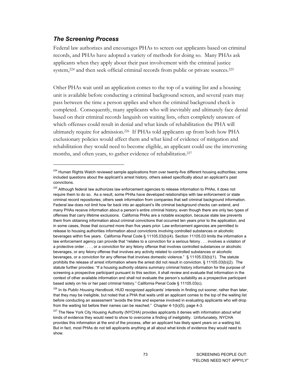### *The Screening Process*

-

Federal law authorizes and encourages PHAs to screen out applicants based on criminal records, and PHAs have adopted a variety of methods for doing so. Many PHAs ask applicants when they apply about their past involvement with the criminal justice system,<sup>224</sup> and then seek official criminal records from public or private sources.<sup>225</sup>

Other PHAs wait until an application comes to the top of a waiting list and a housing unit is available before conducting a criminal background screen, and several years may pass between the time a person applies and when the criminal background check is completed. Consequently, many applicants who will inevitably and ultimately face denial based on their criminal records languish on waiting lists, often completely unaware of which offenses could result in denial and what kinds of rehabilitation the PHA will ultimately require for admission.226 If PHAs told applicants up front both how PHA exclusionary policies would affect them and what kind of evidence of mitigation and rehabilitation they would need to become eligible, an applicant could use the intervening months, and often years, to gather evidence of rehabilitation.<sup>227</sup>

<sup>&</sup>lt;sup>224</sup> Human Rights Watch reviewed sample applications from over twenty-five different housing authorities; some included questions about the applicant's arrest history, others asked specifically about an applicant's past convictions.

<sup>&</sup>lt;sup>225</sup> Although federal law authorizes law enforcement agencies to release information to PHAs, it does not require them to do so. As a result, some PHAs have developed relationships with law enforcement or state criminal record repositories; others seek information from companies that sell criminal background information. Federal law does not limit how far back into an applicant's life criminal background checks can extend, and many PHAs receive information about a person's entire criminal history, even though there are only two types of offenses that carry lifetime exclusions. California PHAs are a notable exception, because state law prevents them from obtaining information about criminal convictions that occurred ten years prior to the application, and in some cases, those that occurred more than five years prior. Law enforcement agencies are permitted to release to housing authorities information about convictions involving controlled substances or alcoholic beverages within five years. California Penal Code § 11105.03(b)(4). Section 11105.03 limits the information a law enforcement agency can provide that "relates to a conviction for a serious felony . . . involves a violation of a protective order . . . , or a conviction for any felony offense that involves controlled substances or alcoholic beverages, or any felony offense that involves any activity related to controlled substances or alcoholic beverages, or a conviction for any offense that involves domestic violence." § 11105.03(b)(1). The statute prohibits the release of arrest information where the arrest did not result in conviction. § 11105.03(b)(2). The statute further provides: "If a housing authority obtains summary criminal history information for the purpose of screening a prospective participant pursuant to this section, it shall review and evaluate that information in the context of other available information and shall not evaluate the person's suitability as a prospective participant based solely on his or her past criminal history." California Penal Code § 11105.03(c).

<sup>226</sup> In its *Public Housing Handbook*, HUD recognized applicants' interests in finding out sooner, rather than later, that they may be ineligible, but noted that a PHA that waits until an applicant comes to the top of the waiting list before conducting an assessment "avoids the time and expense involved in evaluating applicants who will drop from the waiting list before their names can be reached." Chapter 4-1(b)(5), page 4-3.

<sup>&</sup>lt;sup>227</sup> The New York City Housing Authority (NYCHA) provides applicants it denies with information about what kinds of evidence they would need to show to overcome a finding of ineligibility. Unfortunately, NYCHA provides this information at the end of the process, after an applicant has likely spent years on a waiting list. But in fact, most PHAs do not tell applicants anything at all about what kinds of evidence they would need to show.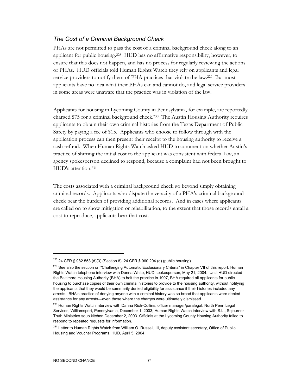## *The Cost of a Criminal Background Check*

PHAs are not permitted to pass the cost of a criminal background check along to an applicant for public housing.228 HUD has no affirmative responsibility, however, to ensure that this does not happen, and has no process for regularly reviewing the actions of PHAs. HUD officials told Human Rights Watch they rely on applicants and legal service providers to notify them of PHA practices that violate the law.<sup>229</sup> But most applicants have no idea what their PHAs can and cannot do, and legal service providers in some areas were unaware that the practice was in violation of the law.

Applicants for housing in Lycoming County in Pennsylvania, for example, are reportedly charged \$75 for a criminal background check.230 The Austin Housing Authority requires applicants to obtain their own criminal histories from the Texas Department of Public Safety by paying a fee of \$15. Applicants who choose to follow through with the application process can then present their receipt to the housing authority to receive a cash refund. When Human Rights Watch asked HUD to comment on whether Austin's practice of shifting the initial cost to the applicant was consistent with federal law, an agency spokesperson declined to respond, because a complaint had not been brought to HUD's attention.231

The costs associated with a criminal background check go beyond simply obtaining criminal records. Applicants who dispute the veracity of a PHA's criminal background check bear the burden of providing additional records. And in cases where applicants are called on to show mitigation or rehabilitation, to the extent that those records entail a cost to reproduce, applicants bear that cost.

<sup>228 24</sup> CFR § 982.553 (d)(3) (Section 8); 24 CFR § 960.204 (d) (public housing).

<sup>&</sup>lt;sup>229</sup> See also the section on "Challenging Automatic Exclusionary Criteria" in Chapter VII of this report; Human Rights Watch telephone interview with Donna White, HUD spokesperson, May 21, 2004. Until HUD directed the Baltimore Housing Authority (BHA) to halt the practice in 1997, BHA required all applicants for public housing to purchase copies of their own criminal histories to provide to the housing authority, without notifying the applicants that they would be summarily denied eligibility for assistance if their histories included any arrests. BHA's practice of denying anyone with a criminal history was so broad that applicants were denied assistance for any arrests—even those where the charges were ultimately dismissed.

<sup>&</sup>lt;sup>230</sup> Human Rights Watch interview with Danna Rich-Collins, officer manager/paralegal, North Penn Legal Services, Williamsport, Pennsylvania, December 1, 2003; Human Rights Watch interview with S.L., Sojourner Truth Ministries soup kitchen December 2, 2003. Officials at the Lycoming County Housing Authority failed to respond to repeated requests for information.

<sup>&</sup>lt;sup>231</sup> Letter to Human Rights Watch from William O. Russell, III, deputy assistant secretary, Office of Public Housing and Voucher Programs, HUD, April 5, 2004.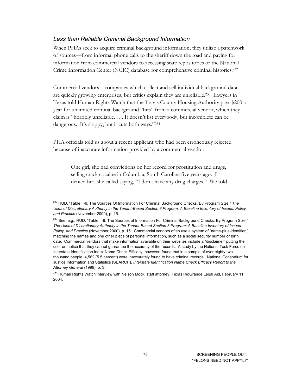### *Less than Reliable Criminal Background Information*

-

When PHAs seek to acquire criminal background information, they utilize a patchwork of sources—from informal phone calls to the sheriff down the road and paying for information from commercial vendors to accessing state repositories or the National Crime Information Center (NCIC) database for comprehensive criminal histories.232

Commercial vendors—companies which collect and sell individual background data are quickly growing enterprises, but critics explain they are unreliable.233 Lawyers in Texas told Human Rights Watch that the Travis County Housing Authority pays \$200 a year for unlimited criminal background "hits" from a commercial vendor, which they claim is "horribly unreliable. . . . It doesn't list everybody, but incomplete can be dangerous. It's sloppy, but it cuts both ways."234

PHA officials told us about a recent applicant who had been erroneously rejected because of inaccurate information provided by a commercial vendor:

One girl, she had convictions on her record for prostitution and drugs, selling crack cocaine in Columbia, South Carolina five years ago. I denied her, she called saying, "I don't have any drug charges." We told

<sup>232</sup> HUD, "Table II-6: The Sources Of Information For Criminal Background Checks, By Program Size," *The Uses of Discretionary Authority in the Tenant-Based Section 8 Program: A Baseline Inventory of Issues, Policy, and Practice* (November 2000), p. 15.

<sup>&</sup>lt;sup>233</sup> See, e.g., HUD, "Table II-6: The Sources of Information For Criminal Background Checks, By Program Size," *The Uses of Discretionary Authority in the Tenant-Based Section 8 Program: A Baseline Inventory of Issues, Policy, and Practice* (November 2000), p. 15. Commercial vendors often use a system of "name-plus-identifier," matching the names and one other piece of personal information, such as a social security number or birth date. Commercial vendors that make information available on their websites include a "disclaimer" putting the user on notice that they cannot guarantee the accuracy of the records. A study by the National Task Force on Interstate Identification Index Name Check Efficacy, however, found that in a sample of over eighty-two thousand people, 4,562 (5.5 percent) were inaccurately found to have criminal records. National Consortium for Justice Information and Statistics (SEARCH), *Interstate Identification Name Check Efficacy Report to the Attorney General* (1999), p. 3.

<sup>&</sup>lt;sup>234</sup> Human Rights Watch interview with Nelson Mock, staff attorney, Texas RioGrande Legal Aid, February 11, 2004.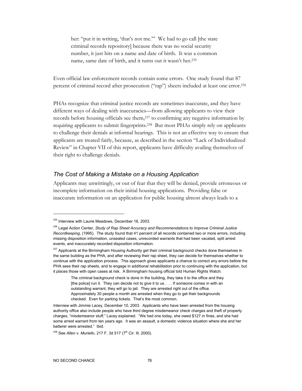her: "put it in writing, 'that's not me."" We had to go call [the state criminal records repository] because there was no social security number, it just hits on a name and date of birth. It was a common name, same date of birth, and it turns out it wasn't her.235

Even official law enforcement records contain some errors. One study found that 87 percent of criminal record after prosecution ("rap") sheets included at least one error.236

PHAs recognize that criminal justice records are sometimes inaccurate, and they have different ways of dealing with inaccuracies—from allowing applicants to view their records before housing officials see them,237 to confirming any negative information by requiring applicants to submit fingerprints.238 But most PHAs simply rely on applicants to challenge their denials at informal hearings. This is not an effective way to ensure that applicants are treated fairly, because, as described in the section "Lack of Individualized Review" in Chapter VII of this report, applicants have difficulty availing themselves of their right to challenge denials.

### *The Cost of Making a Mistake on a Housing Application*

Applicants may unwittingly, or out of fear that they will be denied, provide erroneous or incomplete information on their initial housing applications. Providing false or inaccurate information on an application for public housing almost always leads to a

<sup>&</sup>lt;sup>235</sup> Interview with Laurie Meadows, December 16, 2003.

<sup>236</sup> Legal Action Center, *Study of Rap Sheet Accuracy and Recommendations to Improve Criminal Justice Recordkeeping*, (1995). The study found that 41 percent of all records contained two or more errors, including missing disposition information, unsealed cases, unrecorded warrants that had been vacated, split arrest events, and inaccurately recorded disposition information.

<sup>&</sup>lt;sup>237</sup> Applicants at the Birmingham Housing Authority get their criminal background checks done themselves in the same building as the PHA, and after reviewing their rap sheet, they can decide for themselves whether to continue with the application process. This approach gives applicants a chance to correct any errors before the PHA sees their rap sheets, and to engage in additional rehabilitation prior to continuing with the application, but it places those with open cases at risk. A Birmingham housing official told Human Rights Watch:

The criminal background check is done in the building, they take it to the office and they [the police] run it. They can decide not to give it to us. . . . If someone comes in with an outstanding warrant, they will go to jail. They are arrested right out of the office. Approximately 30 people a month are arrested when they go to get their backgrounds checked. Even for parking tickets. That's the most common.

Interview with Jimmie Lacey, December 10, 2003. Applicants who have been arrested from the housing authority office also include people who have third degree misdemeanor check charges and theft of property charges, "misdemeanor stuff," Lacey explained. "We had one today, she owed \$127 in fines, and she had some arrest warrant from ten years ago. It was an assault, a domestic violence situation where she and her batterer were arrested." Ibid.

<sup>&</sup>lt;sup>238</sup> See *Allen v. Muriello*, 217 F. 3d 517 (7<sup>th</sup> Cir. Ill. 2000).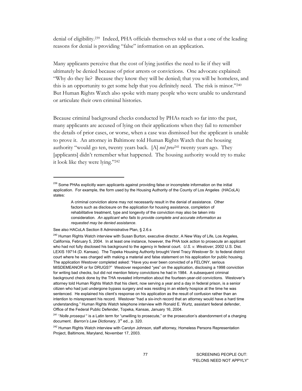denial of eligibility.239 Indeed, PHA officials themselves told us that a one of the leading reasons for denial is providing "false" information on an application.

Many applicants perceive that the cost of lying justifies the need to lie if they will ultimately be denied because of prior arrests or convictions. One advocate explained: "Why do they lie? Because they know they will be denied; that you will be homeless, and this is an opportunity to get some help that you definitely need. The risk is minor."240 But Human Rights Watch also spoke with many people who were unable to understand or articulate their own criminal histories.

Because criminal background checks conducted by PHAs reach so far into the past, many applicants are accused of lying on their applications when they fail to remember the details of prior cases, or worse, when a case was dismissed but the applicant is unable to prove it. An attorney in Baltimore told Human Rights Watch that the housing authority "would go ten, twenty years back. [A] *nol pros*241 twenty years ago. They [applicants] didn't remember what happened. The housing authority would try to make it look like they were lying."242

See also HACoLA Section 8 Administrative Plan, § 2.6.s

 $\ddot{\phantom{a}}$ 

<sup>&</sup>lt;sup>239</sup> Some PHAs explicitly warn applicants against providing false or incomplete information on the initial application. For example, the form used by the Housing Authority of the County of Los Angeles (HACoLA) states:

A criminal conviction alone may not necessarily result in the denial of assistance. Other factors such as disclosure on the application for housing assistance, completion of rehabilitative treatment, type and longevity of the conviction may also be taken into consideration*. An applicant who fails to provide complete and accurate information as requested may be denied assistance*.

<sup>&</sup>lt;sup>240</sup> Human Rights Watch interview with Susan Burton, executive director, A New Way of Life, Los Angeles, California, February 5, 2004. In at least one instance, however, the PHA took action to prosecute an applicant who had not fully disclosed his background to the agency in federal court. *U.S. v. Westover*, 2002 U.S. Dist. LEXIS 19714 (D. Kansas). The Topeka Housing Authority brought Verel Tracy Westover Sr. to federal district court where he was charged with making a material and false statement on his application for public housing. The application Westover completed asked: "Have you ever been convicted of a FELONY, serious MISDEMEANOR or for DRUGS?" Westover responded "yes" on the application, disclosing a 1998 conviction for writing bad checks, but did not mention felony convictions he had in 1984. A subsequent criminal background check done by the THA revealed information about the fourteen-year-old convictions. Westover's attorney told Human Rights Watch that his client, now serving a year and a day in federal prison, is a senior citizen who had just undergone bypass surgery and was residing in an elderly hospice at the time he was sentenced. He explained his client's response on his application as the result of confusion rather than an intention to misrepresent his record. Westover "had a six-inch record that an attorney would have a hard time understanding." Human Rights Watch telephone interview with Ronald E. Wurtz, assistant federal defender, Office of the Federal Public Defender, Topeka, Kansas, January 16, 2004.

<sup>&</sup>lt;sup>241</sup> "Nolle prosequi" is a Latin term for "unwilling to prosecute," or the prosecution's abandonment of a charging document. *Barron's Law Dictionary*, 3rd ed., p. 320.

<sup>&</sup>lt;sup>242</sup> Human Rights Watch interview with Carolyn Johnson, staff attorney, Homeless Persons Representation Project, Baltimore, Maryland, November 17, 2003.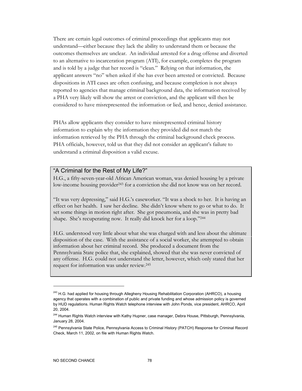There are certain legal outcomes of criminal proceedings that applicants may not understand—either because they lack the ability to understand them or because the outcomes themselves are unclear. An individual arrested for a drug offense and diverted to an alternative to incarceration program (ATI), for example, completes the program and is told by a judge that her record is "clean." Relying on that information, the applicant answers "no" when asked if she has ever been arrested or convicted. Because dispositions in ATI cases are often confusing, and because completion is not always reported to agencies that manage criminal background data, the information received by a PHA very likely will show the arrest or conviction, and the applicant will then be considered to have misrepresented the information or lied, and hence, denied assistance.

PHAs allow applicants they consider to have misrepresented criminal history information to explain why the information they provided did not match the information retrieved by the PHA through the criminal background check process. PHA officials, however, told us that they did not consider an applicant's failure to understand a criminal disposition a valid excuse.

### "A Criminal for the Rest of My Life?"

H.G., a fifty-seven-year-old African American woman, was denied housing by a private low-income housing provider<sup>243</sup> for a conviction she did not know was on her record.

"It was very depressing," said H.G.'s caseworker. "It was a shock to her. It is having an effect on her health. I saw her decline. She didn't know where to go or what to do. It set some things in motion right after. She got pneumonia, and she was in pretty bad shape. She's recuperating now. It really did knock her for a loop."244

H.G. understood very little about what she was charged with and less about the ultimate disposition of the case. With the assistance of a social worker, she attempted to obtain information about her criminal record. She produced a document from the Pennsylvania State police that, she explained, showed that she was never convicted of any offense. H.G. could not understand the letter, however, which only stated that her request for information was under review.245

<sup>&</sup>lt;sup>243</sup> H.G. had applied for housing through Allegheny Housing Rehabilitation Corporation (AHRCO), a housing agency that operates with a combination of public and private funding and whose admission policy is governed by HUD regulations. Human Rights Watch telephone interview with John Ponds, vice president, AHRCO, April 20, 2004.

<sup>&</sup>lt;sup>244</sup> Human Rights Watch interview with Kathy Hupner, case manager, Debra House, Pittsburgh, Pennsylvania, January 28, 2004.

<sup>&</sup>lt;sup>245</sup> Pennsylvania State Police, Pennsylvania Access to Criminal History (PATCH) Response for Criminal Record Check, March 11, 2002, on file with Human Rights Watch.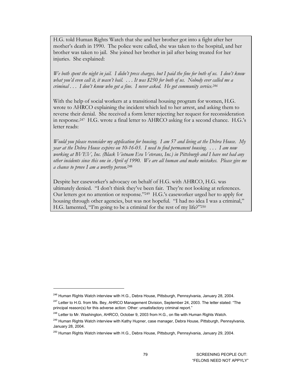H.G. told Human Rights Watch that she and her brother got into a fight after her mother's death in 1990. The police were called, she was taken to the hospital, and her brother was taken to jail. She joined her brother in jail after being treated for her injuries. She explained:

*We both spent the night in jail. I didn't press charges, but I paid the fine for both of us. I don't know what you'd even call it, it wasn't bail. . . . It was \$250 for both of us. Nobody ever called me a criminal . . . I don't know who got a fine. I never asked. He got community service.246* 

With the help of social workers at a transitional housing program for women, H.G. wrote to AHRCO explaining the incident which led to her arrest, and asking them to reverse their denial. She received a form letter rejecting her request for reconsideration in response.247 H.G. wrote a final letter to AHRCO asking for a second chance. H.G.'s letter reads:

*Would you please reconsider my application for housing. I am 57 and living at the Debra House. My year at the Debra House expires on 10-16-03. I need to find permanent housing. . . . I am now working at BVEV, Inc. (Black Vietnam Era Veterans, Inc.) in Pittsburgh and I have not had any other incidents since this one in April of 1990. We are all human and make mistakes. Please give me a chance to prove I am a worthy person*. 248

Despite her caseworker's advocacy on behalf of H.G. with AHRCO, H.G. was ultimately denied. "I don't think they've been fair. They're not looking at references. Our letters got no attention or response."249 H.G.'s caseworker urged her to apply for housing through other agencies, but was not hopeful. "I had no idea I was a criminal," H.G. lamented, "I'm going to be a criminal for the rest of my life?"250

<sup>&</sup>lt;sup>246</sup> Human Rights Watch interview with H.G., Debra House, Pittsburgh, Pennsylvania, January 28, 2004.

<sup>&</sup>lt;sup>247</sup> Letter to H.G. from Ms. Bey, AHRCO Management Division, September 24, 2003. The letter stated: "The principal reason(s) for this adverse action: Other: unsatisfactory criminal report."

<sup>&</sup>lt;sup>248</sup> Letter to Mr. Washington, AHRCO, October 9, 2003 from H.G., on file with Human Rights Watch.

<sup>&</sup>lt;sup>249</sup> Human Rights Watch interview with Kathy Hupner, case manager, Debra House, Pittsburgh, Pennsylvania, January 28, 2004.

<sup>&</sup>lt;sup>250</sup> Human Rights Watch interview with H.G., Debra House, Pittsburgh, Pennsylvania, January 29, 2004.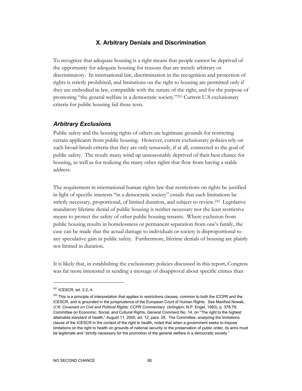### **X. Arbitrary Denials and Discrimination**

To recognize that adequate housing is a right means that people cannot be deprived of the opportunity for adequate housing for reasons that are merely arbitrary or discriminatory. In international law, discrimination in the recognition and protection of rights is strictly prohibited, and limitations on the right to housing are permitted only if they are embodied in law, compatible with the nature of the right, and for the purpose of promoting "the general welfare in a democratic society."251 Current U.S exclusionary criteria for public housing fail these tests.

#### *Arbitrary Exclusions*

Public safety and the housing rights of others are legitimate grounds for restricting certain applicants from public housing. However, current exclusionary policies rely on such broad-brush criteria that they are only tenuously, if at all, connected to the goal of public safety. The result: many wind up unreasonably deprived of their best chance for housing, as well as for realizing the many other rights that flow from having a stable address.

The requirement in international human rights law that restrictions on rights be justified in light of specific interests "in a democratic society" entails that such limitations be strictly necessary, proportional, of limited duration, and subject to review.252 Legislative mandatory lifetime denial of public housing is neither necessary nor the least restrictive means to protect the safety of other public housing tenants. Where exclusion from public housing results in homelessness or permanent separation from one's family, the case can be made that the actual damage to individuals or society is disproportional to any speculative gain in public safety. Furthermore, lifetime denials of housing are plainly not limited in duration.

It is likely that, in establishing the exclusionary policies discussed in this report, Congress was far more interested in sending a message of disapproval about specific crimes than

 $251$  ICESCR, art. 2.2, 4.

 $252$  This is a principle of interpretation that applies to restrictions clauses, common to both the ICCPR and the ICESCR, and is grounded in the jurisprudence of the European Court of Human Rights. See Manfred Nowak, U.N. Covenant on Civil and Political Rights: CCPR Commentary (Arlington: N.P. Engel, 1993), p. 378-79; Committee on Economic, Social, and Cultural Rights, General Comment No. 14, on "The right to the highest attainable standard of health," August 11, 2000, art. 12, para. 28. The Committee, analyzing the limitations clause of the ICESCR in the context of the right to health, noted that when a government seeks to impose limitations on the right to health on grounds of national security or the preservation of public order, its aims must be legitimate and "strictly necessary for the promotion of the general welfare in a democratic society."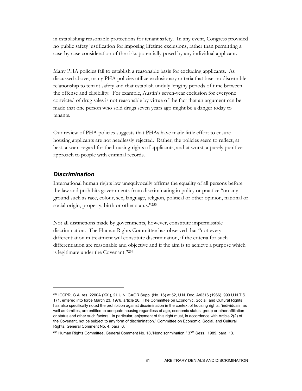in establishing reasonable protections for tenant safety. In any event, Congress provided no public safety justification for imposing lifetime exclusions, rather than permitting a case-by-case consideration of the risks potentially posed by any individual applicant.

Many PHA policies fail to establish a reasonable basis for excluding applicants. As discussed above, many PHA policies utilize exclusionary criteria that bear no discernible relationship to tenant safety and that establish unduly lengthy periods of time between the offense and eligibility. For example, Austin's seven-year exclusion for everyone convicted of drug sales is not reasonable by virtue of the fact that an argument can be made that one person who sold drugs seven years ago might be a danger today to tenants.

Our review of PHA policies suggests that PHAs have made little effort to ensure housing applicants are not needlessly rejected. Rather, the policies seem to reflect, at best, a scant regard for the housing rights of applicants, and at worst, a purely punitive approach to people with criminal records.

## *Discrimination*

-

International human rights law unequivocally affirms the equality of all persons before the law and prohibits governments from discriminating in policy or practice "on any ground such as race, colour, sex, language, religion, political or other opinion, national or social origin, property, birth or other status."253

Not all distinctions made by governments, however, constitute impermissible discrimination. The Human Rights Committee has observed that "not every differentiation in treatment will constitute discrimination, if the criteria for such differentiation are reasonable and objective and if the aim is to achieve a purpose which is legitimate under the Covenant."254

<sup>253</sup> ICCPR, G.A. res. 2200A (XXI), 21 U.N. GAOR Supp. (No. 16) at 52, U.N. Doc. A/6316 (1966), 999 U.N.T.S. 171, entered into force March 23, 1976, article 26. The Committee on Economic, Social, and Cultural Rights has also specifically noted the prohibition against discrimination in the context of housing rights: "individuals, as well as families, are entitled to adequate housing regardless of age, economic status, group or other affiliation or status and other such factors. In particular, enjoyment of this right must, in accordance with Article 2(2) of the Covenant, not be subject to any form of discrimination." Committee on Economic, Social, and Cultural Rights, General Comment No. 4, para. 6.

 $^{254}$  Human Rights Committee, General Comment No. 18,"Nondiscrimination," 37<sup>th</sup> Sess., 1989, para. 13.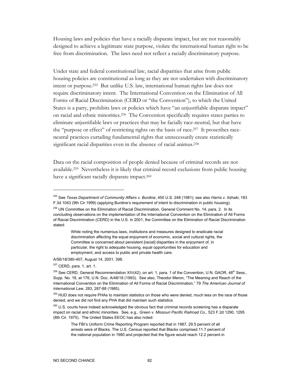Housing laws and policies that have a racially disparate impact, but are not reasonably designed to achieve a legitimate state purpose, violate the international human right to be free from discrimination. The laws need not reflect a racially discriminatory purpose.

Under state and federal constitutional law, racial disparities that arise from public housing policies are constitutional as long as they are not undertaken with discriminatory intent or purpose.255 But unlike U.S. law, international human rights law does not require discriminatory intent. The International Convention on the Elimination of All Forms of Racial Discrimination (CERD or "the Convention"), to which the United States is a party, prohibits laws or policies which have "an unjustifiable disparate impact" on racial and ethnic minorities.256 The Convention specifically requires states parties to eliminate unjustifiable laws or practices that may be facially race-neutral, but that have the "purpose or effect" of restricting rights on the basis of race.257 It proscribes raceneutral practices curtailing fundamental rights that unnecessarily create statistically significant racial disparities even in the absence of racial animus.<sup>258</sup>

Data on the racial composition of people denied because of criminal records are not available.259 Nevertheless it is likely that criminal record exclusions from public housing have a significant racially disparate impact.<sup>260</sup>

A/56/18/380-407, August 14, 2001, 398.

<sup>257</sup> CERD, para. 1, art. 1.

<sup>255</sup> See *Texas Department of Community Affairs v. Burdine*, 450 U.S. 248 (1981); see also *Harris v. Itzhaki*, 183 F.3d 1043 (9th Cir 1999) (applying Burdine's requirement of intent to discrimination in public housing).

<sup>&</sup>lt;sup>256</sup> UN Committee on the Elimination of Racial Discrimination, General Comment No. 14, para. 2. In its concluding observations on the implementation of the International Convention on the Elimination of All Forms of Racial Discrimination (CERD) in the U.S. in 2001, the Committee on the Elimination of Racial Discrimination stated:

While noting the numerous laws, institutions and measures designed to eradicate racial discrimination affecting the equal enjoyment of economic, social and cultural rights, the Committee is concerned about persistent [racial] disparities in the enjoyment of, in particular, the right to adequate housing, equal opportunities for education and employment, and access to public and private health care.

<sup>&</sup>lt;sup>258</sup> See CERD, General Recommendation XIV(42), on art. 1, para. 1 of the Convention, U.N. GAOR, 48<sup>th</sup> Sess., Supp. No. 18, at 176, U.N. Doc. A/48/18 (1993). See also, Theodor Meron, "The Meaning and Reach of the International Convention on the Elimination of All Forms of Racial Discrimination," 79 *The American Journal of International Law*, 283, 287-88 (1985).

<sup>&</sup>lt;sup>259</sup> HUD does not require PHAs to maintain statistics on those who were denied, much less on the race of those denied, and we did not find any PHA that did maintain such statistics.

<sup>&</sup>lt;sup>260</sup> U.S. courts have indeed acknowledged the obvious fact that criminal records screening has a disparate impact on racial and ethnic minorities. See, e.g., *Green v. Missouri Pacific Railroad Co*., 523 F.2d 1290, 1295 (8th Cir. 1975). The United States EEOC has also noted:

The FBI's Uniform Crime Reporting Program reported that in 1987, 29.5 percent of all arrests were of Blacks. The U.S. Census reported that Blacks comprised 11.7 percent of the national population in 1980 and projected that the figure would reach 12.2 percent in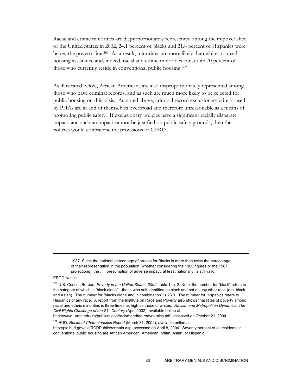Racial and ethnic minorities are disproportionately represented among the impoverished of the United States: in 2002, 24.1 percent of blacks and 21.8 percent of Hispanics were below the poverty line.<sup>261</sup> As a result, minorities are more likely than whites to need housing assistance and, indeed, racial and ethnic minorities constitute 70 percent of those who currently reside in conventional public housing.262

As illustrated below, African Americans are also disproportionately represented among those who have criminal records, and as such are much more likely to be rejected for public housing on this basis. As noted above, criminal record exclusionary criteria used by PHAs are in and of themselves overbroad and therefore unreasonable as a means of promoting public safety. If exclusionary policies have a significant racially disparate impact, and such an impact cannot be justified on public safety grounds, then the policies would contravene the provisions of CERD.

1987. Since the national percentage of arrests for Blacks is more than twice the percentage of their representation in the population (whether considering the 1980 figures or the 1987 projections), the . . . presumption of adverse impact, at least nationally, is still valid.

 $\overline{a}$ 

http://www1.umn.edu/irp/publications/racismandmetrodynamics.pdf, accessed on October 21, 2004.

262 HUD, *Resident Characteristics Report* (March 31, 2004), available online at:

http://pic.hud.gov/pic/RCRPublic/rcrmain.asp, accessed on April 8, 2004. Seventy percent of all residents in conventional public housing are African American, American Indian, Asian, or Hispanic.

EEOC Notice.

<sup>261</sup> U.S. Census Bureau, *Poverty in the United States: 2002*, table 1, p. 2. Note: the number for "black" refers to the category of which is "black alone"—those who self-identified as black and not as any other race (e.g. black and Asian). The number for "blacks alone and in combination" is 23.9. The number for Hispanics refers to Hispanics of any race. A report from the Institute on Race and Poverty also shows that rates of poverty among racial and ethnic minorities is three times as high as those of whites. *Racism and Metropolitan Dynamics: The Civil Rights Challenge of the 21st Century* (April 2002), available online at: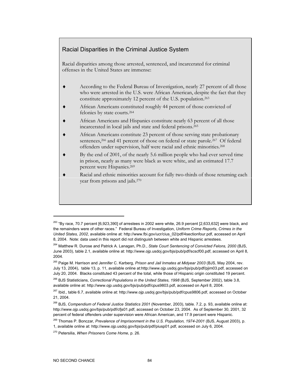## Racial Disparities in the Criminal Justice System

Racial disparities among those arrested, sentenced, and incarcerated for criminal offenses in the United States are immense:

- ♦ According to the Federal Bureau of Investigation, nearly 27 percent of all those who were arrested in the U.S. were African American, despite the fact that they constitute approximately 12 percent of the U.S. population.263
- African Americans constituted roughly 44 percent of those convicted of felonies by state courts.264
- African Americans and Hispanics constitute nearly 63 percent of all those incarcerated in local jails and state and federal prisons.265
- African Americans constitute 23 percent of those serving state probationary sentences,<sup>266</sup> and 41 percent of those on federal or state parole.<sup>267</sup> Of federal offenders under supervision, half were racial and ethnic minorities.268
- By the end of 2001, of the nearly 5.6 million people who had ever served time in prison, nearly as many were black as were white, and an estimated 17.7 percent were Hispanics.269
- Racial and ethnic minorities account for fully two-thirds of those returning each year from prisons and jails.270

 $^{263}$  "By race, 70.7 percent [6,923,390] of arrestees in 2002 were white, 26.9 percent [2,633,632] were black, and the remainders were of other races." Federal Bureau of Investigation, *Uniform Crime Reports*, *Crimes in the United States, 2002*, available online at: http://www.fbi.gov/ucr/cius\_02/pdf/4sectionfour.pdf, accessed on April 8, 2004. Note: data used in this report did not distinguish between white and Hispanic arrestees.

<sup>264</sup> Matthew R. Durose and Patrick A. Lanagan, Ph.D., *State Court Sentencing of Convicted Felons, 2000* (BJS, June 2003), table 2.1, available online at: http://www.ojp.usdoj.gov/bjs/pub/pdf/scscf00.pdf, accessed on April 8, 2004.

<sup>265</sup> Paige M. Harrison and Jennifer C. Karberg, *Prison and Jail Inmates at Midyear 2003* (BJS, May 2004, rev. July 13, 2004), table 13, p. 11, available online at:http://www.ojp.usdoj.gov/bjs/pub/pdf/pjim03.pdf, accessed on July 20, 2004. Blacks constituted 43 percent of the total, while those of Hispanic origin constituted 19 percent.

<sup>266</sup> BJS Statisticians, *Correctional Populations in the United States, 1998* (BJS, September 2002), table 3.8, available online at: http://www.ojp.usdoj.gov/bjs/pub/pdf/cpus9803.pdf, accessed on April 8, 2004.

<sup>&</sup>lt;sup>267</sup> Ibid., table 6.7, available online at: http://www.ojp.usdoj.gov/bjs/pub/pdf/cpus9806.pdf, accessed on October 21, 2004.

<sup>268</sup> BJS, *Compendium of Federal Justice Statistics 2001* (November, 2003), table. 7.2, p. 93, available online at: http://www.ojp.usdoj.gov/bjs/pub/pdf/cfjs01.pdf, accessed on October 23, 2004. As of September 30, 2001, 32 percent of federal offenders under supervision were African American, and 17.9 percent were Hispanic.

<sup>269</sup> Thomas P. Bonczar, *Prevalence of Imprisonment in the U.S. Population, 1974-2001* (BJS, August 2003), p. 1, available online at: http://www.ojp.usdoj.gov/bjs/pub/pdf/piusp01.pdf, accessed on July 6, 2004.

<sup>270</sup> Petersilia, *When Prisoners Come Home*, p. 26.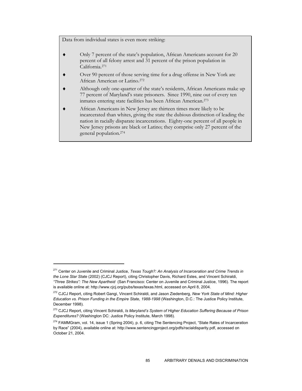Data from individual states is even more striking:

- Only 7 percent of the state's population, African Americans account for 20 percent of all felony arrest and 31 percent of the prison population in California.271
- Over 90 percent of those serving time for a drug offense in New York are African American or Latino.272
- Although only one-quarter of the state's residents, African Americans make up 77 percent of Maryland's state prisoners. Since 1990, nine out of every ten inmates entering state facilities has been African American.273
- African Americans in New Jersey are thirteen times more likely to be incarcerated than whites, giving the state the dubious distinction of leading the nation in racially disparate incarcerations. Eighty-one percent of all people in New Jersey prisons are black or Latino; they comprise only 27 percent of the general population.274

<sup>271</sup> Center on Juvenile and Criminal Justice, *Texas Tough?: An Analysis of Incarceration and Crime Trends in the Lone Star State* (2002) (CJCJ Report), citing Christopher Davis, Richard Estes, and Vincent Schiraldi, *"Three Strikes": The New Apartheid* (San Francisco: Center on Juvenile and Criminal Justice, 1996). The report is available online at: http://www.cjcj.org/pubs/texas/texas.html, accessed on April 8, 2004.

<sup>272</sup> CJCJ Report, citing Robert Gangi, Vincent Schiraldi, and Jason Ziedenberg, *New York State of Mind: Higher Education vs. Prison Funding in the Empire State, 1988-1998* (Washington, D.C.: The Justice Policy Institute, December 1998).

<sup>273</sup> CJCJ Report, citing Vincent Schiraldi, *Is Maryland's System of Higher Education Suffering Because of Prison Expenditures?* (Washington DC: Justice Policy Institute, March 1998).

<sup>&</sup>lt;sup>274</sup> FAMMGram, vol. 14, issue 1 (Spring 2004), p. 6, citing The Sentencing Project, "State Rates of Incarceration by Race" (2004), available online at: http://www.sentencingproject.org/pdfs/racialdisparity.pdf, accessed on October 21, 2004.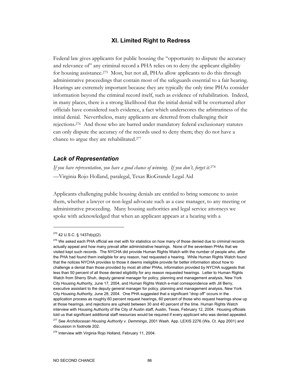#### **XI. Limited Right to Redress**

Federal law gives applicants for public housing the "opportunity to dispute the accuracy and relevance of" any criminal record a PHA relies on to deny the applicant eligibility for housing assistance.275 Most, but not all, PHAs allow applicants to do this through administrative proceedings that contain most of the safeguards essential to a fair hearing. Hearings are extremely important because they are typically the only time PHAs consider information beyond the criminal record itself, such as evidence of rehabilitation. Indeed, in many places, there is a strong likelihood that the initial denial will be overturned after officials have considered such evidence, a fact which underscores the arbitrariness of the initial denial. Nevertheless, many applicants are deterred from challenging their rejections.276 And those who are barred under mandatory federal exclusionary statutes can only dispute the accuracy of the records used to deny them; they do not have a chance to argue they are rehabilitated.277

#### *Lack of Representation*

*If you have representation, you have a good chance of winning. If you don't, forget it.*<sup>278</sup> —Virginia Rojo Holland, paralegal, Texas RioGrande Legal Aid

Applicants challenging public housing denials are entitled to bring someone to assist them, whether a lawyer or non-legal advocate such as a case manager, to any meeting or administrative proceeding. Many housing authorities and legal service attorneys we spoke with acknowledged that when an applicant appears at a hearing with a

 $275$  42 U.S.C. § 1437d(q)(2).

<sup>&</sup>lt;sup>276</sup> We asked each PHA official we met with for statistics on how many of those denied due to criminal records actually appeal and how many prevail after administrative hearings. None of the seventeen PHAs that we visited kept such records. The NYCHA did provide Human Rights Watch with the number of people who, after the PHA had found them ineligible for any reason, had requested a hearing. While Human Rights Watch found that the notices NYCHA provides to those it deems ineligible provide far better information about how to challenge a denial than those provided by most all other PHAs, information provided by NYCHA suggests that less than 50 percent of all those denied eligibility for any reason requested hearings. Letter to Human Rights Watch from Sherry Shuh, deputy general manager for policy, planning and management analysis, New York City Housing Authority, June 17, 2004, and Human Rights Watch e-mail correspondence with Jill Berry, executive assistant to the deputy general manager for policy, planning and management analysis, New York City Housing Authority, June 28, 2004. One PHA suggested that a significant "drop off" occurs in the application process as roughly 60 percent request hearings, 60 percent of those who request hearings show up at those hearings, and rejections are upheld between 30 and 40 percent of the time. Human Rights Watch interview with Housing Authority of the City of Austin staff, Austin, Texas, February 12, 2004. Housing officials told us that significant additional staff resources would be required if every applicant who was denied appealed.

<sup>277</sup> See *Archdiocesan Housing Authority v. Demmings*, 2001 Wash. App. LEXIS 2276 (Wa. Ct. App 2001) and discussion in footnote 202.

<sup>&</sup>lt;sup>278</sup> Interview with Virginia Rojo Holland, February 11, 2004.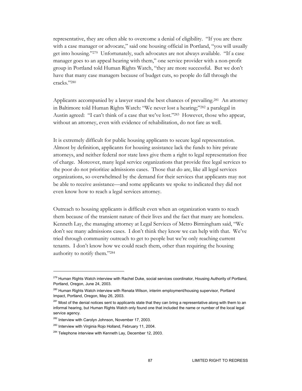representative, they are often able to overcome a denial of eligibility. "If you are there with a case manager or advocate," said one housing official in Portland, "you will usually get into housing."279 Unfortunately, such advocates are not always available. "If a case manager goes to an appeal hearing with them," one service provider with a non-profit group in Portland told Human Rights Watch, "they are more successful. But we don't have that many case managers because of budget cuts, so people do fall through the cracks."280

Applicants accompanied by a lawyer stand the best chances of prevailing.<sup>281</sup> An attorney in Baltimore told Human Rights Watch: "We never lost a hearing;"282 a paralegal in Austin agreed: "I can't think of a case that we've lost."283 However, those who appear, without an attorney, even with evidence of rehabilitation, do not fare as well.

It is extremely difficult for public housing applicants to secure legal representation. Almost by definition, applicants for housing assistance lack the funds to hire private attorneys, and neither federal nor state laws give them a right to legal representation free of charge. Moreover, many legal service organizations that provide free legal services to the poor do not prioritize admissions cases. Those that do are, like all legal services organizations, so overwhelmed by the demand for their services that applicants may not be able to receive assistance—and some applicants we spoke to indicated they did not even know how to reach a legal services attorney.

Outreach to housing applicants is difficult even when an organization wants to reach them because of the transient nature of their lives and the fact that many are homeless. Kenneth Lay, the managing attorney at Legal Services of Metro Birmingham said, "We don't see many admissions cases. I don't think they know we can help with that. We've tried through community outreach to get to people but we're only reaching current tenants. I don't know how we could reach them, other than requiring the housing authority to notify them."284

<sup>&</sup>lt;sup>279</sup> Human Rights Watch interview with Rachel Duke, social services coordinator, Housing Authority of Portland, Portland, Oregon, June 24, 2003.

<sup>&</sup>lt;sup>280</sup> Human Rights Watch interview with Renata Wilson, interim employment/housing supervisor, Portland Impact, Portland, Oregon, May 26, 2003.

<sup>&</sup>lt;sup>281</sup> Most of the denial notices sent to applicants state that they can bring a representative along with them to an informal hearing, but Human Rights Watch only found one that included the name or number of the local legal service agency.

<sup>&</sup>lt;sup>282</sup> Interview with Carolyn Johnson, November 17, 2003.

<sup>&</sup>lt;sup>283</sup> Interview with Virginia Rojo Holland, February 11, 2004.

<sup>&</sup>lt;sup>284</sup> Telephone interview with Kenneth Lay, December 12, 2003.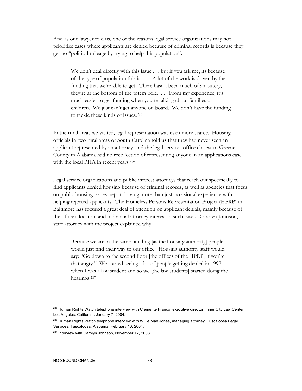And as one lawyer told us, one of the reasons legal service organizations may not prioritize cases where applicants are denied because of criminal records is because they get no "political mileage by trying to help this population":

We don't deal directly with this issue . . . but if you ask me, its because of the type of population this is . . . . A lot of the work is driven by the funding that we're able to get. There hasn't been much of an outcry, they're at the bottom of the totem pole. . . . From my experience, it's much easier to get funding when you're talking about families or children. We just can't get anyone on board. We don't have the funding to tackle these kinds of issues.285

In the rural areas we visited, legal representation was even more scarce. Housing officials in two rural areas of South Carolina told us that they had never seen an applicant represented by an attorney, and the legal services office closest to Greene County in Alabama had no recollection of representing anyone in an applications case with the local PHA in recent years.<sup>286</sup>

Legal service organizations and public interest attorneys that reach out specifically to find applicants denied housing because of criminal records, as well as agencies that focus on public housing issues, report having more than just occasional experience with helping rejected applicants. The Homeless Persons Representation Project (HPRP) in Baltimore has focused a great deal of attention on applicant denials, mainly because of the office's location and individual attorney interest in such cases. Carolyn Johnson, a staff attorney with the project explained why:

Because we are in the same building [as the housing authority] people would just find their way to our office. Housing authority staff would say: "Go down to the second floor [the offices of the HPRP] if you're that angry." We started seeing a lot of people getting denied in 1997 when I was a law student and so we [the law students] started doing the hearings.287

<sup>&</sup>lt;sup>285</sup> Human Rights Watch telephone interview with Clemente Franco, executive director, Inner City Law Center, Los Angeles, California, January 7, 2004.

<sup>&</sup>lt;sup>286</sup> Human Rights Watch telephone interview with Willie Mae Jones, managing attorney, Tuscaloosa Legal Services, Tuscaloosa, Alabama, February 10, 2004.

<sup>&</sup>lt;sup>287</sup> Interview with Carolyn Johnson, November 17, 2003.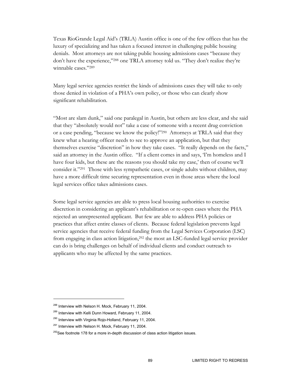Texas RioGrande Legal Aid's (TRLA) Austin office is one of the few offices that has the luxury of specializing and has taken a focused interest in challenging public housing denials. Most attorneys are not taking public housing admissions cases "because they don't have the experience,"288 one TRLA attorney told us. "They don't realize they're winnable cases."289

Many legal service agencies restrict the kinds of admissions cases they will take to only those denied in violation of a PHA's own policy, or those who can clearly show significant rehabilitation.

"Most are slam dunk," said one paralegal in Austin, but others are less clear, and she said that they "absolutely would not" take a case of someone with a recent drug conviction or a case pending, "because we know the policy!"290 Attorneys at TRLA said that they knew what a hearing officer needs to see to approve an application, but that they themselves exercise "discretion" in how they take cases. "It really depends on the facts," said an attorney in the Austin office. "If a client comes in and says, 'I'm homeless and I have four kids, but these are the reasons you should take my case,' then of course we'll consider it."291 Those with less sympathetic cases, or single adults without children, may have a more difficult time securing representation even in those areas where the local legal services office takes admissions cases.

Some legal service agencies are able to press local housing authorities to exercise discretion in considering an applicant's rehabilitation or re-open cases where the PHA rejected an unrepresented applicant. But few are able to address PHA policies or practices that affect entire classes of clients. Because federal legislation prevents legal service agencies that receive federal funding from the Legal Services Corporation (LSC) from engaging in class action litigation,292 the most an LSC-funded legal service provider can do is bring challenges on behalf of individual clients and conduct outreach to applicants who may be affected by the same practices.

<sup>&</sup>lt;sup>288</sup> Interview with Nelson H. Mock, February 11, 2004.

<sup>&</sup>lt;sup>289</sup> Interview with Kelli Dunn Howard, February 11, 2004.

<sup>&</sup>lt;sup>290</sup> Interview with Virginia Rojo-Holland, February 11, 2004.

<sup>&</sup>lt;sup>291</sup> Interview with Nelson H. Mock, February 11, 2004.

 $292$ See footnote 178 for a more in-depth discussion of class action litigation issues.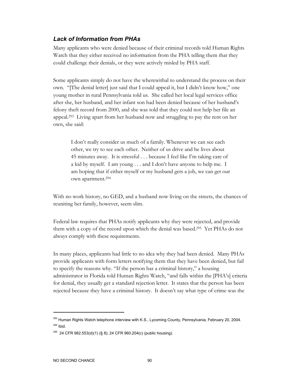# *Lack of Information from PHAs*

Many applicants who were denied because of their criminal records told Human Rights Watch that they either received no information from the PHA telling them that they could challenge their denials, or they were actively misled by PHA staff.

Some applicants simply do not have the wherewithal to understand the process on their own. "[The denial letter] just said that I could appeal it, but I didn't know how," one young mother in rural Pennsylvania told us. She called her local legal services office after she, her husband, and her infant son had been denied because of her husband's felony theft record from 2000, and she was told that they could not help her file an appeal.293 Living apart from her husband now and struggling to pay the rent on her own, she said:

I don't really consider us much of a family. Whenever we can see each other, we try to see each other. Neither of us drive and he lives about 45 minutes away. It is stressful . . . because I feel like I'm taking care of a kid by myself. I am young . . . and I don't have anyone to help me. I am hoping that if either myself or my husband gets a job, we can get our own apartment.294

With no work history, no GED, and a husband now living on the streets, the chances of reuniting her family, however, seem slim.

Federal law requires that PHAs notify applicants why they were rejected, and provide them with a copy of the record upon which the denial was based.295 Yet PHAs do not always comply with these requirements.

In many places, applicants had little to no idea why they had been denied. Many PHAs provide applicants with form letters notifying them that they have been denied, but fail to specify the reasons why. "If the person has a criminal history," a housing administrator in Florida told Human Rights Watch, "and falls within the [PHA's] criteria for denial, they usually get a standard rejection letter. It states that the person has been rejected because they have a criminal history. It doesn't say what type of crime was the

<sup>&</sup>lt;sup>293</sup> Human Rights Watch telephone interview with K.S., Lycoming County, Pennsylvania, February 20, 2004.  $294$  Ibid.

<sup>&</sup>lt;sup>295</sup> 24 CFR 982.553(d)(1) (§ 8); 24 CFR 960.204(c) (public housing).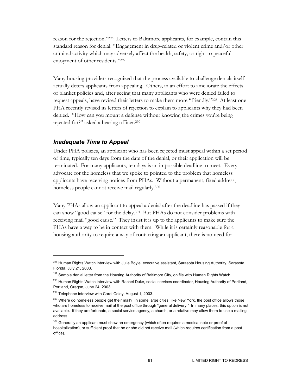reason for the rejection."296 Letters to Baltimore applicants, for example, contain this standard reason for denial: "Engagement in drug-related or violent crime and/or other criminal activity which may adversely affect the health, safety, or right to peaceful enjoyment of other residents."297

Many housing providers recognized that the process available to challenge denials itself actually deters applicants from appealing. Others, in an effort to ameliorate the effects of blanket policies and, after seeing that many applicants who were denied failed to request appeals, have revised their letters to make them more "friendly."298 At least one PHA recently revised its letters of rejection to explain to applicants why they had been denied. "How can you mount a defense without knowing the crimes you're being rejected for?" asked a hearing officer.299

#### *Inadequate Time to Appeal*

Under PHA policies, an applicant who has been rejected must appeal within a set period of time, typically ten days from the date of the denial, or their application will be terminated. For many applicants, ten days is an impossible deadline to meet. Every advocate for the homeless that we spoke to pointed to the problem that homeless applicants have receiving notices from PHAs. Without a permanent, fixed address, homeless people cannot receive mail regularly.<sup>300</sup>

Many PHAs allow an applicant to appeal a denial after the deadline has passed if they can show "good cause" for the delay.301 But PHAs do not consider problems with receiving mail "good cause." They insist it is up to the applicants to make sure the PHAs have a way to be in contact with them. While it is certainly reasonable for a housing authority to require a way of contacting an applicant, there is no need for

<sup>&</sup>lt;sup>296</sup> Human Rights Watch interview with Julie Boyle, executive assistant, Sarasota Housing Authority, Sarasota, Florida, July 21, 2003.

<sup>&</sup>lt;sup>297</sup> Sample denial letter from the Housing Authority of Baltimore City, on file with Human Rights Watch.

<sup>&</sup>lt;sup>298</sup> Human Rights Watch interview with Rachel Duke, social services coordinator, Housing Authority of Portland, Portland, Oregon, June 24, 2003.

<sup>&</sup>lt;sup>299</sup> Telephone interview with Carol Coley, August 1, 2003.

<sup>&</sup>lt;sup>300</sup> Where do homeless people get their mail? In some large cities, like New York, the post office allows those who are homeless to receive mail at the post office through "general delivery." In many places, this option is not available. If they are fortunate, a social service agency, a church, or a relative may allow them to use a mailing address.

<sup>&</sup>lt;sup>301</sup> Generally an applicant must show an emergency (which often requires a medical note or proof of hospitalization), or sufficient proof that he or she did not receive mail (which requires certification from a post office).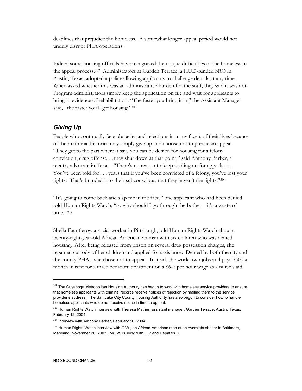deadlines that prejudice the homeless. A somewhat longer appeal period would not unduly disrupt PHA operations.

Indeed some housing officials have recognized the unique difficulties of the homeless in the appeal process.302 Administrators at Garden Terrace, a HUD-funded SRO in Austin, Texas, adopted a policy allowing applicants to challenge denials at any time. When asked whether this was an administrative burden for the staff, they said it was not. Program administrators simply keep the application on file and wait for applicants to bring in evidence of rehabilitation. "The faster you bring it in," the Assistant Manager said, "the faster you'll get housing."303

### *Giving Up*

People who continually face obstacles and rejections in many facets of their lives because of their criminal histories may simply give up and choose not to pursue an appeal. "They get to the part where it says you can be denied for housing for a felony conviction, drug offense …they shut down at that point," said Anthony Barber, a reentry advocate in Texas. "There's no reason to keep reading on for appeals. . . . You've been told for . . . years that if you've been convicted of a felony, you've lost your rights. That's branded into their subconscious, that they haven't the rights."304

"It's going to come back and slap me in the face," one applicant who had been denied told Human Rights Watch, "so why should I go through the bother—it's a waste of time."305

Sheila Fauntleroy, a social worker in Pittsburgh, told Human Rights Watch about a twenty-eight-year-old African American woman with six children who was denied housing. After being released from prison on several drug possession charges, she regained custody of her children and applied for assistance. Denied by both the city and the county PHAs, she chose not to appeal. Instead, she works two jobs and pays \$500 a month in rent for a three bedroom apartment on a \$6-7 per hour wage as a nurse's aid.

<sup>&</sup>lt;sup>302</sup> The Cuyahoga Metropolitan Housing Authority has begun to work with homeless service providers to ensure that homeless applicants with criminal records receive notices of rejection by mailing them to the service provider's address. The Salt Lake City County Housing Authority has also begun to consider how to handle homeless applicants who do not receive notice in time to appeal.

<sup>&</sup>lt;sup>303</sup> Human Rights Watch interview with Theresa Mather, assistant manager, Garden Terrace, Austin, Texas, February 12, 2004.

<sup>&</sup>lt;sup>304</sup> Interview with Anthony Barber, February 10, 2004.

<sup>&</sup>lt;sup>305</sup> Human Rights Watch interview with C.W., an African-American man at an overnight shelter in Baltimore, Maryland, November 20, 2003. Mr. W. is living with HIV and Hepatitis C.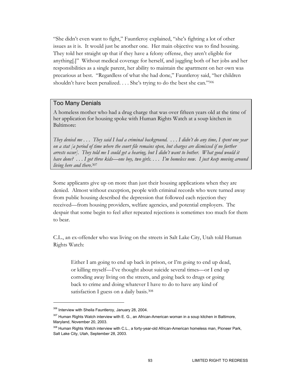"She didn't even want to fight," Fauntleroy explained, "she's fighting a lot of other issues as it is. It would just be another one. Her main objective was to find housing. They told her straight up that if they have a felony offense, they aren't eligible for anything[.]" Without medical coverage for herself, and juggling both of her jobs and her responsibilities as a single parent, her ability to maintain the apartment on her own was precarious at best. "Regardless of what she had done," Fauntleroy said, "her children shouldn't have been penalized. . . . She's trying to do the best she can."306

#### Too Many Denials

A homeless mother who had a drug charge that was over fifteen years old at the time of her application for housing spoke with Human Rights Watch at a soup kitchen in Baltimore:

*They denied me . . . They said I had a criminal background. . . . I didn't do any time, I spent one year on a stat [a period of time where the court file remains open, but charges are dismissed if no further arrests occur]. They told me I could get a hearing, but I didn't want to bother. What good would it have done? . . . I got three kids—one boy, two girls. . . . I'm homeless now. I just keep moving around living here and there*. 307

Some applicants give up on more than just their housing applications when they are denied. Almost without exception, people with criminal records who were turned away from public housing described the depression that followed each rejection they received—from housing providers, welfare agencies, and potential employers. The despair that some begin to feel after repeated rejections is sometimes too much for them to bear.

C.L., an ex-offender who was living on the streets in Salt Lake City, Utah told Human Rights Watch:

Either I am going to end up back in prison, or I'm going to end up dead, or killing myself—I've thought about suicide several times—or I end up corroding away living on the streets, and going back to drugs or going back to crime and doing whatever I have to do to have any kind of satisfaction I guess on a daily basis.<sup>308</sup>

<sup>&</sup>lt;sup>306</sup> Interview with Sheila Fauntleroy, January 28, 2004.

 $307$  Human Rights Watch interview with E. G., an African-American woman in a soup kitchen in Baltimore, Maryland, November 20, 2003.

<sup>308</sup> Human Rights Watch interview with C.L., a forty-year-old African-American homeless man, Pioneer Park, Salt Lake City, Utah, September 28, 2003.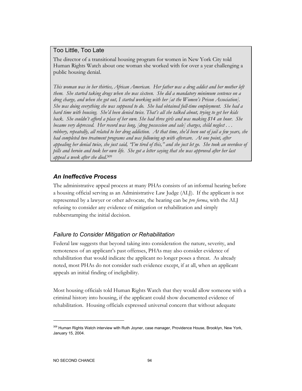#### Too Little, Too Late

The director of a transitional housing program for women in New York City told Human Rights Watch about one woman she worked with for over a year challenging a public housing denial.

*This woman was in her thirties, African American. Her father was a drug addict and her mother left them. She started taking drugs when she was sixteen. She did a mandatory minimum sentence on a drug charge, and when she got out, I started working with her [at the Women's Prison Association]. She was doing everything she was supposed to do. She had obtained full-time employment. She had a hard time with housing. She'd been denied twice. That's all she talked about, trying to get her kids back. She couldn't afford a place of her own. She had three girls and was making \$14 an hour. She became very depressed. Her record was long, [drug possession and sale] charges, child neglect . . . robbery, repeatedly, all related to her drug addiction. At that time, she'd been out of jail a few years, she had completed two treatment programs and was following up with aftercare. At one point, after appealing her denial twice, she just said, "I'm tired of this," and she just let go. She took an overdose of pills and heroin and took her own life. She got a letter saying that she was approved after her last appeal a week after she died*. 309

# *An Ineffective Process*

The administrative appeal process at many PHAs consists of an informal hearing before a housing official serving as an Administrative Law Judge (ALJ). If the applicant is not represented by a lawyer or other advocate, the hearing can be *pro forma*, with the ALJ refusing to consider any evidence of mitigation or rehabilitation and simply rubberstamping the initial decision.

# *Failure to Consider Mitigation or Rehabilitation*

Federal law suggests that beyond taking into consideration the nature, severity, and remoteness of an applicant's past offenses, PHAs may also consider evidence of rehabilitation that would indicate the applicant no longer poses a threat. As already noted, most PHAs do not consider such evidence except, if at all, when an applicant appeals an initial finding of ineligibility.

Most housing officials told Human Rights Watch that they would allow someone with a criminal history into housing, if the applicant could show documented evidence of rehabilitation. Housing officials expressed universal concern that without adequate

<sup>&</sup>lt;sup>309</sup> Human Rights Watch interview with Ruth Joyner, case manager, Providence House, Brooklyn, New York, January 15, 2004.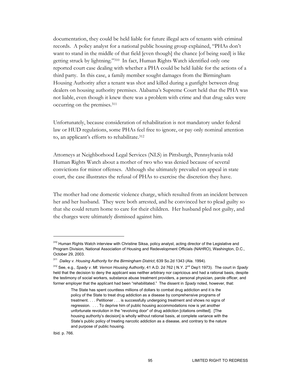documentation, they could be held liable for future illegal acts of tenants with criminal records. A policy analyst for a national public housing group explained, "PHAs don't want to stand in the middle of that field [even though] the chance [of being sued] is like getting struck by lightning."310 In fact, Human Rights Watch identified only one reported court case dealing with whether a PHA could be held liable for the actions of a third party. In this case, a family member sought damages from the Birmingham Housing Authority after a tenant was shot and killed during a gunfight between drug dealers on housing authority premises. Alabama's Supreme Court held that the PHA was not liable, even though it knew there was a problem with crime and that drug sales were occurring on the premises.311

Unfortunately, because consideration of rehabilitation is not mandatory under federal law or HUD regulations, some PHAs feel free to ignore, or pay only nominal attention to, an applicant's efforts to rehabilitate.312

Attorneys at Neighborhood Legal Services (NLS) in Pittsburgh, Pennsylvania told Human Rights Watch about a mother of two who was denied because of several convictions for minor offenses. Although she ultimately prevailed on appeal in state court, the case illustrates the refusal of PHAs to exercise the discretion they have.

The mother had one domestic violence charge, which resulted from an incident between her and her husband. They were both arrested, and he convinced her to plead guilty so that she could return home to care for their children. Her husband pled not guilty, and the charges were ultimately dismissed against him.

Ibid*.* p. 766.

<sup>&</sup>lt;sup>310</sup> Human Rights Watch interview with Christine Siksa, policy analyst, acting director of the Legislative and Program Division, National Association of Housing and Redevelopment Officials (NAHRO), Washington, D.C., October 29, 2003.

<sup>311</sup> *Dailey v. Housing Authority for the Birmingham District*, 639 So.2d 1343 (Ala. 1994).

<sup>312</sup> See, e.g., *Spady v. Mt. Vernon Housing Authority*, 41 A.D. 2d 762 ( N.Y. 2nd Dep't 1973). The court in *Spady* held that the decision to deny the applicant was neither arbitrary nor capricious and had a rational basis, despite the testimony of social workers, substance abuse treatment providers, a personal physician, parole officer, and former employer that the applicant had been "rehabilitated." The dissent in *Spady* noted, however, that:

The State has spent countless millions of dollars to combat drug addiction and it is the policy of the State to treat drug addiction as a disease by comprehensive programs of treatment. . . . Petitioner . . . is successfully undergoing treatment and shows no signs of regression. . . . To deprive him of public housing accommodations now is yet another unfortunate revolution in the "revolving door" of drug addiction [citations omitted]. [The housing authority's decision] is wholly without rational basis, at complete variance with the State's public policy of treating narcotic addiction as a disease, and contrary to the nature and purpose of public housing.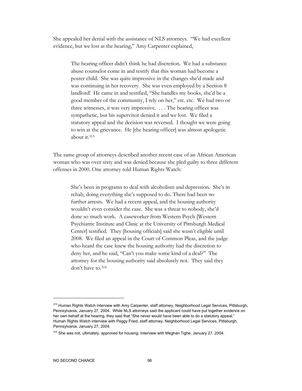She appealed her denial with the assistance of NLS attorneys. "We had excellent evidence, but we lost at the hearing," Amy Carpenter explained,

The hearing officer didn't think he had discretion. We had a substance abuse counselor come in and testify that this woman had become a poster child. She was quite impressive in the changes she'd made and was continuing in her recovery. She was even employed by a Section 8 landlord! He came in and testified, "She handles my books, she'd be a good member of the community, I rely on her," etc. etc. We had two or three witnesses, it was very impressive. . . . The hearing officer was sympathetic, but his supervisor denied it and we lost. We filed a statutory appeal and the decision was reversed. I thought we were going to win at the grievance. He [the hearing officer] was almost apologetic about it.313

The same group of attorneys described another recent case of an African American woman who was over sixty and was denied because she pled guilty to three different offenses in 2000. One attorney told Human Rights Watch:

She's been in programs to deal with alcoholism and depression. She's in rehab, doing everything she's supposed to do. There had been no further arrests. We had a recent appeal, and the housing authority wouldn't even consider the case. She was a threat to nobody, she'd done so much work. A caseworker from Western Psych [Western Psychiatric Institute and Clinic at the University of Pittsburgh Medical Center] testified. They [housing officials] said she wasn't eligible until 2008. We filed an appeal in the Court of Common Pleas, and the judge who heard the case knew the housing authority had the discretion to deny her, and he said, "Can't you make some kind of a deal?" The attorney for the housing authority said absolutely not. They said they don't have to.314

<sup>&</sup>lt;sup>313</sup> Human Rights Watch interview with Amy Carpenter, staff attorney, Neighborhood Legal Services, Pittsburgh, Pennsylvania, January 27, 2004. While NLS attorneys said the applicant could have put together evidence on her own behalf at the hearing, they said that "She never would have been able to do a statutory appeal." Human Rights Watch interview with Peggy Fried, staff attorney, Neighborhood Legal Services, Pittsburgh, Pennsylvania, January 27, 2004.

<sup>&</sup>lt;sup>314</sup> She was not, ultimately, approved for housing. Interview with Meghan Tighe, January 27, 2004.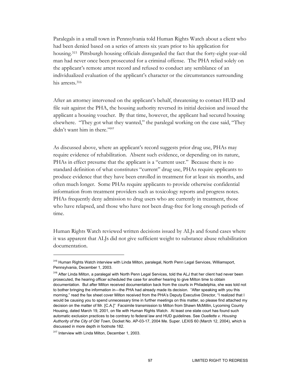Paralegals in a small town in Pennsylvania told Human Rights Watch about a client who had been denied based on a series of arrests six years prior to his application for housing.315 Pittsburgh housing officials disregarded the fact that the forty-eight year-old man had never once been prosecuted for a criminal offense. The PHA relied solely on the applicant's remote arrest record and refused to conduct any semblance of an individualized evaluation of the applicant's character or the circumstances surrounding his arrests.316

After an attorney intervened on the applicant's behalf, threatening to contact HUD and file suit against the PHA, the housing authority reversed its initial decision and issued the applicant a housing voucher. By that time, however, the applicant had secured housing elsewhere. "They got what they wanted," the paralegal working on the case said, "They didn't want him in there."317

As discussed above, where an applicant's record suggests prior drug use, PHAs may require evidence of rehabilitation. Absent such evidence, or depending on its nature, PHAs in effect presume that the applicant is a "current user." Because there is no standard definition of what constitutes "current" drug use, PHAs require applicants to produce evidence that they have been enrolled in treatment for at least six months, and often much longer. Some PHAs require applicants to provide otherwise confidential information from treatment providers such as toxicology reports and progress notes. PHAs frequently deny admission to drug users who are currently in treatment, those who have relapsed, and those who have not been drug-free for long enough periods of time.

Human Rights Watch reviewed written decisions issued by ALJs and found cases where it was apparent that ALJs did not give sufficient weight to substance abuse rehabilitation documentation.

<sup>&</sup>lt;sup>315</sup> Human Rights Watch interview with Linda Milton, paralegal, North Penn Legal Services, Williamsport, Pennsylvania, December 1, 2003.

<sup>&</sup>lt;sup>316</sup> After Linda Milton, a paralegal with North Penn Legal Services, told the ALJ that her client had never been prosecuted, the hearing officer scheduled the case for another hearing to give Milton time to obtain documentation. But after Milton received documentation back from the courts in Philadelphia, she was told not to bother bringing the information in—the PHA had already made its decision. "After speaking with you this morning," read the fax sheet cover Milton received from the PHA's Deputy Executive Director, "I realized that I would be causing you to spend unnecessary time in further meetings on this matter, so please find attached my decision on the matter of Mr. [C.A.]" Facsimile transmission to Milton from Shawn McMillin, Lycoming County Housing, dated March 19, 2001, on file with Human Rights Watch. At least one state court has found such automatic exclusion practices to be contrary to federal law and HUD guidelines. See *Ouellette v. Housing Authority of the City of Old Town*, Docket No. AP-03-17, 2004 Me. Super. LEXIS 60 (March 12, 2004), which is discussed in more depth in footnote 182.

<sup>&</sup>lt;sup>317</sup> Interview with Linda Milton, December 1, 2003.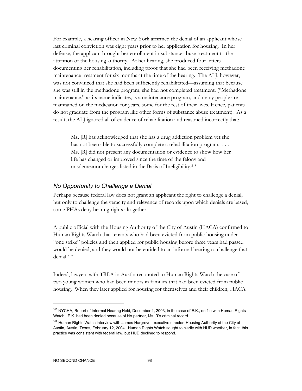For example, a hearing officer in New York affirmed the denial of an applicant whose last criminal conviction was eight years prior to her application for housing. In her defense, the applicant brought her enrollment in substance abuse treatment to the attention of the housing authority. At her hearing, she produced four letters documenting her rehabilitation, including proof that she had been receiving methadone maintenance treatment for six months at the time of the hearing. The ALJ, however, was not convinced that she had been sufficiently rehabilitated—assuming that because she was still in the methadone program, she had not completed treatment. ("Methadone maintenance," as its name indicates, is a maintenance program, and many people are maintained on the medication for years, some for the rest of their lives. Hence, patients do not graduate from the program like other forms of substance abuse treatment). As a result, the ALJ ignored all of evidence of rehabilitation and reasoned incorrectly that:

Ms. [R] has acknowledged that she has a drug addiction problem yet she has not been able to successfully complete a rehabilitation program. ... Ms. [R] did not present any documentation or evidence to show how her life has changed or improved since the time of the felony and misdemeanor charges listed in the Basis of Ineligibility.318

#### *No Opportunity to Challenge a Denial*

Perhaps because federal law does not grant an applicant the right to challenge a denial, but only to challenge the veracity and relevance of records upon which denials are based, some PHAs deny hearing rights altogether.

A public official with the Housing Authority of the City of Austin (HACA) confirmed to Human Rights Watch that tenants who had been evicted from public housing under "one strike" policies and then applied for public housing before three years had passed would be denied, and they would not be entitled to an informal hearing to challenge that denial.319

Indeed, lawyers with TRLA in Austin recounted to Human Rights Watch the case of two young women who had been minors in families that had been evicted from public housing. When they later applied for housing for themselves and their children, HACA

<sup>&</sup>lt;sup>318</sup> NYCHA, Report of Informal Hearing Held, December 1, 2003, in the case of E.K., on file with Human Rights Watch. E.K. had been denied because of his partner, Ms. R's criminal record.

<sup>&</sup>lt;sup>319</sup> Human Rights Watch interview with James Hargrove, executive director, Housing Authority of the City of Austin, Austin, Texas, February 12, 2004. Human Rights Watch sought to clarify with HUD whether, in fact, this practice was consistent with federal law, but HUD declined to respond.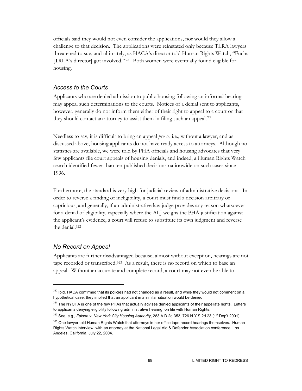officials said they would not even consider the applications, nor would they allow a challenge to that decision. The applications were reinstated only because TLRA lawyers threatened to sue, and ultimately, as HACA's director told Human Rights Watch, "Fuchs [TRLA's director] got involved."320 Both women were eventually found eligible for housing.

#### *Access to the Courts*

Applicants who are denied admission to public housing following an informal hearing may appeal such determinations to the courts. Notices of a denial sent to applicants, however, generally do not inform them either of their right to appeal to a court or that they should contact an attorney to assist them in filing such an appeal.<sup>321</sup>

Needless to say, it is difficult to bring an appeal *pro se*, i.e., without a lawyer, and as discussed above, housing applicants do not have ready access to attorneys. Although no statistics are available, we were told by PHA officials and housing advocates that very few applicants file court appeals of housing denials, and indeed, a Human Rights Watch search identified fewer than ten published decisions nationwide on such cases since 1996.

Furthermore, the standard is very high for judicial review of administrative decisions. In order to reverse a finding of ineligibility, a court must find a decision arbitrary or capricious, and generally, if an administrative law judge provides any reason whatsoever for a denial of eligibility, especially where the ALJ weighs the PHA justification against the applicant's evidence, a court will refuse to substitute its own judgment and reverse the denial.322

### *No Record on Appeal*

-

Applicants are further disadvantaged because, almost without exception, hearings are not tape recorded or transcribed**.**323 As a result, there is no record on which to base an appeal. Without an accurate and complete record, a court may not even be able to

<sup>&</sup>lt;sup>320</sup> Ibid. HACA confirmed that its policies had not changed as a result, and while they would not comment on a hypothetical case, they implied that an applicant in a similar situation would be denied.

<sup>321</sup> The NYCHA is one of the few PHAs that actually advises denied applicants of their appellate rights. Letters to applicants denying eligibility following administrative hearing, on file with Human Rights.

<sup>&</sup>lt;sup>322</sup> See, e.g., *Faison v. New York City Housing Authority*, 283 A.D.2d 353, 726 N.Y.S.2d 23 (1<sup>st</sup> Dep't 2001).

<sup>323</sup> One lawyer told Human Rights Watch that attorneys in her office tape record hearings themselves. Human Rights Watch interview with an attorney at the National Legal Aid & Defender Association conference, Los Angeles, California, July 22, 2004.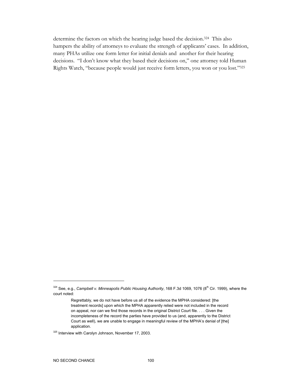determine the factors on which the hearing judge based the decision.324 This also hampers the ability of attorneys to evaluate the strength of applicants' cases. In addition, many PHAs utilize one form letter for initial denials and another for their hearing decisions."I don't know what they based their decisions on," one attorney told Human Rights Watch, "because people would just receive form letters, you won or you lost."325

<sup>&</sup>lt;sup>324</sup> See, e.g., *Campbell v. Minneapolis Public Housing Authority*, 168 F.3d 1069, 1076 (8<sup>th</sup> Cir. 1999), where the court noted:

Regrettably, we do not have before us all of the evidence the MPHA considered: [the treatment records] upon which the MPHA apparently relied were not included in the record on appeal, nor can we find those records in the original District Court file. . . . Given the incompleteness of the record the parties have provided to us (and, apparently to the District Court as well), we are unable to engage in meaningful review of the MPHA's denial of [the] application.

<sup>325</sup> Interview with Carolyn Johnson, November 17, 2003.